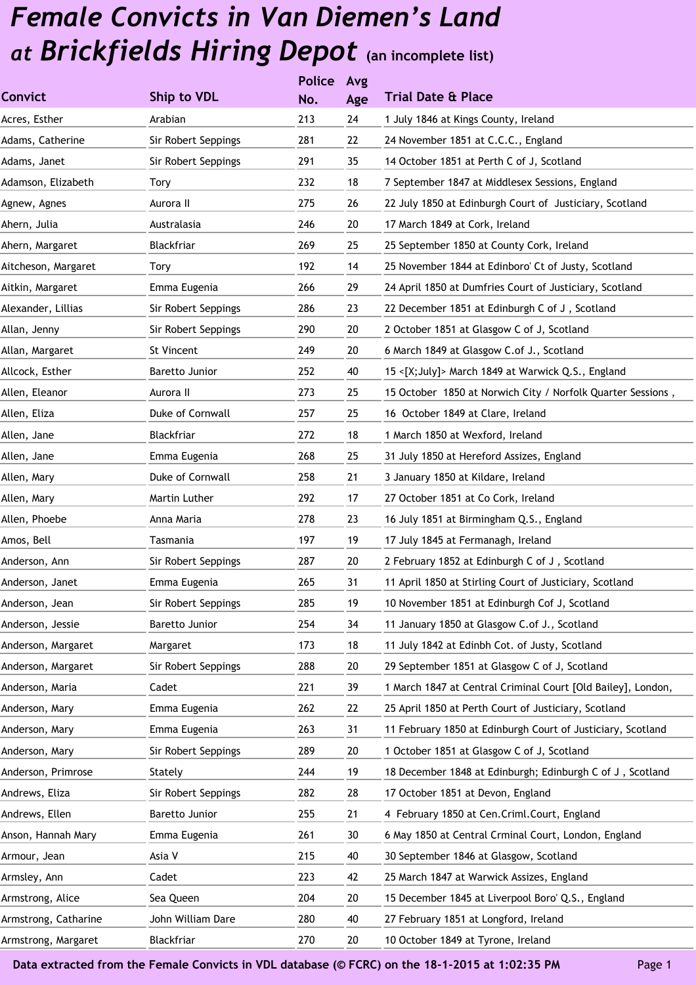|                     | <b>Police</b> |     |                                                              |
|---------------------|---------------|-----|--------------------------------------------------------------|
| Ship to VDL         | No.           | Age | <b>Trial Date &amp; Place</b>                                |
| Arabian             | 213           | 24  | 1 July 1846 at Kings County, Ireland                         |
| Sir Robert Seppings | 281           | 22  | 24 November 1851 at C.C.C., England                          |
| Sir Robert Seppings | 291           | 35  | 14 October 1851 at Perth C of J, Scotland                    |
| Tory                | 232           | 18  | 7 September 1847 at Middlesex Sessions, England              |
| Aurora II           | 275           | 26  | 22 July 1850 at Edinburgh Court of Justiciary, Scotland      |
| Australasia         | 246           | 20  | 17 March 1849 at Cork, Ireland                               |
| Blackfriar          | 269           | 25  | 25 September 1850 at County Cork, Ireland                    |
| Tory                | 192           | 14  | 25 November 1844 at Edinboro' Ct of Justy, Scotland          |
| Emma Eugenia        | 266           | 29  | 24 April 1850 at Dumfries Court of Justiciary, Scotland      |
| Sir Robert Seppings | 286           | 23  | 22 December 1851 at Edinburgh C of J, Scotland               |
| Sir Robert Seppings | 290           | 20  | 2 October 1851 at Glasgow C of J, Scotland                   |
| St Vincent          | 249           | 20  | 6 March 1849 at Glasgow C.of J., Scotland                    |
| Baretto Junior      | 252           | 40  | 15 <[X;July]> March 1849 at Warwick Q.S., England            |
| Aurora II           | 273           | 25  | 15 October 1850 at Norwich City / Norfolk Quarter Sessions,  |
| Duke of Cornwall    | 257           | 25  | 16 October 1849 at Clare, Ireland                            |
| Blackfriar          | 272           | 18  | 1 March 1850 at Wexford, Ireland                             |
| Emma Eugenia        | 268           | 25  | 31 July 1850 at Hereford Assizes, England                    |
| Duke of Cornwall    | 258           | 21  | 3 January 1850 at Kildare, Ireland                           |
| Martin Luther       | 292           | 17  | 27 October 1851 at Co Cork, Ireland                          |
| Anna Maria          | 278           | 23  | 16 July 1851 at Birmingham Q.S., England                     |
| Tasmania            | 197           | 19  | 17 July 1845 at Fermanagh, Ireland                           |
| Sir Robert Seppings | 287           | 20  | 2 February 1852 at Edinburgh C of J, Scotland                |
| Emma Eugenia        | 265           | 31  | 11 April 1850 at Stirling Court of Justiciary, Scotland      |
| Sir Robert Seppings | 285           | 19  | 10 November 1851 at Edinburgh Cof J, Scotland                |
| Baretto Junior      | 254           | 34  | 11 January 1850 at Glasgow C.of J., Scotland                 |
| Margaret            | 173           | 18  | 11 July 1842 at Edinbh Cot. of Justy, Scotland               |
| Sir Robert Seppings | 288           | 20  | 29 September 1851 at Glasgow C of J, Scotland                |
| Cadet               | 221           | 39  | 1 March 1847 at Central Criminal Court [Old Bailey], London, |
| Emma Eugenia        | 262           | 22  | 25 April 1850 at Perth Court of Justiciary, Scotland         |
| Emma Eugenia        | 263           | 31  | 11 February 1850 at Edinburgh Court of Justiciary, Scotland  |
| Sir Robert Seppings | 289           | 20  | 1 October 1851 at Glasgow C of J, Scotland                   |
| Stately             | 244           | 19  | 18 December 1848 at Edinburgh; Edinburgh C of J, Scotland    |
| Sir Robert Seppings | 282           | 28  | 17 October 1851 at Devon, England                            |
| Baretto Junior      | 255           | 21  | 4 February 1850 at Cen.Criml.Court, England                  |
| Emma Eugenia        | 261           | 30  | 6 May 1850 at Central Crminal Court, London, England         |
| Asia V              | 215           | 40  | 30 September 1846 at Glasgow, Scotland                       |
| Cadet               | 223           | 42  | 25 March 1847 at Warwick Assizes, England                    |
| Sea Queen           | 204           | 20  | 15 December 1845 at Liverpool Boro' Q.S., England            |
| John William Dare   | 280           | 40  | 27 February 1851 at Longford, Ireland                        |
| Blackfriar          | 270           | 20  | 10 October 1849 at Tyrone, Ireland                           |
|                     |               |     | Avg                                                          |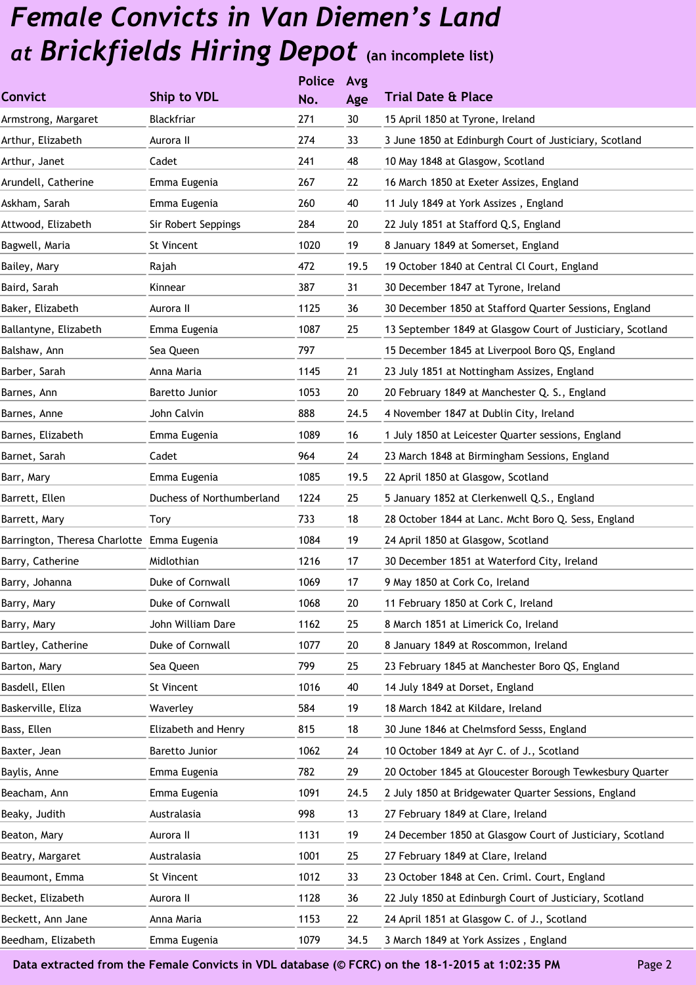|                                            |                           | <b>Police</b> | Avg  |                                                            |
|--------------------------------------------|---------------------------|---------------|------|------------------------------------------------------------|
| <b>Convict</b>                             | Ship to VDL               | No.           | Age  | <b>Trial Date &amp; Place</b>                              |
| Armstrong, Margaret                        | Blackfriar                | 271           | 30   | 15 April 1850 at Tyrone, Ireland                           |
| Arthur, Elizabeth                          | Aurora II                 | 274           | 33   | 3 June 1850 at Edinburgh Court of Justiciary, Scotland     |
| Arthur, Janet                              | Cadet                     | 241           | 48   | 10 May 1848 at Glasgow, Scotland                           |
| Arundell, Catherine                        | Emma Eugenia              | 267           | 22   | 16 March 1850 at Exeter Assizes, England                   |
| Askham, Sarah                              | Emma Eugenia              | 260           | 40   | 11 July 1849 at York Assizes, England                      |
| Attwood, Elizabeth                         | Sir Robert Seppings       | 284           | 20   | 22 July 1851 at Stafford Q.S, England                      |
| Bagwell, Maria                             | St Vincent                | 1020          | 19   | 8 January 1849 at Somerset, England                        |
| Bailey, Mary                               | Rajah                     | 472           | 19.5 | 19 October 1840 at Central Cl Court, England               |
| Baird, Sarah                               | Kinnear                   | 387           | 31   | 30 December 1847 at Tyrone, Ireland                        |
| Baker, Elizabeth                           | Aurora II                 | 1125          | 36   | 30 December 1850 at Stafford Quarter Sessions, England     |
| Ballantyne, Elizabeth                      | Emma Eugenia              | 1087          | 25   | 13 September 1849 at Glasgow Court of Justiciary, Scotland |
| Balshaw, Ann                               | Sea Queen                 | 797           |      | 15 December 1845 at Liverpool Boro QS, England             |
| Barber, Sarah                              | Anna Maria                | 1145          | 21   | 23 July 1851 at Nottingham Assizes, England                |
| Barnes, Ann                                | Baretto Junior            | 1053          | 20   | 20 February 1849 at Manchester Q. S., England              |
| Barnes, Anne                               | John Calvin               | 888           | 24.5 | 4 November 1847 at Dublin City, Ireland                    |
| Barnes, Elizabeth                          | Emma Eugenia              | 1089          | 16   | 1 July 1850 at Leicester Quarter sessions, England         |
| Barnet, Sarah                              | Cadet                     | 964           | 24   | 23 March 1848 at Birmingham Sessions, England              |
| Barr, Mary                                 | Emma Eugenia              | 1085          | 19.5 | 22 April 1850 at Glasgow, Scotland                         |
| Barrett, Ellen                             | Duchess of Northumberland | 1224          | 25   | 5 January 1852 at Clerkenwell Q.S., England                |
| Barrett, Mary                              | Tory                      | 733           | 18   | 28 October 1844 at Lanc. Mcht Boro Q. Sess, England        |
| Barrington, Theresa Charlotte Emma Eugenia |                           | 1084          | 19   | 24 April 1850 at Glasgow, Scotland                         |
| Barry, Catherine                           | Midlothian                | 1216          | 17   | 30 December 1851 at Waterford City, Ireland                |
| Barry, Johanna                             | Duke of Cornwall          | 1069          | 17   | 9 May 1850 at Cork Co, Ireland                             |
| Barry, Mary                                | Duke of Cornwall          | 1068          | 20   | 11 February 1850 at Cork C, Ireland                        |
| Barry, Mary                                | John William Dare         | 1162          | 25   | 8 March 1851 at Limerick Co, Ireland                       |
| Bartley, Catherine                         | Duke of Cornwall          | 1077          | 20   | 8 January 1849 at Roscommon, Ireland                       |
| Barton, Mary                               | Sea Queen                 | 799           | 25   | 23 February 1845 at Manchester Boro QS, England            |
| Basdell, Ellen                             | St Vincent                | 1016          | 40   | 14 July 1849 at Dorset, England                            |
| Baskerville, Eliza                         | Waverley                  | 584           | 19   | 18 March 1842 at Kildare, Ireland                          |
| Bass, Ellen                                | Elizabeth and Henry       | 815           | 18   | 30 June 1846 at Chelmsford Sesss, England                  |
| Baxter, Jean                               | Baretto Junior            | 1062          | 24   | 10 October 1849 at Ayr C. of J., Scotland                  |
| Baylis, Anne                               | Emma Eugenia              | 782           | 29   | 20 October 1845 at Gloucester Borough Tewkesbury Quarter   |
| Beacham, Ann                               | Emma Eugenia              | 1091          | 24.5 | 2 July 1850 at Bridgewater Quarter Sessions, England       |
| Beaky, Judith                              | Australasia               | 998           | 13   | 27 February 1849 at Clare, Ireland                         |
| Beaton, Mary                               | Aurora II                 | 1131          | 19   | 24 December 1850 at Glasgow Court of Justiciary, Scotland  |
| Beatry, Margaret                           | Australasia               | 1001          | 25   | 27 February 1849 at Clare, Ireland                         |
| Beaumont, Emma                             | St Vincent                | 1012          | 33   | 23 October 1848 at Cen. Criml. Court, England              |
| Becket, Elizabeth                          | Aurora II                 | 1128          | 36   | 22 July 1850 at Edinburgh Court of Justiciary, Scotland    |
| Beckett, Ann Jane                          | Anna Maria                | 1153          | 22   | 24 April 1851 at Glasgow C. of J., Scotland                |
| Beedham, Elizabeth                         | Emma Eugenia              | 1079          | 34.5 | 3 March 1849 at York Assizes, England                      |
|                                            |                           |               |      |                                                            |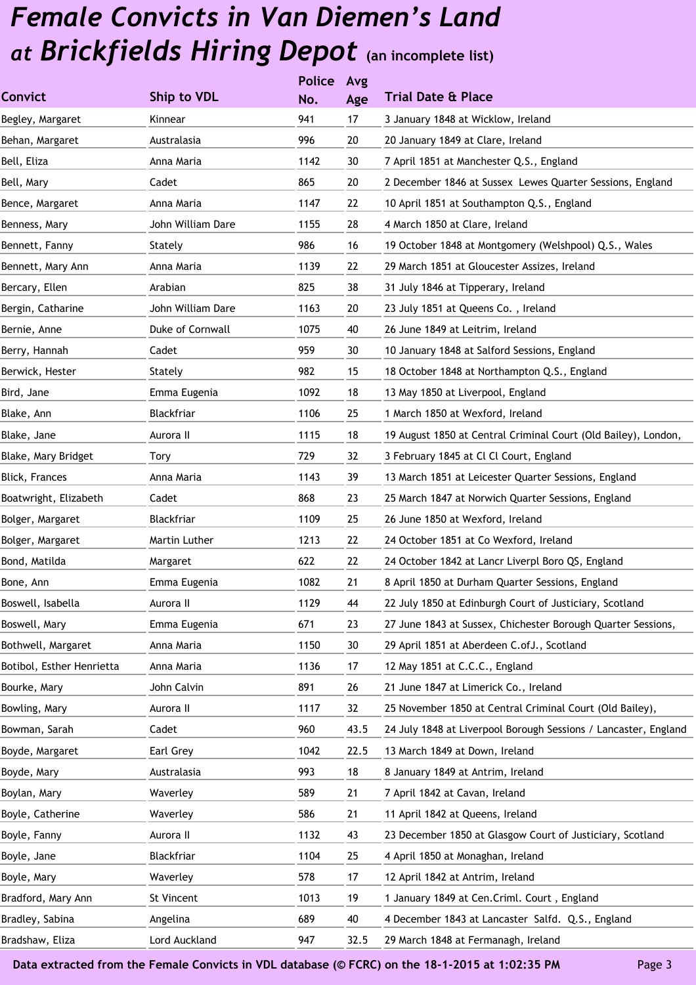|                           |                   | <b>Police</b> | Avg  |                                                                 |
|---------------------------|-------------------|---------------|------|-----------------------------------------------------------------|
| <b>Convict</b>            | Ship to VDL       | No.           | Age  | <b>Trial Date &amp; Place</b>                                   |
| Begley, Margaret          | Kinnear           | 941           | 17   | 3 January 1848 at Wicklow, Ireland                              |
| Behan, Margaret           | Australasia       | 996           | 20   | 20 January 1849 at Clare, Ireland                               |
| Bell, Eliza               | Anna Maria        | 1142          | 30   | 7 April 1851 at Manchester Q.S., England                        |
| Bell, Mary                | Cadet             | 865           | 20   | 2 December 1846 at Sussex Lewes Quarter Sessions, England       |
| Bence, Margaret           | Anna Maria        | 1147          | 22   | 10 April 1851 at Southampton Q.S., England                      |
| Benness, Mary             | John William Dare | 1155          | 28   | 4 March 1850 at Clare, Ireland                                  |
| Bennett, Fanny            | Stately           | 986           | 16   | 19 October 1848 at Montgomery (Welshpool) Q.S., Wales           |
| Bennett, Mary Ann         | Anna Maria        | 1139          | 22   | 29 March 1851 at Gloucester Assizes, Ireland                    |
| Bercary, Ellen            | Arabian           | 825           | 38   | 31 July 1846 at Tipperary, Ireland                              |
| Bergin, Catharine         | John William Dare | 1163          | 20   | 23 July 1851 at Queens Co., Ireland                             |
| Bernie, Anne              | Duke of Cornwall  | 1075          | 40   | 26 June 1849 at Leitrim, Ireland                                |
| Berry, Hannah             | Cadet             | 959           | 30   | 10 January 1848 at Salford Sessions, England                    |
| Berwick, Hester           | Stately           | 982           | 15   | 18 October 1848 at Northampton Q.S., England                    |
| Bird, Jane                | Emma Eugenia      | 1092          | 18   | 13 May 1850 at Liverpool, England                               |
| Blake, Ann                | Blackfriar        | 1106          | 25   | 1 March 1850 at Wexford, Ireland                                |
| Blake, Jane               | Aurora II         | 1115          | 18   | 19 August 1850 at Central Criminal Court (Old Bailey), London,  |
| Blake, Mary Bridget       | Tory              | 729           | 32   | 3 February 1845 at Cl Cl Court, England                         |
| <b>Blick, Frances</b>     | Anna Maria        | 1143          | 39   | 13 March 1851 at Leicester Quarter Sessions, England            |
| Boatwright, Elizabeth     | Cadet             | 868           | 23   | 25 March 1847 at Norwich Quarter Sessions, England              |
| Bolger, Margaret          | Blackfriar        | 1109          | 25   | 26 June 1850 at Wexford, Ireland                                |
| Bolger, Margaret          | Martin Luther     | 1213          | 22   | 24 October 1851 at Co Wexford, Ireland                          |
| Bond, Matilda             | Margaret          | 622           | 22   | 24 October 1842 at Lancr Liverpl Boro QS, England               |
| Bone, Ann                 | Emma Eugenia      | 1082          | 21   | 8 April 1850 at Durham Quarter Sessions, England                |
| Boswell, Isabella         | Aurora II         | 1129          | 44   | 22 July 1850 at Edinburgh Court of Justiciary, Scotland         |
| Boswell, Mary             | Emma Eugenia      | 671           | 23   | 27 June 1843 at Sussex, Chichester Borough Quarter Sessions,    |
| Bothwell, Margaret        | Anna Maria        | 1150          | 30   | 29 April 1851 at Aberdeen C.ofJ., Scotland                      |
| Botibol, Esther Henrietta | Anna Maria        | 1136          | 17   | 12 May 1851 at C.C.C., England                                  |
| Bourke, Mary              | John Calvin       | 891           | 26   | 21 June 1847 at Limerick Co., Ireland                           |
| Bowling, Mary             | Aurora II         | 1117          | 32   | 25 November 1850 at Central Criminal Court (Old Bailey),        |
| Bowman, Sarah             | Cadet             | 960           | 43.5 | 24 July 1848 at Liverpool Borough Sessions / Lancaster, England |
| Boyde, Margaret           | Earl Grey         | 1042          | 22.5 | 13 March 1849 at Down, Ireland                                  |
| Boyde, Mary               | Australasia       | 993           | 18   | 8 January 1849 at Antrim, Ireland                               |
| Boylan, Mary              | Waverley          | 589           | 21   | 7 April 1842 at Cavan, Ireland                                  |
| Boyle, Catherine          | Waverley          | 586           | 21   | 11 April 1842 at Queens, Ireland                                |
| Boyle, Fanny              | Aurora II         | 1132          | 43   | 23 December 1850 at Glasgow Court of Justiciary, Scotland       |
| Boyle, Jane               | Blackfriar        | 1104          | 25   | 4 April 1850 at Monaghan, Ireland                               |
| Boyle, Mary               | Waverley          | 578           | 17   | 12 April 1842 at Antrim, Ireland                                |
| Bradford, Mary Ann        | St Vincent        | 1013          | 19   | 1 January 1849 at Cen. Criml. Court, England                    |
| Bradley, Sabina           | Angelina          | 689           | 40   | 4 December 1843 at Lancaster Salfd. Q.S., England               |
| Bradshaw, Eliza           | Lord Auckland     | 947           | 32.5 | 29 March 1848 at Fermanagh, Ireland                             |
|                           |                   |               |      |                                                                 |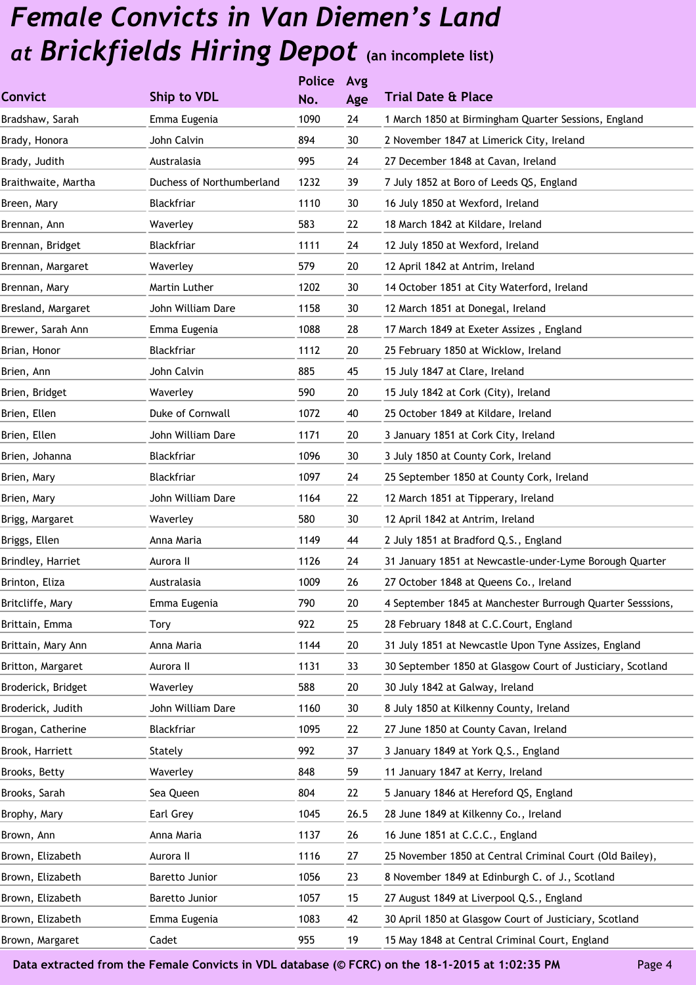|                           |      | Avg           |                                                            |
|---------------------------|------|---------------|------------------------------------------------------------|
| Ship to VDL               | No.  | Age           | <b>Trial Date &amp; Place</b>                              |
| Emma Eugenia              | 1090 | 24            | 1 March 1850 at Birmingham Quarter Sessions, England       |
| John Calvin               | 894  | 30            | 2 November 1847 at Limerick City, Ireland                  |
| Australasia               | 995  | 24            | 27 December 1848 at Cavan, Ireland                         |
| Duchess of Northumberland | 1232 | 39            | 7 July 1852 at Boro of Leeds QS, England                   |
| Blackfriar                | 1110 | 30            | 16 July 1850 at Wexford, Ireland                           |
| Waverley                  | 583  | 22            | 18 March 1842 at Kildare, Ireland                          |
| Blackfriar                | 1111 | 24            | 12 July 1850 at Wexford, Ireland                           |
| Waverley                  | 579  | 20            | 12 April 1842 at Antrim, Ireland                           |
| Martin Luther             | 1202 | 30            | 14 October 1851 at City Waterford, Ireland                 |
| John William Dare         | 1158 | 30            | 12 March 1851 at Donegal, Ireland                          |
| Emma Eugenia              | 1088 | 28            | 17 March 1849 at Exeter Assizes, England                   |
| Blackfriar                | 1112 | 20            | 25 February 1850 at Wicklow, Ireland                       |
| John Calvin               | 885  | 45            | 15 July 1847 at Clare, Ireland                             |
| Waverley                  | 590  | 20            | 15 July 1842 at Cork (City), Ireland                       |
| Duke of Cornwall          | 1072 | 40            | 25 October 1849 at Kildare, Ireland                        |
| John William Dare         | 1171 | 20            | 3 January 1851 at Cork City, Ireland                       |
| Blackfriar                | 1096 | 30            | 3 July 1850 at County Cork, Ireland                        |
| Blackfriar                | 1097 | 24            | 25 September 1850 at County Cork, Ireland                  |
| John William Dare         | 1164 | 22            | 12 March 1851 at Tipperary, Ireland                        |
| Waverley                  | 580  | 30            | 12 April 1842 at Antrim, Ireland                           |
| Anna Maria                | 1149 | 44            | 2 July 1851 at Bradford Q.S., England                      |
| Aurora II                 | 1126 | 24            | 31 January 1851 at Newcastle-under-Lyme Borough Quarter    |
| Australasia               | 1009 | 26            | 27 October 1848 at Queens Co., Ireland                     |
| Emma Eugenia              | 790  | $20\,$        | 4 September 1845 at Manchester Burrough Quarter Sesssions, |
| Tory                      | 922  | 25            | 28 February 1848 at C.C.Court, England                     |
| Anna Maria                | 1144 | 20            | 31 July 1851 at Newcastle Upon Tyne Assizes, England       |
| Aurora II                 | 1131 | 33            | 30 September 1850 at Glasgow Court of Justiciary, Scotland |
| Waverley                  | 588  | 20            | 30 July 1842 at Galway, Ireland                            |
| John William Dare         | 1160 | 30            | 8 July 1850 at Kilkenny County, Ireland                    |
| Blackfriar                | 1095 | 22            | 27 June 1850 at County Cavan, Ireland                      |
| Stately                   | 992  | 37            | 3 January 1849 at York Q.S., England                       |
| Waverley                  | 848  | 59            | 11 January 1847 at Kerry, Ireland                          |
| Sea Queen                 | 804  | 22            | 5 January 1846 at Hereford QS, England                     |
| Earl Grey                 | 1045 | 26.5          | 28 June 1849 at Kilkenny Co., Ireland                      |
| Anna Maria                | 1137 | 26            | 16 June 1851 at C.C.C., England                            |
| Aurora II                 | 1116 | 27            | 25 November 1850 at Central Criminal Court (Old Bailey),   |
| Baretto Junior            | 1056 | 23            | 8 November 1849 at Edinburgh C. of J., Scotland            |
| Baretto Junior            | 1057 | 15            | 27 August 1849 at Liverpool Q.S., England                  |
| Emma Eugenia              | 1083 | 42            | 30 April 1850 at Glasgow Court of Justiciary, Scotland     |
| Cadet                     | 955  | 19            | 15 May 1848 at Central Criminal Court, England             |
|                           |      | <b>Police</b> |                                                            |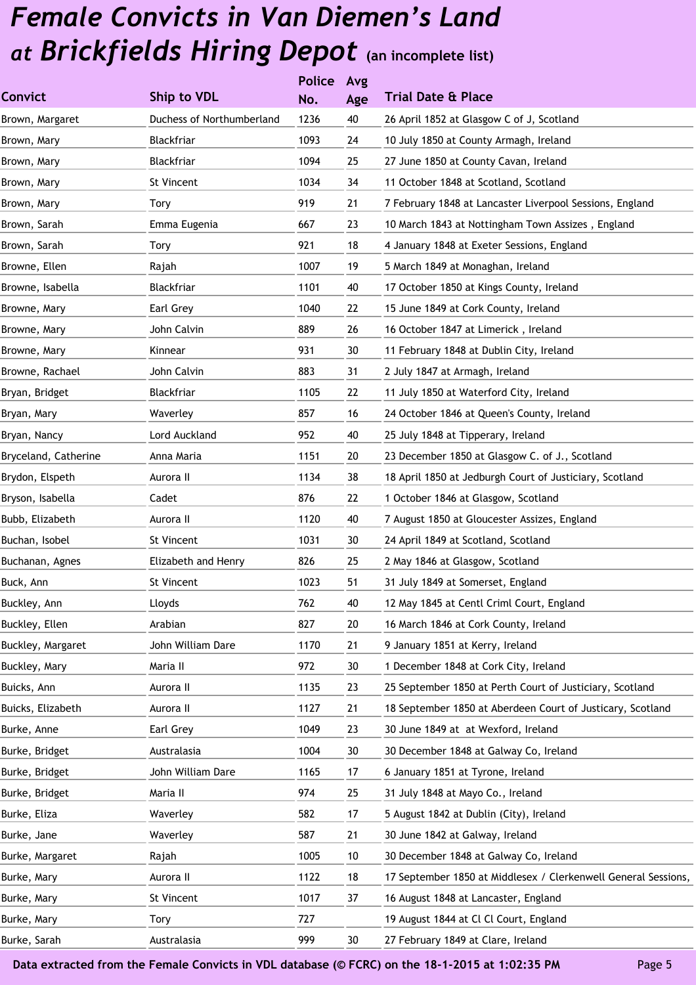|                      |                           | <b>Police</b> | Avg             |                                                                |
|----------------------|---------------------------|---------------|-----------------|----------------------------------------------------------------|
| Convict              | Ship to VDL               | No.           | Age             | <b>Trial Date &amp; Place</b>                                  |
| Brown, Margaret      | Duchess of Northumberland | 1236          | 40              | 26 April 1852 at Glasgow C of J, Scotland                      |
| Brown, Mary          | Blackfriar                | 1093          | 24              | 10 July 1850 at County Armagh, Ireland                         |
| Brown, Mary          | Blackfriar                | 1094          | 25              | 27 June 1850 at County Cavan, Ireland                          |
| Brown, Mary          | St Vincent                | 1034          | 34              | 11 October 1848 at Scotland, Scotland                          |
| Brown, Mary          | Tory                      | 919           | 21              | 7 February 1848 at Lancaster Liverpool Sessions, England       |
| Brown, Sarah         | Emma Eugenia              | 667           | 23              | 10 March 1843 at Nottingham Town Assizes, England              |
| Brown, Sarah         | Tory                      | 921           | 18              | 4 January 1848 at Exeter Sessions, England                     |
| Browne, Ellen        | Rajah                     | 1007          | 19              | 5 March 1849 at Monaghan, Ireland                              |
| Browne, Isabella     | Blackfriar                | 1101          | 40              | 17 October 1850 at Kings County, Ireland                       |
| Browne, Mary         | Earl Grey                 | 1040          | 22              | 15 June 1849 at Cork County, Ireland                           |
| Browne, Mary         | John Calvin               | 889           | 26              | 16 October 1847 at Limerick, Ireland                           |
| Browne, Mary         | Kinnear                   | 931           | 30              | 11 February 1848 at Dublin City, Ireland                       |
| Browne, Rachael      | John Calvin               | 883           | 31              | 2 July 1847 at Armagh, Ireland                                 |
| Bryan, Bridget       | Blackfriar                | 1105          | 22              | 11 July 1850 at Waterford City, Ireland                        |
| Bryan, Mary          | Waverley                  | 857           | 16              | 24 October 1846 at Queen's County, Ireland                     |
| Bryan, Nancy         | Lord Auckland             | 952           | 40              | 25 July 1848 at Tipperary, Ireland                             |
| Bryceland, Catherine | Anna Maria                | 1151          | 20              | 23 December 1850 at Glasgow C. of J., Scotland                 |
| Brydon, Elspeth      | Aurora II                 | 1134          | 38              | 18 April 1850 at Jedburgh Court of Justiciary, Scotland        |
| Bryson, Isabella     | Cadet                     | 876           | 22              | 1 October 1846 at Glasgow, Scotland                            |
| Bubb, Elizabeth      | Aurora II                 | 1120          | 40              | 7 August 1850 at Gloucester Assizes, England                   |
| Buchan, Isobel       | St Vincent                | 1031          | 30              | 24 April 1849 at Scotland, Scotland                            |
| Buchanan, Agnes      | Elizabeth and Henry       | 826           | 25              | 2 May 1846 at Glasgow, Scotland                                |
| Buck, Ann            | St Vincent                | 1023          | 51              | 31 July 1849 at Somerset, England                              |
| Buckley, Ann         | Lloyds                    | 762           | 40              | 12 May 1845 at Centl Criml Court, England                      |
| Buckley, Ellen       | Arabian                   | 827           | 20              | 16 March 1846 at Cork County, Ireland                          |
| Buckley, Margaret    | John William Dare         | 1170          | 21              | 9 January 1851 at Kerry, Ireland                               |
| Buckley, Mary        | Maria II                  | 972           | 30              | 1 December 1848 at Cork City, Ireland                          |
| Buicks, Ann          | Aurora II                 | 1135          | 23              | 25 September 1850 at Perth Court of Justiciary, Scotland       |
| Buicks, Elizabeth    | Aurora II                 | 1127          | 21              | 18 September 1850 at Aberdeen Court of Justicary, Scotland     |
| Burke, Anne          | Earl Grey                 | 1049          | 23              | 30 June 1849 at at Wexford, Ireland                            |
| Burke, Bridget       | Australasia               | 1004          | 30              | 30 December 1848 at Galway Co, Ireland                         |
| Burke, Bridget       | John William Dare         | 1165          | 17              | 6 January 1851 at Tyrone, Ireland                              |
| Burke, Bridget       | Maria II                  | 974           | 25              | 31 July 1848 at Mayo Co., Ireland                              |
| Burke, Eliza         | Waverley                  | 582           | 17              | 5 August 1842 at Dublin (City), Ireland                        |
| Burke, Jane          | Waverley                  | 587           | 21              | 30 June 1842 at Galway, Ireland                                |
| Burke, Margaret      | Rajah                     | 1005          | $10$            | 30 December 1848 at Galway Co, Ireland                         |
| Burke, Mary          | Aurora II                 | 1122          | 18              | 17 September 1850 at Middlesex / Clerkenwell General Sessions, |
| Burke, Mary          | St Vincent                | 1017          | 37              | 16 August 1848 at Lancaster, England                           |
| Burke, Mary          | Tory                      | 727           |                 | 19 August 1844 at Cl Cl Court, England                         |
| Burke, Sarah         | Australasia               | 999           | 30 <sup>°</sup> | 27 February 1849 at Clare, Ireland                             |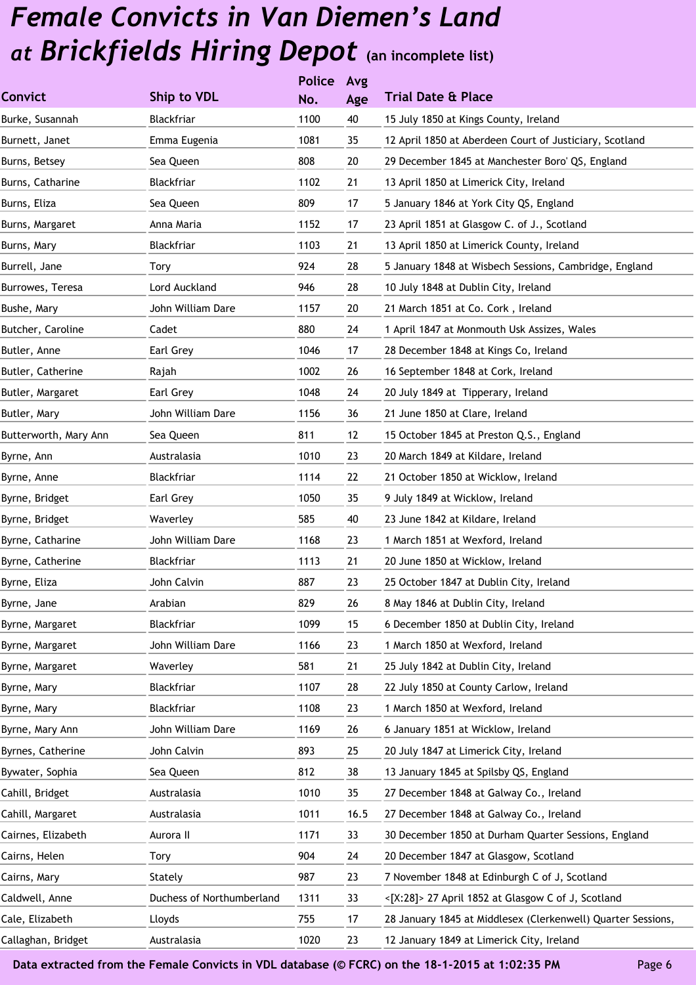|                       |                           | <b>Police</b> | Avg  |                                                              |
|-----------------------|---------------------------|---------------|------|--------------------------------------------------------------|
| Convict               | Ship to VDL               | No.           | Age  | <b>Trial Date &amp; Place</b>                                |
| Burke, Susannah       | Blackfriar                | 1100          | 40   | 15 July 1850 at Kings County, Ireland                        |
| Burnett, Janet        | Emma Eugenia              | 1081          | 35   | 12 April 1850 at Aberdeen Court of Justiciary, Scotland      |
| Burns, Betsey         | Sea Queen                 | 808           | 20   | 29 December 1845 at Manchester Boro' QS, England             |
| Burns, Catharine      | Blackfriar                | 1102          | 21   | 13 April 1850 at Limerick City, Ireland                      |
| Burns, Eliza          | Sea Queen                 | 809           | 17   | 5 January 1846 at York City QS, England                      |
| Burns, Margaret       | Anna Maria                | 1152          | 17   | 23 April 1851 at Glasgow C. of J., Scotland                  |
| Burns, Mary           | Blackfriar                | 1103          | 21   | 13 April 1850 at Limerick County, Ireland                    |
| Burrell, Jane         | Tory                      | 924           | 28   | 5 January 1848 at Wisbech Sessions, Cambridge, England       |
| Burrowes, Teresa      | Lord Auckland             | 946           | 28   | 10 July 1848 at Dublin City, Ireland                         |
| Bushe, Mary           | John William Dare         | 1157          | 20   | 21 March 1851 at Co. Cork, Ireland                           |
| Butcher, Caroline     | Cadet                     | 880           | 24   | 1 April 1847 at Monmouth Usk Assizes, Wales                  |
| Butler, Anne          | Earl Grey                 | 1046          | 17   | 28 December 1848 at Kings Co, Ireland                        |
| Butler, Catherine     | Rajah                     | 1002          | 26   | 16 September 1848 at Cork, Ireland                           |
| Butler, Margaret      | Earl Grey                 | 1048          | 24   | 20 July 1849 at Tipperary, Ireland                           |
| Butler, Mary          | John William Dare         | 1156          | 36   | 21 June 1850 at Clare, Ireland                               |
| Butterworth, Mary Ann | Sea Queen                 | 811           | 12   | 15 October 1845 at Preston Q.S., England                     |
| Byrne, Ann            | Australasia               | 1010          | 23   | 20 March 1849 at Kildare, Ireland                            |
| Byrne, Anne           | Blackfriar                | 1114          | 22   | 21 October 1850 at Wicklow, Ireland                          |
| Byrne, Bridget        | Earl Grey                 | 1050          | 35   | 9 July 1849 at Wicklow, Ireland                              |
| Byrne, Bridget        | Waverley                  | 585           | 40   | 23 June 1842 at Kildare, Ireland                             |
| Byrne, Catharine      | John William Dare         | 1168          | 23   | 1 March 1851 at Wexford, Ireland                             |
| Byrne, Catherine      | Blackfriar                | 1113          | 21   | 20 June 1850 at Wicklow, Ireland                             |
| Byrne, Eliza          | John Calvin               | 887           | 23   | 25 October 1847 at Dublin City, Ireland                      |
| Byrne, Jane           | Arabian                   | 829           | 26   | 8 May 1846 at Dublin City, Ireland                           |
| Byrne, Margaret       | Blackfriar                | 1099          | 15   | 6 December 1850 at Dublin City, Ireland                      |
| Byrne, Margaret       | John William Dare         | 1166          | 23   | 1 March 1850 at Wexford, Ireland                             |
| Byrne, Margaret       | Waverley                  | 581           | 21   | 25 July 1842 at Dublin City, Ireland                         |
| Byrne, Mary           | Blackfriar                | 1107          | 28   | 22 July 1850 at County Carlow, Ireland                       |
| Byrne, Mary           | Blackfriar                | 1108          | 23   | 1 March 1850 at Wexford, Ireland                             |
| Byrne, Mary Ann       | John William Dare         | 1169          | 26   | 6 January 1851 at Wicklow, Ireland                           |
| Byrnes, Catherine     | John Calvin               | 893           | 25   | 20 July 1847 at Limerick City, Ireland                       |
| Bywater, Sophia       | Sea Queen                 | 812           | 38   | 13 January 1845 at Spilsby QS, England                       |
| Cahill, Bridget       | Australasia               | 1010          | 35   | 27 December 1848 at Galway Co., Ireland                      |
| Cahill, Margaret      | Australasia               | 1011          | 16.5 | 27 December 1848 at Galway Co., Ireland                      |
| Cairnes, Elizabeth    | Aurora II                 | 1171          | 33   | 30 December 1850 at Durham Quarter Sessions, England         |
| Cairns, Helen         | Tory                      | 904           | 24   | 20 December 1847 at Glasgow, Scotland                        |
| Cairns, Mary          | Stately                   | 987           | 23   | 7 November 1848 at Edinburgh C of J, Scotland                |
| Caldwell, Anne        | Duchess of Northumberland | 1311          | 33   | <[X:28]> 27 April 1852 at Glasgow C of J, Scotland           |
| Cale, Elizabeth       | Lloyds                    | 755           | 17   | 28 January 1845 at Middlesex (Clerkenwell) Quarter Sessions, |
| Callaghan, Bridget    | Australasia               | 1020          | 23   | 12 January 1849 at Limerick City, Ireland                    |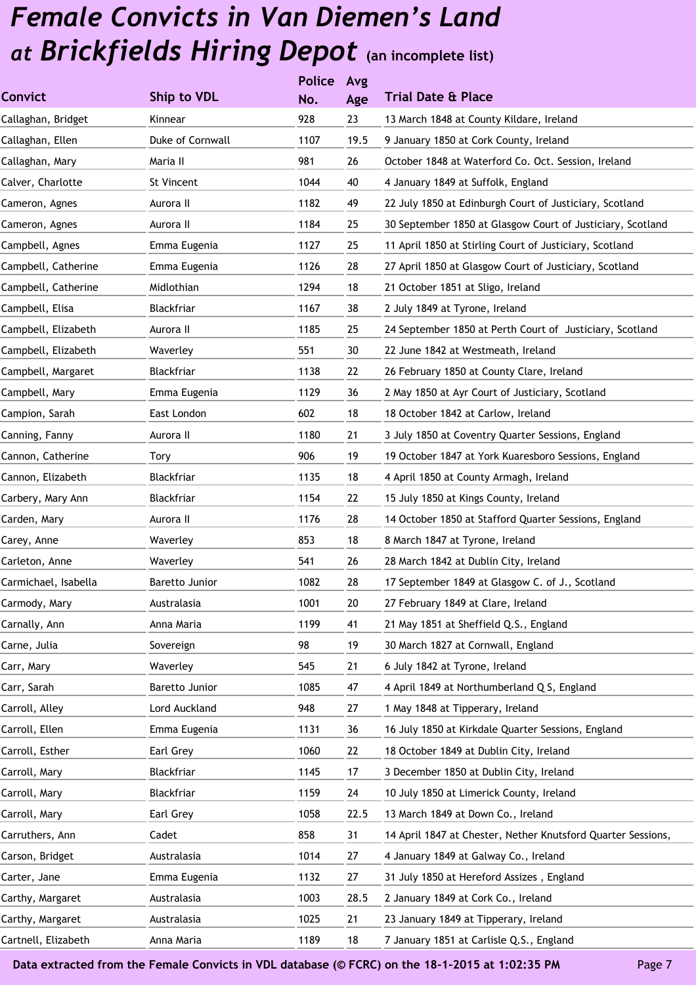|                      |                  | <b>Police</b> | Avg  |                                                              |
|----------------------|------------------|---------------|------|--------------------------------------------------------------|
| <b>Convict</b>       | Ship to VDL      | No.           | Age  | <b>Trial Date &amp; Place</b>                                |
| Callaghan, Bridget   | Kinnear          | 928           | 23   | 13 March 1848 at County Kildare, Ireland                     |
| Callaghan, Ellen     | Duke of Cornwall | 1107          | 19.5 | 9 January 1850 at Cork County, Ireland                       |
| Callaghan, Mary      | Maria II         | 981           | 26   | October 1848 at Waterford Co. Oct. Session, Ireland          |
| Calver, Charlotte    | St Vincent       | 1044          | 40   | 4 January 1849 at Suffolk, England                           |
| Cameron, Agnes       | Aurora II        | 1182          | 49   | 22 July 1850 at Edinburgh Court of Justiciary, Scotland      |
| Cameron, Agnes       | Aurora II        | 1184          | 25   | 30 September 1850 at Glasgow Court of Justiciary, Scotland   |
| Campbell, Agnes      | Emma Eugenia     | 1127          | 25   | 11 April 1850 at Stirling Court of Justiciary, Scotland      |
| Campbell, Catherine  | Emma Eugenia     | 1126          | 28   | 27 April 1850 at Glasgow Court of Justiciary, Scotland       |
| Campbell, Catherine  | Midlothian       | 1294          | 18   | 21 October 1851 at Sligo, Ireland                            |
| Campbell, Elisa      | Blackfriar       | 1167          | 38   | 2 July 1849 at Tyrone, Ireland                               |
| Campbell, Elizabeth  | Aurora II        | 1185          | 25   | 24 September 1850 at Perth Court of Justiciary, Scotland     |
| Campbell, Elizabeth  | Waverley         | 551           | 30   | 22 June 1842 at Westmeath, Ireland                           |
| Campbell, Margaret   | Blackfriar       | 1138          | 22   | 26 February 1850 at County Clare, Ireland                    |
| Campbell, Mary       | Emma Eugenia     | 1129          | 36   | 2 May 1850 at Ayr Court of Justiciary, Scotland              |
| Campion, Sarah       | East London      | 602           | 18   | 18 October 1842 at Carlow, Ireland                           |
| Canning, Fanny       | Aurora II        | 1180          | 21   | 3 July 1850 at Coventry Quarter Sessions, England            |
| Cannon, Catherine    | Tory             | 906           | 19   | 19 October 1847 at York Kuaresboro Sessions, England         |
| Cannon, Elizabeth    | Blackfriar       | 1135          | 18   | 4 April 1850 at County Armagh, Ireland                       |
| Carbery, Mary Ann    | Blackfriar       | 1154          | 22   | 15 July 1850 at Kings County, Ireland                        |
| Carden, Mary         | Aurora II        | 1176          | 28   | 14 October 1850 at Stafford Quarter Sessions, England        |
| Carey, Anne          | Waverley         | 853           | 18   | 8 March 1847 at Tyrone, Ireland                              |
| Carleton, Anne       | Waverley         | 541           | 26   | 28 March 1842 at Dublin City, Ireland                        |
| Carmichael, Isabella | Baretto Junior   | 1082          | 28   | 17 September 1849 at Glasgow C. of J., Scotland              |
| Carmody, Mary        | Australasia      | 1001          | 20   | 27 February 1849 at Clare, Ireland                           |
| Carnally, Ann        | Anna Maria       | 1199          | 41   | 21 May 1851 at Sheffield Q.S., England                       |
| Carne, Julia         | Sovereign        | 98            | 19   | 30 March 1827 at Cornwall, England                           |
| Carr, Mary           | Waverley         | 545           | 21   | 6 July 1842 at Tyrone, Ireland                               |
| Carr, Sarah          | Baretto Junior   | 1085          | 47   | 4 April 1849 at Northumberland Q S, England                  |
| Carroll, Alley       | Lord Auckland    | 948           | 27   | 1 May 1848 at Tipperary, Ireland                             |
| Carroll, Ellen       | Emma Eugenia     | 1131          | 36   | 16 July 1850 at Kirkdale Quarter Sessions, England           |
| Carroll, Esther      | Earl Grey        | 1060          | 22   | 18 October 1849 at Dublin City, Ireland                      |
| Carroll, Mary        | Blackfriar       | 1145          | 17   | 3 December 1850 at Dublin City, Ireland                      |
| Carroll, Mary        | Blackfriar       | 1159          | 24   | 10 July 1850 at Limerick County, Ireland                     |
| Carroll, Mary        | Earl Grey        | 1058          | 22.5 | 13 March 1849 at Down Co., Ireland                           |
| Carruthers, Ann      | Cadet            | 858           | 31   | 14 April 1847 at Chester, Nether Knutsford Quarter Sessions, |
| Carson, Bridget      | Australasia      | 1014          | 27   | 4 January 1849 at Galway Co., Ireland                        |
| Carter, Jane         | Emma Eugenia     | 1132          | 27   | 31 July 1850 at Hereford Assizes, England                    |
| Carthy, Margaret     | Australasia      | 1003          | 28.5 | 2 January 1849 at Cork Co., Ireland                          |
| Carthy, Margaret     | Australasia      | 1025          | 21   | 23 January 1849 at Tipperary, Ireland                        |
| Cartnell, Elizabeth  | Anna Maria       | 1189          | 18   | 7 January 1851 at Carlisle Q.S., England                     |
|                      |                  |               |      |                                                              |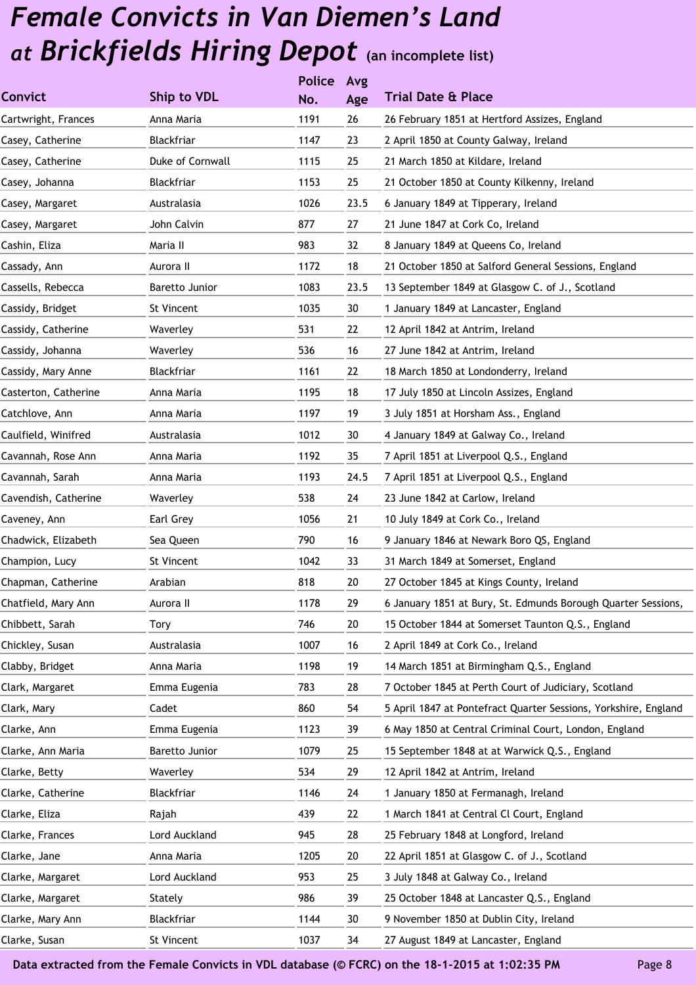|                      |                       | <b>Police</b> | Avg  |                                                                 |
|----------------------|-----------------------|---------------|------|-----------------------------------------------------------------|
| <b>Convict</b>       | Ship to VDL           | No.           | Age  | <b>Trial Date &amp; Place</b>                                   |
| Cartwright, Frances  | Anna Maria            | 1191          | 26   | 26 February 1851 at Hertford Assizes, England                   |
| Casey, Catherine     | <b>Blackfriar</b>     | 1147          | 23   | 2 April 1850 at County Galway, Ireland                          |
| Casey, Catherine     | Duke of Cornwall      | 1115          | 25   | 21 March 1850 at Kildare, Ireland                               |
| Casey, Johanna       | Blackfriar            | 1153          | 25   | 21 October 1850 at County Kilkenny, Ireland                     |
| Casey, Margaret      | Australasia           | 1026          | 23.5 | 6 January 1849 at Tipperary, Ireland                            |
| Casey, Margaret      | John Calvin           | 877           | 27   | 21 June 1847 at Cork Co, Ireland                                |
| Cashin, Eliza        | Maria II              | 983           | 32   | 8 January 1849 at Queens Co, Ireland                            |
| Cassady, Ann         | Aurora II             | 1172          | 18   | 21 October 1850 at Salford General Sessions, England            |
| Cassells, Rebecca    | Baretto Junior        | 1083          | 23.5 | 13 September 1849 at Glasgow C. of J., Scotland                 |
| Cassidy, Bridget     | St Vincent            | 1035          | 30   | 1 January 1849 at Lancaster, England                            |
| Cassidy, Catherine   | Waverley              | 531           | 22   | 12 April 1842 at Antrim, Ireland                                |
| Cassidy, Johanna     | Waverley              | 536           | 16   | 27 June 1842 at Antrim, Ireland                                 |
| Cassidy, Mary Anne   | Blackfriar            | 1161          | 22   | 18 March 1850 at Londonderry, Ireland                           |
| Casterton, Catherine | Anna Maria            | 1195          | 18   | 17 July 1850 at Lincoln Assizes, England                        |
| Catchlove, Ann       | Anna Maria            | 1197          | 19   | 3 July 1851 at Horsham Ass., England                            |
| Caulfield, Winifred  | Australasia           | 1012          | 30   | 4 January 1849 at Galway Co., Ireland                           |
| Cavannah, Rose Ann   | Anna Maria            | 1192          | 35   | 7 April 1851 at Liverpool Q.S., England                         |
| Cavannah, Sarah      | Anna Maria            | 1193          | 24.5 | 7 April 1851 at Liverpool Q.S., England                         |
| Cavendish, Catherine | Waverley              | 538           | 24   | 23 June 1842 at Carlow, Ireland                                 |
| Caveney, Ann         | Earl Grey             | 1056          | 21   | 10 July 1849 at Cork Co., Ireland                               |
| Chadwick, Elizabeth  | Sea Queen             | 790           | 16   | 9 January 1846 at Newark Boro QS, England                       |
| Champion, Lucy       | St Vincent            | 1042          | 33   | 31 March 1849 at Somerset, England                              |
| Chapman, Catherine   | Arabian               | 818           | 20   | 27 October 1845 at Kings County, Ireland                        |
| Chatfield, Mary Ann  | Aurora II             | 1178          | 29   | 6 January 1851 at Bury, St. Edmunds Borough Quarter Sessions,   |
| Chibbett, Sarah      | Tory                  | 746           | 20   | 15 October 1844 at Somerset Taunton Q.S., England               |
| Chickley, Susan      | Australasia           | 1007          | 16   | 2 April 1849 at Cork Co., Ireland                               |
| Clabby, Bridget      | Anna Maria            | 1198          | 19   | 14 March 1851 at Birmingham Q.S., England                       |
| Clark, Margaret      | Emma Eugenia          | 783           | 28   | 7 October 1845 at Perth Court of Judiciary, Scotland            |
| Clark, Mary          | Cadet                 | 860           | 54   | 5 April 1847 at Pontefract Quarter Sessions, Yorkshire, England |
| Clarke, Ann          | Emma Eugenia          | 1123          | 39   | 6 May 1850 at Central Criminal Court, London, England           |
| Clarke, Ann Maria    | <b>Baretto Junior</b> | 1079          | 25   | 15 September 1848 at at Warwick Q.S., England                   |
| Clarke, Betty        | Waverley              | 534           | 29   | 12 April 1842 at Antrim, Ireland                                |
| Clarke, Catherine    | Blackfriar            | 1146          | 24   | 1 January 1850 at Fermanagh, Ireland                            |
| Clarke, Eliza        | Rajah                 | 439           | 22   | 1 March 1841 at Central Cl Court, England                       |
| Clarke, Frances      | Lord Auckland         | 945           | 28   | 25 February 1848 at Longford, Ireland                           |
| Clarke, Jane         | Anna Maria            | 1205          | 20   | 22 April 1851 at Glasgow C. of J., Scotland                     |
| Clarke, Margaret     | Lord Auckland         | 953           | 25   | 3 July 1848 at Galway Co., Ireland                              |
| Clarke, Margaret     | Stately               | 986           | 39   | 25 October 1848 at Lancaster Q.S., England                      |
| Clarke, Mary Ann     | Blackfriar            | 1144          | 30   | 9 November 1850 at Dublin City, Ireland                         |
| Clarke, Susan        | St Vincent            | 1037          | 34   | 27 August 1849 at Lancaster, England                            |
|                      |                       |               |      |                                                                 |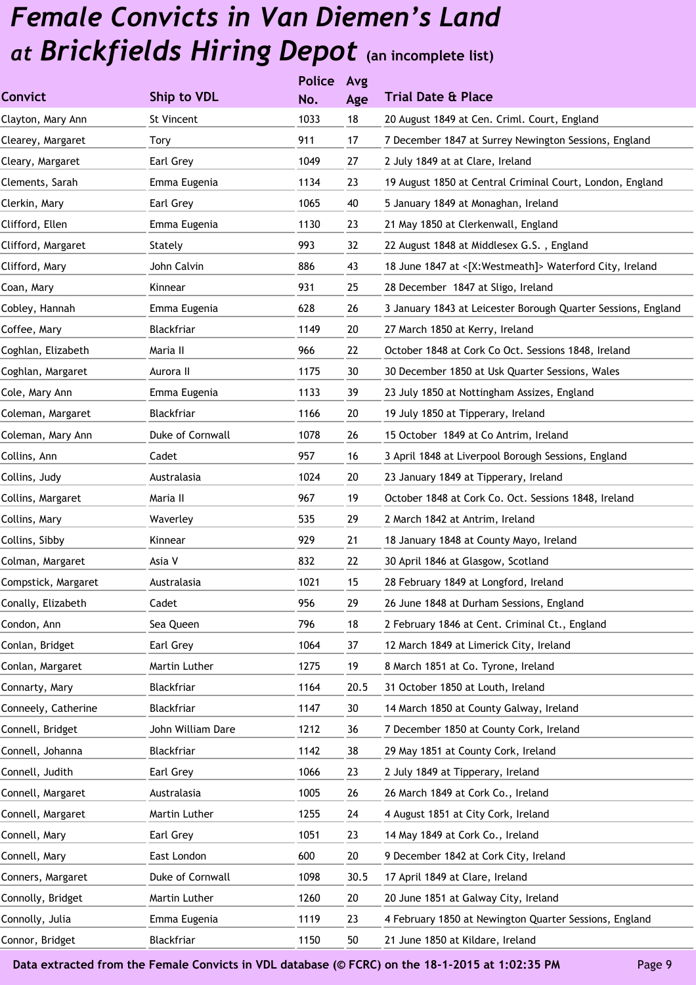|                     |                   | <b>Police</b> | Avg  |                                                               |
|---------------------|-------------------|---------------|------|---------------------------------------------------------------|
| <b>Convict</b>      | Ship to VDL       | No.           | Age  | <b>Trial Date &amp; Place</b>                                 |
| Clayton, Mary Ann   | St Vincent        | 1033          | 18   | 20 August 1849 at Cen. Criml. Court, England                  |
| Clearey, Margaret   | <b>Tory</b>       | 911           | 17   | 7 December 1847 at Surrey Newington Sessions, England         |
| Cleary, Margaret    | Earl Grey         | 1049          | 27   | 2 July 1849 at at Clare, Ireland                              |
| Clements, Sarah     | Emma Eugenia      | 1134          | 23   | 19 August 1850 at Central Criminal Court, London, England     |
| Clerkin, Mary       | Earl Grey         | 1065          | 40   | 5 January 1849 at Monaghan, Ireland                           |
| Clifford, Ellen     | Emma Eugenia      | 1130          | 23   | 21 May 1850 at Clerkenwall, England                           |
| Clifford, Margaret  | Stately           | 993           | 32   | 22 August 1848 at Middlesex G.S., England                     |
| Clifford, Mary      | John Calvin       | 886           | 43   | 18 June 1847 at <[X:Westmeath]> Waterford City, Ireland       |
| Coan, Mary          | Kinnear           | 931           | 25   | 28 December 1847 at Sligo, Ireland                            |
| Cobley, Hannah      | Emma Eugenia      | 628           | 26   | 3 January 1843 at Leicester Borough Quarter Sessions, England |
| Coffee, Mary        | Blackfriar        | 1149          | 20   | 27 March 1850 at Kerry, Ireland                               |
| Coghlan, Elizabeth  | Maria II          | 966           | 22   | October 1848 at Cork Co Oct. Sessions 1848, Ireland           |
| Coghlan, Margaret   | Aurora II         | 1175          | 30   | 30 December 1850 at Usk Quarter Sessions, Wales               |
| Cole, Mary Ann      | Emma Eugenia      | 1133          | 39   | 23 July 1850 at Nottingham Assizes, England                   |
| Coleman, Margaret   | Blackfriar        | 1166          | 20   | 19 July 1850 at Tipperary, Ireland                            |
| Coleman, Mary Ann   | Duke of Cornwall  | 1078          | 26   | 15 October 1849 at Co Antrim, Ireland                         |
| Collins, Ann        | Cadet             | 957           | 16   | 3 April 1848 at Liverpool Borough Sessions, England           |
| Collins, Judy       | Australasia       | 1024          | 20   | 23 January 1849 at Tipperary, Ireland                         |
| Collins, Margaret   | Maria II          | 967           | 19   | October 1848 at Cork Co. Oct. Sessions 1848, Ireland          |
| Collins, Mary       | Waverley          | 535           | 29   | 2 March 1842 at Antrim, Ireland                               |
| Collins, Sibby      | Kinnear           | 929           | 21   | 18 January 1848 at County Mayo, Ireland                       |
| Colman, Margaret    | Asia V            | 832           | 22   | 30 April 1846 at Glasgow, Scotland                            |
| Compstick, Margaret | Australasia       | 1021          | 15   | 28 February 1849 at Longford, Ireland                         |
| Conally, Elizabeth  | Cadet             | 956           | 29   | 26 June 1848 at Durham Sessions, England                      |
| Condon, Ann         | Sea Queen         | 796           | 18   | 2 February 1846 at Cent. Criminal Ct., England                |
| Conlan, Bridget     | Earl Grey         | 1064          | 37   | 12 March 1849 at Limerick City, Ireland                       |
| Conlan, Margaret    | Martin Luther     | 1275          | 19   | 8 March 1851 at Co. Tyrone, Ireland                           |
| Connarty, Mary      | Blackfriar        | 1164          | 20.5 | 31 October 1850 at Louth, Ireland                             |
| Conneely, Catherine | Blackfriar        | 1147          | 30   | 14 March 1850 at County Galway, Ireland                       |
| Connell, Bridget    | John William Dare | 1212          | 36   | 7 December 1850 at County Cork, Ireland                       |
| Connell, Johanna    | Blackfriar        | 1142          | 38   | 29 May 1851 at County Cork, Ireland                           |
| Connell, Judith     | Earl Grey         | 1066          | 23   | 2 July 1849 at Tipperary, Ireland                             |
| Connell, Margaret   | Australasia       | 1005          | 26   | 26 March 1849 at Cork Co., Ireland                            |
| Connell, Margaret   | Martin Luther     | 1255          | 24   | 4 August 1851 at City Cork, Ireland                           |
| Connell, Mary       | Earl Grey         | 1051          | 23   | 14 May 1849 at Cork Co., Ireland                              |
| Connell, Mary       | East London       | 600           | 20   | 9 December 1842 at Cork City, Ireland                         |
| Conners, Margaret   | Duke of Cornwall  | 1098          | 30.5 | 17 April 1849 at Clare, Ireland                               |
| Connolly, Bridget   | Martin Luther     | 1260          | 20   | 20 June 1851 at Galway City, Ireland                          |
| Connolly, Julia     | Emma Eugenia      | 1119          | 23   | 4 February 1850 at Newington Quarter Sessions, England        |
| Connor, Bridget     | Blackfriar        | 1150          | 50   | 21 June 1850 at Kildare, Ireland                              |
|                     |                   |               |      |                                                               |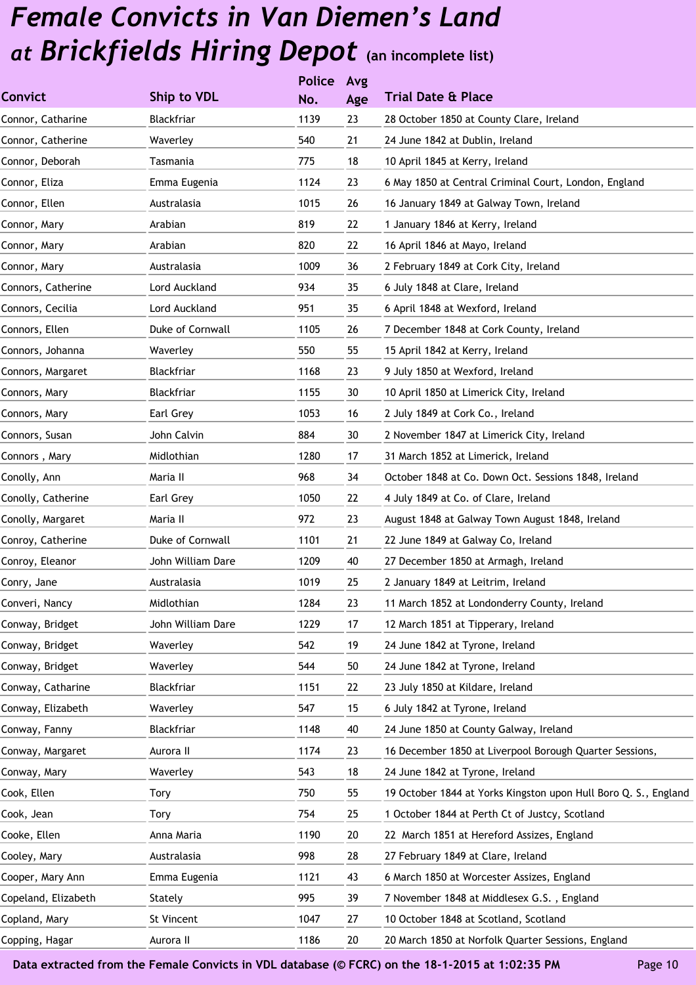|                     |                   | <b>Police</b> | Avg |                                                                 |
|---------------------|-------------------|---------------|-----|-----------------------------------------------------------------|
| <b>Convict</b>      | Ship to VDL       | No.           | Age | <b>Trial Date &amp; Place</b>                                   |
| Connor, Catharine   | Blackfriar        | 1139          | 23  | 28 October 1850 at County Clare, Ireland                        |
| Connor, Catherine   | Waverley          | 540           | 21  | 24 June 1842 at Dublin, Ireland                                 |
| Connor, Deborah     | Tasmania          | 775           | 18  | 10 April 1845 at Kerry, Ireland                                 |
| Connor, Eliza       | Emma Eugenia      | 1124          | 23  | 6 May 1850 at Central Criminal Court, London, England           |
| Connor, Ellen       | Australasia       | 1015          | 26  | 16 January 1849 at Galway Town, Ireland                         |
| Connor, Mary        | Arabian           | 819           | 22  | 1 January 1846 at Kerry, Ireland                                |
| Connor, Mary        | Arabian           | 820           | 22  | 16 April 1846 at Mayo, Ireland                                  |
| Connor, Mary        | Australasia       | 1009          | 36  | 2 February 1849 at Cork City, Ireland                           |
| Connors, Catherine  | Lord Auckland     | 934           | 35  | 6 July 1848 at Clare, Ireland                                   |
| Connors, Cecilia    | Lord Auckland     | 951           | 35  | 6 April 1848 at Wexford, Ireland                                |
| Connors, Ellen      | Duke of Cornwall  | 1105          | 26  | 7 December 1848 at Cork County, Ireland                         |
| Connors, Johanna    | Waverley          | 550           | 55  | 15 April 1842 at Kerry, Ireland                                 |
| Connors, Margaret   | Blackfriar        | 1168          | 23  | 9 July 1850 at Wexford, Ireland                                 |
| Connors, Mary       | Blackfriar        | 1155          | 30  | 10 April 1850 at Limerick City, Ireland                         |
| Connors, Mary       | Earl Grey         | 1053          | 16  | 2 July 1849 at Cork Co., Ireland                                |
| Connors, Susan      | John Calvin       | 884           | 30  | 2 November 1847 at Limerick City, Ireland                       |
| Connors, Mary       | Midlothian        | 1280          | 17  | 31 March 1852 at Limerick, Ireland                              |
| Conolly, Ann        | Maria II          | 968           | 34  | October 1848 at Co. Down Oct. Sessions 1848, Ireland            |
| Conolly, Catherine  | Earl Grey         | 1050          | 22  | 4 July 1849 at Co. of Clare, Ireland                            |
| Conolly, Margaret   | Maria II          | 972           | 23  | August 1848 at Galway Town August 1848, Ireland                 |
| Conroy, Catherine   | Duke of Cornwall  | 1101          | 21  | 22 June 1849 at Galway Co, Ireland                              |
| Conroy, Eleanor     | John William Dare | 1209          | 40  | 27 December 1850 at Armagh, Ireland                             |
| Conry, Jane         | Australasia       | 1019          | 25  | 2 January 1849 at Leitrim, Ireland                              |
| Converi, Nancy      | Midlothian        | 1284          | 23  | 11 March 1852 at Londonderry County, Ireland                    |
| Conway, Bridget     | John William Dare | 1229          | 17  | 12 March 1851 at Tipperary, Ireland                             |
| Conway, Bridget     | Waverley          | 542           | 19  | 24 June 1842 at Tyrone, Ireland                                 |
| Conway, Bridget     | Waverley          | 544           | 50  | 24 June 1842 at Tyrone, Ireland                                 |
| Conway, Catharine   | Blackfriar        | 1151          | 22  | 23 July 1850 at Kildare, Ireland                                |
| Conway, Elizabeth   | Waverley          | 547           | 15  | 6 July 1842 at Tyrone, Ireland                                  |
| Conway, Fanny       | Blackfriar        | 1148          | 40  | 24 June 1850 at County Galway, Ireland                          |
| Conway, Margaret    | Aurora II         | 1174          | 23  | 16 December 1850 at Liverpool Borough Quarter Sessions,         |
| Conway, Mary        | Waverley          | 543           | 18  | 24 June 1842 at Tyrone, Ireland                                 |
| Cook, Ellen         | Tory              | 750           | 55  | 19 October 1844 at Yorks Kingston upon Hull Boro Q. S., England |
| Cook, Jean          | Tory              | 754           | 25  | 1 October 1844 at Perth Ct of Justcy, Scotland                  |
| Cooke, Ellen        | Anna Maria        | 1190          | 20  | 22 March 1851 at Hereford Assizes, England                      |
| Cooley, Mary        | Australasia       | 998           | 28  | 27 February 1849 at Clare, Ireland                              |
| Cooper, Mary Ann    | Emma Eugenia      | 1121          | 43  | 6 March 1850 at Worcester Assizes, England                      |
| Copeland, Elizabeth | Stately           | 995           | 39  | 7 November 1848 at Middlesex G.S., England                      |
| Copland, Mary       | St Vincent        | 1047          | 27  | 10 October 1848 at Scotland, Scotland                           |
| Copping, Hagar      | Aurora II         | 1186          | 20  | 20 March 1850 at Norfolk Quarter Sessions, England              |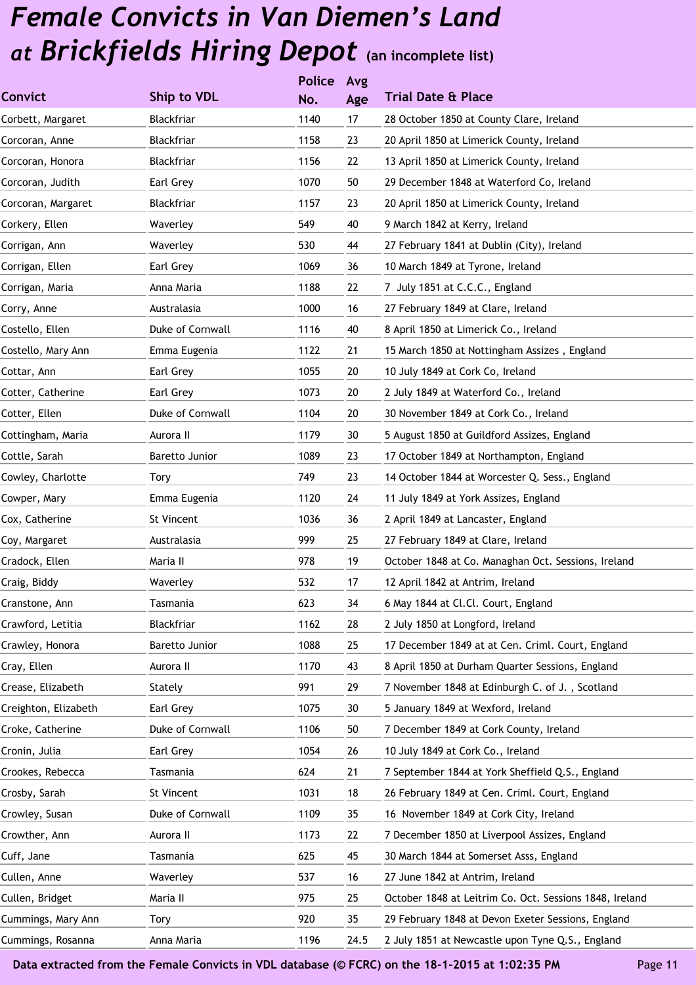|                      |                  | <b>Police</b> | Avg  |                                                         |
|----------------------|------------------|---------------|------|---------------------------------------------------------|
| <b>Convict</b>       | Ship to VDL      | No.           | Age  | <b>Trial Date &amp; Place</b>                           |
| Corbett, Margaret    | Blackfriar       | 1140          | 17   | 28 October 1850 at County Clare, Ireland                |
| Corcoran, Anne       | Blackfriar       | 1158          | 23   | 20 April 1850 at Limerick County, Ireland               |
| Corcoran, Honora     | Blackfriar       | 1156          | 22   | 13 April 1850 at Limerick County, Ireland               |
| Corcoran, Judith     | Earl Grey        | 1070          | 50   | 29 December 1848 at Waterford Co, Ireland               |
| Corcoran, Margaret   | Blackfriar       | 1157          | 23   | 20 April 1850 at Limerick County, Ireland               |
| Corkery, Ellen       | Waverley         | 549           | 40   | 9 March 1842 at Kerry, Ireland                          |
| Corrigan, Ann        | Waverley         | 530           | 44   | 27 February 1841 at Dublin (City), Ireland              |
| Corrigan, Ellen      | Earl Grey        | 1069          | 36   | 10 March 1849 at Tyrone, Ireland                        |
| Corrigan, Maria      | Anna Maria       | 1188          | 22   | 7 July 1851 at C.C.C., England                          |
| Corry, Anne          | Australasia      | 1000          | 16   | 27 February 1849 at Clare, Ireland                      |
| Costello, Ellen      | Duke of Cornwall | 1116          | 40   | 8 April 1850 at Limerick Co., Ireland                   |
| Costello, Mary Ann   | Emma Eugenia     | 1122          | 21   | 15 March 1850 at Nottingham Assizes, England            |
| Cottar, Ann          | Earl Grey        | 1055          | 20   | 10 July 1849 at Cork Co, Ireland                        |
| Cotter, Catherine    | Earl Grey        | 1073          | 20   | 2 July 1849 at Waterford Co., Ireland                   |
| Cotter, Ellen        | Duke of Cornwall | 1104          | 20   | 30 November 1849 at Cork Co., Ireland                   |
| Cottingham, Maria    | Aurora II        | 1179          | 30   | 5 August 1850 at Guildford Assizes, England             |
| Cottle, Sarah        | Baretto Junior   | 1089          | 23   | 17 October 1849 at Northampton, England                 |
| Cowley, Charlotte    | Tory             | 749           | 23   | 14 October 1844 at Worcester Q. Sess., England          |
| Cowper, Mary         | Emma Eugenia     | 1120          | 24   | 11 July 1849 at York Assizes, England                   |
| Cox, Catherine       | St Vincent       | 1036          | 36   | 2 April 1849 at Lancaster, England                      |
| Coy, Margaret        | Australasia      | 999           | 25   | 27 February 1849 at Clare, Ireland                      |
| Cradock, Ellen       | Maria II         | 978           | 19   | October 1848 at Co. Managhan Oct. Sessions, Ireland     |
| Craig, Biddy         | Waverley         | 532           | 17   | 12 April 1842 at Antrim, Ireland                        |
| Cranstone, Ann       | Tasmania         | 623           | 34   | 6 May 1844 at Cl.Cl. Court, England                     |
| Crawford, Letitia    | Blackfriar       | 1162          | 28   | 2 July 1850 at Longford, Ireland                        |
| Crawley, Honora      | Baretto Junior   | 1088          | 25   | 17 December 1849 at at Cen. Criml. Court, England       |
| Cray, Ellen          | Aurora II        | 1170          | 43   | 8 April 1850 at Durham Quarter Sessions, England        |
| Crease, Elizabeth    | Stately          | 991           | 29   | 7 November 1848 at Edinburgh C. of J., Scotland         |
| Creighton, Elizabeth | Earl Grey        | 1075          | 30   | 5 January 1849 at Wexford, Ireland                      |
| Croke, Catherine     | Duke of Cornwall | 1106          | 50   | 7 December 1849 at Cork County, Ireland                 |
| Cronin, Julia        | Earl Grey        | 1054          | 26   | 10 July 1849 at Cork Co., Ireland                       |
| Crookes, Rebecca     | Tasmania         | 624           | 21   | 7 September 1844 at York Sheffield Q.S., England        |
| Crosby, Sarah        | St Vincent       | 1031          | 18   | 26 February 1849 at Cen. Criml. Court, England          |
| Crowley, Susan       | Duke of Cornwall | 1109          | 35   | 16 November 1849 at Cork City, Ireland                  |
| Crowther, Ann        | Aurora II        | 1173          | 22   | 7 December 1850 at Liverpool Assizes, England           |
| Cuff, Jane           | Tasmania         | 625           | 45   | 30 March 1844 at Somerset Asss, England                 |
| Cullen, Anne         | Waverley         | 537           | 16   | 27 June 1842 at Antrim, Ireland                         |
| Cullen, Bridget      | Maria II         | 975           | 25   | October 1848 at Leitrim Co. Oct. Sessions 1848, Ireland |
| Cummings, Mary Ann   | Tory             | 920           | 35   | 29 February 1848 at Devon Exeter Sessions, England      |
| Cummings, Rosanna    | Anna Maria       | 1196          | 24.5 | 2 July 1851 at Newcastle upon Tyne Q.S., England        |
|                      |                  |               |      |                                                         |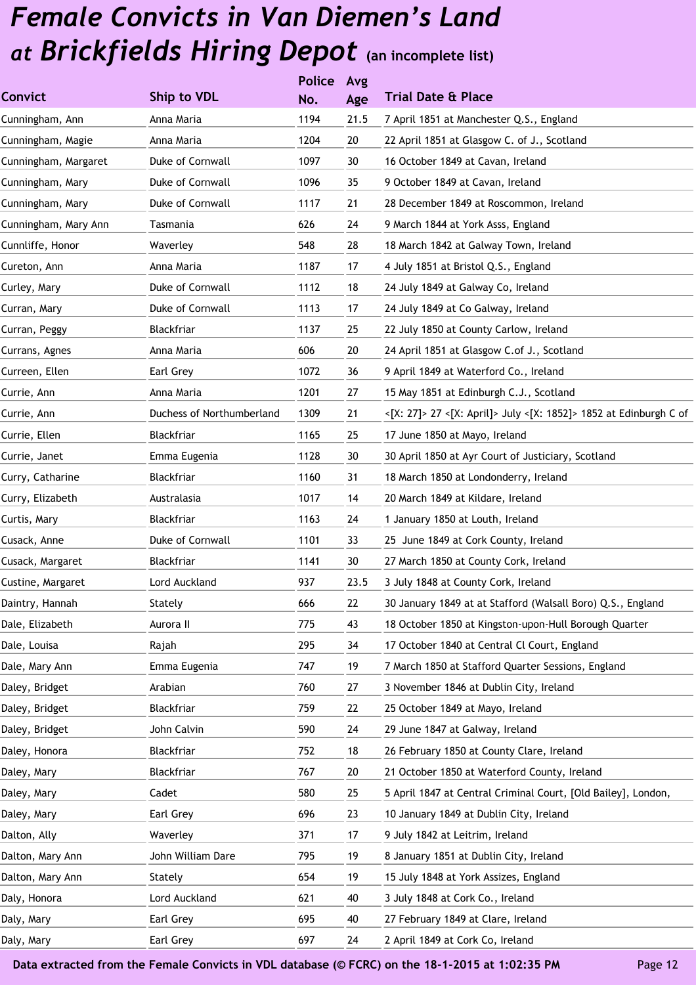|                      |                           | <b>Police</b> | Avg  |                                                                   |
|----------------------|---------------------------|---------------|------|-------------------------------------------------------------------|
| <b>Convict</b>       | Ship to VDL               | No.           | Age  | <b>Trial Date &amp; Place</b>                                     |
| Cunningham, Ann      | Anna Maria                | 1194          | 21.5 | 7 April 1851 at Manchester Q.S., England                          |
| Cunningham, Magie    | Anna Maria                | 1204          | 20   | 22 April 1851 at Glasgow C. of J., Scotland                       |
| Cunningham, Margaret | Duke of Cornwall          | 1097          | 30   | 16 October 1849 at Cavan, Ireland                                 |
| Cunningham, Mary     | Duke of Cornwall          | 1096          | 35   | 9 October 1849 at Cavan, Ireland                                  |
| Cunningham, Mary     | Duke of Cornwall          | 1117          | 21   | 28 December 1849 at Roscommon, Ireland                            |
| Cunningham, Mary Ann | Tasmania                  | 626           | 24   | 9 March 1844 at York Asss, England                                |
| Cunnliffe, Honor     | Waverley                  | 548           | 28   | 18 March 1842 at Galway Town, Ireland                             |
| Cureton, Ann         | Anna Maria                | 1187          | 17   | 4 July 1851 at Bristol Q.S., England                              |
| Curley, Mary         | Duke of Cornwall          | 1112          | 18   | 24 July 1849 at Galway Co, Ireland                                |
| Curran, Mary         | Duke of Cornwall          | 1113          | 17   | 24 July 1849 at Co Galway, Ireland                                |
| Curran, Peggy        | Blackfriar                | 1137          | 25   | 22 July 1850 at County Carlow, Ireland                            |
| Currans, Agnes       | Anna Maria                | 606           | 20   | 24 April 1851 at Glasgow C.of J., Scotland                        |
| Curreen, Ellen       | Earl Grey                 | 1072          | 36   | 9 April 1849 at Waterford Co., Ireland                            |
| Currie, Ann          | Anna Maria                | 1201          | 27   | 15 May 1851 at Edinburgh C.J., Scotland                           |
| Currie, Ann          | Duchess of Northumberland | 1309          | 21   | <[X: 27]> 27 <[X: April]> July <[X: 1852]> 1852 at Edinburgh C of |
| Currie, Ellen        | Blackfriar                | 1165          | 25   | 17 June 1850 at Mayo, Ireland                                     |
| Currie, Janet        | Emma Eugenia              | 1128          | 30   | 30 April 1850 at Ayr Court of Justiciary, Scotland                |
| Curry, Catharine     | Blackfriar                | 1160          | 31   | 18 March 1850 at Londonderry, Ireland                             |
| Curry, Elizabeth     | Australasia               | 1017          | 14   | 20 March 1849 at Kildare, Ireland                                 |
| Curtis, Mary         | Blackfriar                | 1163          | 24   | 1 January 1850 at Louth, Ireland                                  |
| Cusack, Anne         | Duke of Cornwall          | 1101          | 33   | 25 June 1849 at Cork County, Ireland                              |
| Cusack, Margaret     | Blackfriar                | 1141          | 30   | 27 March 1850 at County Cork, Ireland                             |
| Custine, Margaret    | Lord Auckland             | 937           | 23.5 | 3 July 1848 at County Cork, Ireland                               |
| Daintry, Hannah      | Stately                   | 666           | 22   | 30 January 1849 at at Stafford (Walsall Boro) Q.S., England       |
| Dale, Elizabeth      | Aurora II                 | 775           | 43   | 18 October 1850 at Kingston-upon-Hull Borough Quarter             |
| Dale, Louisa         | Rajah                     | 295           | 34   | 17 October 1840 at Central Cl Court, England                      |
| Dale, Mary Ann       | Emma Eugenia              | 747           | 19   | 7 March 1850 at Stafford Quarter Sessions, England                |
| Daley, Bridget       | Arabian                   | 760           | 27   | 3 November 1846 at Dublin City, Ireland                           |
| Daley, Bridget       | Blackfriar                | 759           | 22   | 25 October 1849 at Mayo, Ireland                                  |
| Daley, Bridget       | John Calvin               | 590           | 24   | 29 June 1847 at Galway, Ireland                                   |
| Daley, Honora        | Blackfriar                | 752           | 18   | 26 February 1850 at County Clare, Ireland                         |
| Daley, Mary          | Blackfriar                | 767           | 20   | 21 October 1850 at Waterford County, Ireland                      |
| Daley, Mary          | Cadet                     | 580           | 25   | 5 April 1847 at Central Criminal Court, [Old Bailey], London,     |
| Daley, Mary          | Earl Grey                 | 696           | 23   | 10 January 1849 at Dublin City, Ireland                           |
| Dalton, Ally         | Waverley                  | 371           | 17   | 9 July 1842 at Leitrim, Ireland                                   |
| Dalton, Mary Ann     | John William Dare         | 795           | 19   | 8 January 1851 at Dublin City, Ireland                            |
| Dalton, Mary Ann     | Stately                   | 654           | 19   | 15 July 1848 at York Assizes, England                             |
| Daly, Honora         | Lord Auckland             | 621           | 40   | 3 July 1848 at Cork Co., Ireland                                  |
| Daly, Mary           | Earl Grey                 | 695           | 40   | 27 February 1849 at Clare, Ireland                                |
| Daly, Mary           | Earl Grey                 | 697           | 24   | 2 April 1849 at Cork Co, Ireland                                  |
|                      |                           |               |      |                                                                   |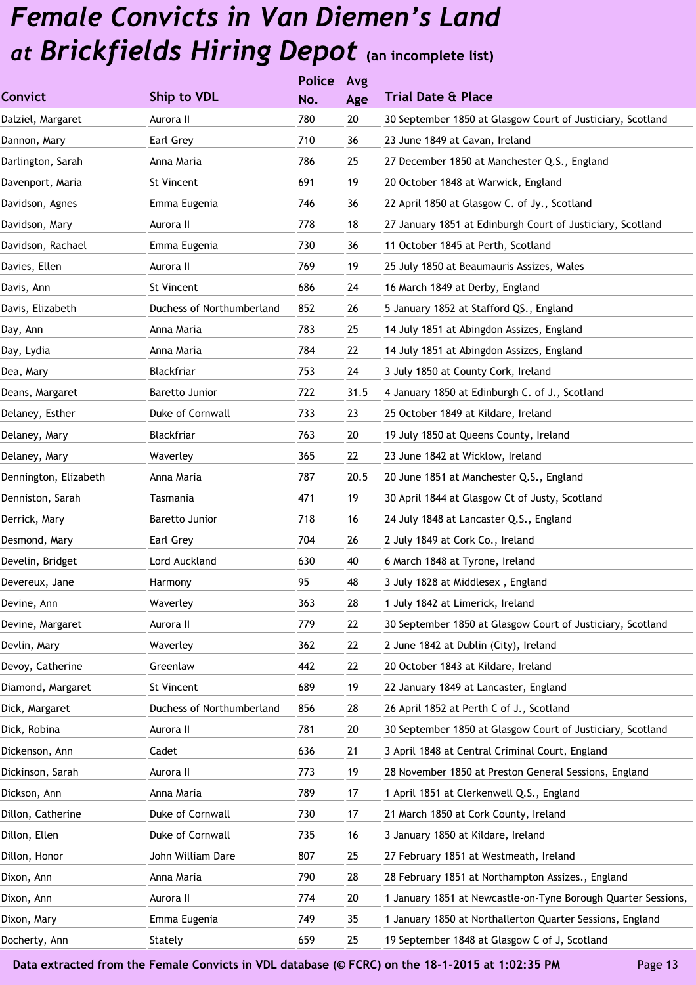|                       |                           | <b>Police</b> | Avg  |                                                               |
|-----------------------|---------------------------|---------------|------|---------------------------------------------------------------|
| <b>Convict</b>        | <b>Ship to VDL</b>        | No.           | Age  | <b>Trial Date &amp; Place</b>                                 |
| Dalziel, Margaret     | Aurora II                 | 780           | 20   | 30 September 1850 at Glasgow Court of Justiciary, Scotland    |
| Dannon, Mary          | Earl Grey                 | 710           | 36   | 23 June 1849 at Cavan, Ireland                                |
| Darlington, Sarah     | Anna Maria                | 786           | 25   | 27 December 1850 at Manchester Q.S., England                  |
| Davenport, Maria      | St Vincent                | 691           | 19   | 20 October 1848 at Warwick, England                           |
| Davidson, Agnes       | Emma Eugenia              | 746           | 36   | 22 April 1850 at Glasgow C. of Jy., Scotland                  |
| Davidson, Mary        | Aurora II                 | 778           | 18   | 27 January 1851 at Edinburgh Court of Justiciary, Scotland    |
| Davidson, Rachael     | Emma Eugenia              | 730           | 36   | 11 October 1845 at Perth, Scotland                            |
| Davies, Ellen         | Aurora II                 | 769           | 19   | 25 July 1850 at Beaumauris Assizes, Wales                     |
| Davis, Ann            | St Vincent                | 686           | 24   | 16 March 1849 at Derby, England                               |
| Davis, Elizabeth      | Duchess of Northumberland | 852           | 26   | 5 January 1852 at Stafford QS., England                       |
| Day, Ann              | Anna Maria                | 783           | 25   | 14 July 1851 at Abingdon Assizes, England                     |
| Day, Lydia            | Anna Maria                | 784           | 22   | 14 July 1851 at Abingdon Assizes, England                     |
| Dea, Mary             | Blackfriar                | 753           | 24   | 3 July 1850 at County Cork, Ireland                           |
| Deans, Margaret       | Baretto Junior            | 722           | 31.5 | 4 January 1850 at Edinburgh C. of J., Scotland                |
| Delaney, Esther       | Duke of Cornwall          | 733           | 23   | 25 October 1849 at Kildare, Ireland                           |
| Delaney, Mary         | Blackfriar                | 763           | 20   | 19 July 1850 at Queens County, Ireland                        |
| Delaney, Mary         | Waverley                  | 365           | 22   | 23 June 1842 at Wicklow, Ireland                              |
| Dennington, Elizabeth | Anna Maria                | 787           | 20.5 | 20 June 1851 at Manchester Q.S., England                      |
| Denniston, Sarah      | Tasmania                  | 471           | 19   | 30 April 1844 at Glasgow Ct of Justy, Scotland                |
| Derrick, Mary         | Baretto Junior            | 718           | 16   | 24 July 1848 at Lancaster Q.S., England                       |
| Desmond, Mary         | Earl Grey                 | 704           | 26   | 2 July 1849 at Cork Co., Ireland                              |
| Develin, Bridget      | Lord Auckland             | 630           | 40   | 6 March 1848 at Tyrone, Ireland                               |
| Devereux, Jane        | Harmony                   | 95            | 48   | 3 July 1828 at Middlesex, England                             |
| Devine, Ann           | Waverley                  | 363           | 28   | 1 July 1842 at Limerick, Ireland                              |
| Devine, Margaret      | Aurora II                 | 779           | 22   | 30 September 1850 at Glasgow Court of Justiciary, Scotland    |
| Devlin, Mary          | Waverley                  | 362           | 22   | 2 June 1842 at Dublin (City), Ireland                         |
| Devoy, Catherine      | Greenlaw                  | 442           | 22   | 20 October 1843 at Kildare, Ireland                           |
| Diamond, Margaret     | St Vincent                | 689           | 19   | 22 January 1849 at Lancaster, England                         |
| Dick, Margaret        | Duchess of Northumberland | 856           | 28   | 26 April 1852 at Perth C of J., Scotland                      |
| Dick, Robina          | Aurora II                 | 781           | 20   | 30 September 1850 at Glasgow Court of Justiciary, Scotland    |
| Dickenson, Ann        | Cadet                     | 636           | 21   | 3 April 1848 at Central Criminal Court, England               |
| Dickinson, Sarah      | Aurora II                 | 773           | 19   | 28 November 1850 at Preston General Sessions, England         |
| Dickson, Ann          | Anna Maria                | 789           | 17   | 1 April 1851 at Clerkenwell Q.S., England                     |
| Dillon, Catherine     | Duke of Cornwall          | 730           | 17   | 21 March 1850 at Cork County, Ireland                         |
| Dillon, Ellen         | Duke of Cornwall          | 735           | 16   | 3 January 1850 at Kildare, Ireland                            |
| Dillon, Honor         | John William Dare         | 807           | 25   | 27 February 1851 at Westmeath, Ireland                        |
| Dixon, Ann            | Anna Maria                | 790           | 28   | 28 February 1851 at Northampton Assizes., England             |
| Dixon, Ann            | Aurora II                 | 774           | 20   | 1 January 1851 at Newcastle-on-Tyne Borough Quarter Sessions, |
| Dixon, Mary           | Emma Eugenia              | 749           | 35   | 1 January 1850 at Northallerton Quarter Sessions, England     |
| Docherty, Ann         | Stately                   | 659           | 25   | 19 September 1848 at Glasgow C of J, Scotland                 |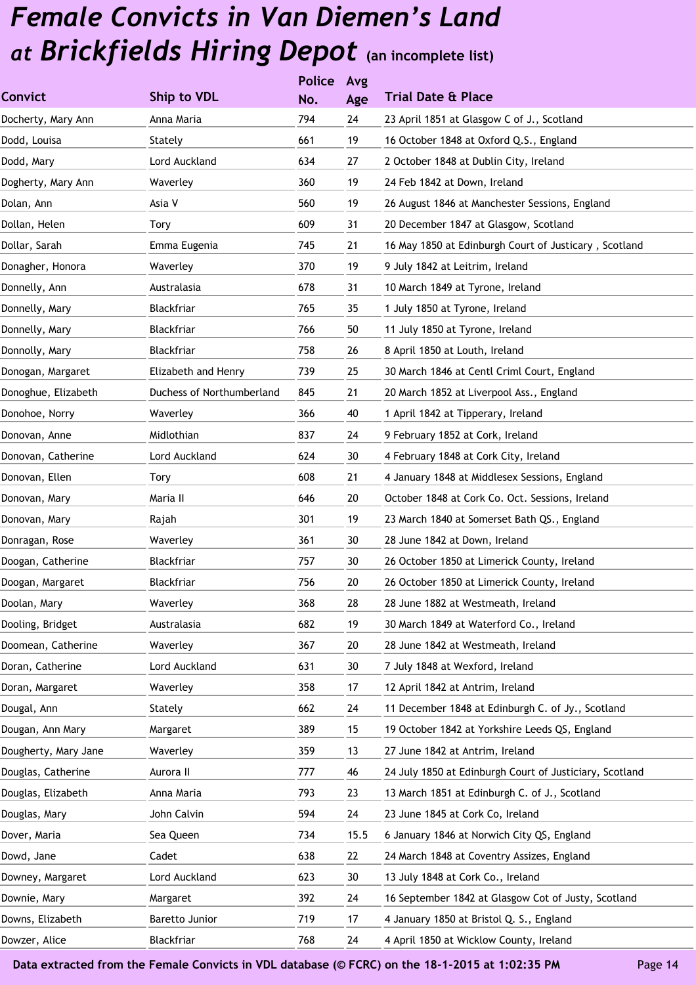|                      |                           | <b>Police</b> | Avg  |                                                         |
|----------------------|---------------------------|---------------|------|---------------------------------------------------------|
| <b>Convict</b>       | Ship to VDL               | No.           | Age  | <b>Trial Date &amp; Place</b>                           |
| Docherty, Mary Ann   | Anna Maria                | 794           | 24   | 23 April 1851 at Glasgow C of J., Scotland              |
| Dodd, Louisa         | Stately                   | 661           | 19   | 16 October 1848 at Oxford Q.S., England                 |
| Dodd, Mary           | Lord Auckland             | 634           | 27   | 2 October 1848 at Dublin City, Ireland                  |
| Dogherty, Mary Ann   | Waverley                  | 360           | 19   | 24 Feb 1842 at Down, Ireland                            |
| Dolan, Ann           | Asia V                    | 560           | 19   | 26 August 1846 at Manchester Sessions, England          |
| Dollan, Helen        | Tory                      | 609           | 31   | 20 December 1847 at Glasgow, Scotland                   |
| Dollar, Sarah        | Emma Eugenia              | 745           | 21   | 16 May 1850 at Edinburgh Court of Justicary, Scotland   |
| Donagher, Honora     | Waverley                  | 370           | 19   | 9 July 1842 at Leitrim, Ireland                         |
| Donnelly, Ann        | Australasia               | 678           | 31   | 10 March 1849 at Tyrone, Ireland                        |
| Donnelly, Mary       | Blackfriar                | 765           | 35   | 1 July 1850 at Tyrone, Ireland                          |
| Donnelly, Mary       | Blackfriar                | 766           | 50   | 11 July 1850 at Tyrone, Ireland                         |
| Donnolly, Mary       | Blackfriar                | 758           | 26   | 8 April 1850 at Louth, Ireland                          |
| Donogan, Margaret    | Elizabeth and Henry       | 739           | 25   | 30 March 1846 at Centl Criml Court, England             |
| Donoghue, Elizabeth  | Duchess of Northumberland | 845           | 21   | 20 March 1852 at Liverpool Ass., England                |
| Donohoe, Norry       | Waverley                  | 366           | 40   | 1 April 1842 at Tipperary, Ireland                      |
| Donovan, Anne        | Midlothian                | 837           | 24   | 9 February 1852 at Cork, Ireland                        |
| Donovan, Catherine   | Lord Auckland             | 624           | 30   | 4 February 1848 at Cork City, Ireland                   |
| Donovan, Ellen       | Tory                      | 608           | 21   | 4 January 1848 at Middlesex Sessions, England           |
| Donovan, Mary        | Maria II                  | 646           | 20   | October 1848 at Cork Co. Oct. Sessions, Ireland         |
| Donovan, Mary        | Rajah                     | 301           | 19   | 23 March 1840 at Somerset Bath QS., England             |
| Donragan, Rose       | Waverley                  | 361           | 30   | 28 June 1842 at Down, Ireland                           |
| Doogan, Catherine    | Blackfriar                | 757           | 30   | 26 October 1850 at Limerick County, Ireland             |
| Doogan, Margaret     | Blackfriar                | 756           | 20   | 26 October 1850 at Limerick County, Ireland             |
| Doolan, Mary         | Waverley                  | 368           | 28   | 28 June 1882 at Westmeath, Ireland                      |
| Dooling, Bridget     | Australasia               | 682           | 19   | 30 March 1849 at Waterford Co., Ireland                 |
| Doomean, Catherine   | Waverley                  | 367           | 20   | 28 June 1842 at Westmeath, Ireland                      |
| Doran, Catherine     | Lord Auckland             | 631           | 30   | 7 July 1848 at Wexford, Ireland                         |
| Doran, Margaret      | Waverley                  | 358           | 17   | 12 April 1842 at Antrim, Ireland                        |
| Dougal, Ann          | Stately                   | 662           | 24   | 11 December 1848 at Edinburgh C. of Jy., Scotland       |
| Dougan, Ann Mary     | Margaret                  | 389           | 15   | 19 October 1842 at Yorkshire Leeds QS, England          |
| Dougherty, Mary Jane | Waverley                  | 359           | 13   | 27 June 1842 at Antrim, Ireland                         |
| Douglas, Catherine   | Aurora II                 | 777           | 46   | 24 July 1850 at Edinburgh Court of Justiciary, Scotland |
| Douglas, Elizabeth   | Anna Maria                | 793           | 23   | 13 March 1851 at Edinburgh C. of J., Scotland           |
| Douglas, Mary        | John Calvin               | 594           | 24   | 23 June 1845 at Cork Co, Ireland                        |
| Dover, Maria         | Sea Queen                 | 734           | 15.5 | 6 January 1846 at Norwich City QS, England              |
| Dowd, Jane           | Cadet                     | 638           | 22   | 24 March 1848 at Coventry Assizes, England              |
| Downey, Margaret     | Lord Auckland             | 623           | 30   | 13 July 1848 at Cork Co., Ireland                       |
| Downie, Mary         | Margaret                  | 392           | 24   | 16 September 1842 at Glasgow Cot of Justy, Scotland     |
| Downs, Elizabeth     | Baretto Junior            | 719           | 17   | 4 January 1850 at Bristol Q. S., England                |
| Dowzer, Alice        | Blackfriar                | 768           | 24   | 4 April 1850 at Wicklow County, Ireland                 |
|                      |                           |               |      |                                                         |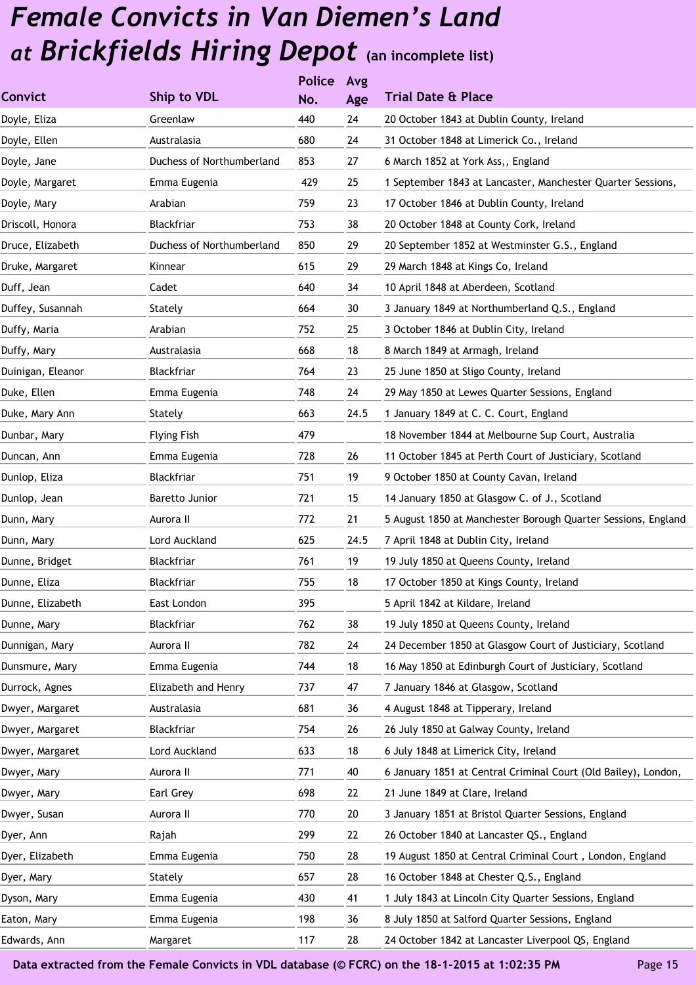|                   |                           | <b>Police</b> | Avg  |                                                                |
|-------------------|---------------------------|---------------|------|----------------------------------------------------------------|
| <b>Convict</b>    | <b>Ship to VDL</b>        | No.           | Age  | <b>Trial Date &amp; Place</b>                                  |
| Doyle, Eliza      | Greenlaw                  | 440           | 24   | 20 October 1843 at Dublin County, Ireland                      |
| Doyle, Ellen      | Australasia               | 680           | 24   | 31 October 1848 at Limerick Co., Ireland                       |
| Doyle, Jane       | Duchess of Northumberland | 853           | 27   | 6 March 1852 at York Ass,, England                             |
| Doyle, Margaret   | Emma Eugenia              | 429           | 25   | 1 September 1843 at Lancaster, Manchester Quarter Sessions,    |
| Doyle, Mary       | Arabian                   | 759           | 23   | 17 October 1846 at Dublin County, Ireland                      |
| Driscoll, Honora  | Blackfriar                | 753           | 38   | 20 October 1848 at County Cork, Ireland                        |
| Druce, Elizabeth  | Duchess of Northumberland | 850           | 29   | 20 September 1852 at Westminster G.S., England                 |
| Druke, Margaret   | Kinnear                   | 615           | 29   | 29 March 1848 at Kings Co, Ireland                             |
| Duff, Jean        | Cadet                     | 640           | 34   | 10 April 1848 at Aberdeen, Scotland                            |
| Duffey, Susannah  | Stately                   | 664           | 30   | 3 January 1849 at Northumberland Q.S., England                 |
| Duffy, Maria      | Arabian                   | 752           | 25   | 3 October 1846 at Dublin City, Ireland                         |
| Duffy, Mary       | Australasia               | 668           | 18   | 8 March 1849 at Armagh, Ireland                                |
| Duinigan, Eleanor | Blackfriar                | 764           | 23   | 25 June 1850 at Sligo County, Ireland                          |
| Duke, Ellen       | Emma Eugenia              | 748           | 24   | 29 May 1850 at Lewes Quarter Sessions, England                 |
| Duke, Mary Ann    | Stately                   | 663           | 24.5 | 1 January 1849 at C. C. Court, England                         |
| Dunbar, Mary      | <b>Flying Fish</b>        | 479           |      | 18 November 1844 at Melbourne Sup Court, Australia             |
| Duncan, Ann       | Emma Eugenia              | 728           | 26   | 11 October 1845 at Perth Court of Justiciary, Scotland         |
| Dunlop, Eliza     | <b>Blackfriar</b>         | 751           | 19   | 9 October 1850 at County Cavan, Ireland                        |
| Dunlop, Jean      | Baretto Junior            | 721           | 15   | 14 January 1850 at Glasgow C. of J., Scotland                  |
| Dunn, Mary        | Aurora II                 | 772           | 21   | 5 August 1850 at Manchester Borough Quarter Sessions, England  |
| Dunn, Mary        | Lord Auckland             | 625           | 24.5 | 7 April 1848 at Dublin City, Ireland                           |
| Dunne, Bridget    | Blackfriar                | 761           | 19   | 19 July 1850 at Queens County, Ireland                         |
| Dunne, Eliza      | Blackfriar                | 755           | 18   | 17 October 1850 at Kings County, Ireland                       |
| Dunne, Elizabeth  | East London               | 395           |      | 5 April 1842 at Kildare, Ireland                               |
| Dunne, Mary       | Blackfriar                | 762           | 38   | 19 July 1850 at Queens County, Ireland                         |
| Dunnigan, Mary    | Aurora II                 | 782           | 24   | 24 December 1850 at Glasgow Court of Justiciary, Scotland      |
| Dunsmure, Mary    | Emma Eugenia              | 744           | 18   | 16 May 1850 at Edinburgh Court of Justiciary, Scotland         |
| Durrock, Agnes    | Elizabeth and Henry       | 737           | 47   | 7 January 1846 at Glasgow, Scotland                            |
| Dwyer, Margaret   | Australasia               | 681           | 36   | 4 August 1848 at Tipperary, Ireland                            |
| Dwyer, Margaret   | Blackfriar                | 754           | 26   | 26 July 1850 at Galway County, Ireland                         |
| Dwyer, Margaret   | Lord Auckland             | 633           | 18   | 6 July 1848 at Limerick City, Ireland                          |
| Dwyer, Mary       | Aurora II                 | 771           | 40   | 6 January 1851 at Central Criminal Court (Old Bailey), London, |
| Dwyer, Mary       | Earl Grey                 | 698           | 22   | 21 June 1849 at Clare, Ireland                                 |
| Dwyer, Susan      | Aurora II                 | 770           | 20   | 3 January 1851 at Bristol Quarter Sessions, England            |
| Dyer, Ann         | Rajah                     | 299           | 22   | 26 October 1840 at Lancaster QS., England                      |
| Dyer, Elizabeth   | Emma Eugenia              | 750           | 28   | 19 August 1850 at Central Criminal Court, London, England      |
| Dyer, Mary        | Stately                   | 657           | 28   | 16 October 1848 at Chester Q.S., England                       |
| Dyson, Mary       | Emma Eugenia              | 430           | 41   | 1 July 1843 at Lincoln City Quarter Sessions, England          |
| Eaton, Mary       | Emma Eugenia              | 198           | 36   | 8 July 1850 at Salford Quarter Sessions, England               |
| Edwards, Ann      | Margaret                  | 117           | 28   | 24 October 1842 at Lancaster Liverpool QS, England             |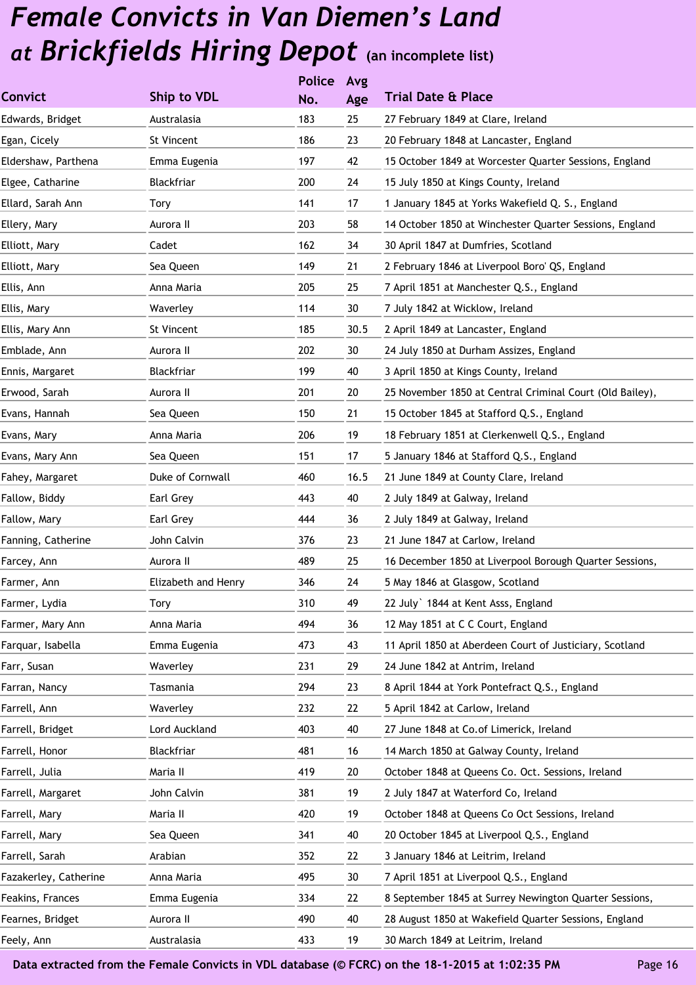|                       |                     | <b>Police</b> | Avg  |                                                          |
|-----------------------|---------------------|---------------|------|----------------------------------------------------------|
| Convict               | Ship to VDL         | No.           | Age  | <b>Trial Date &amp; Place</b>                            |
| Edwards, Bridget      | Australasia         | 183           | 25   | 27 February 1849 at Clare, Ireland                       |
| Egan, Cicely          | St Vincent          | 186           | 23   | 20 February 1848 at Lancaster, England                   |
| Eldershaw, Parthena   | Emma Eugenia        | 197           | 42   | 15 October 1849 at Worcester Quarter Sessions, England   |
| Elgee, Catharine      | Blackfriar          | 200           | 24   | 15 July 1850 at Kings County, Ireland                    |
| Ellard, Sarah Ann     | Tory                | 141           | 17   | 1 January 1845 at Yorks Wakefield Q. S., England         |
| Ellery, Mary          | Aurora II           | 203           | 58   | 14 October 1850 at Winchester Quarter Sessions, England  |
| Elliott, Mary         | Cadet               | 162           | 34   | 30 April 1847 at Dumfries, Scotland                      |
| Elliott, Mary         | Sea Queen           | 149           | 21   | 2 February 1846 at Liverpool Boro' QS, England           |
| Ellis, Ann            | Anna Maria          | 205           | 25   | 7 April 1851 at Manchester Q.S., England                 |
| Ellis, Mary           | Waverley            | 114           | 30   | 7 July 1842 at Wicklow, Ireland                          |
| Ellis, Mary Ann       | St Vincent          | 185           | 30.5 | 2 April 1849 at Lancaster, England                       |
| Emblade, Ann          | Aurora II           | 202           | 30   | 24 July 1850 at Durham Assizes, England                  |
| Ennis, Margaret       | Blackfriar          | 199           | 40   | 3 April 1850 at Kings County, Ireland                    |
| Erwood, Sarah         | Aurora II           | 201           | 20   | 25 November 1850 at Central Criminal Court (Old Bailey), |
| Evans, Hannah         | Sea Queen           | 150           | 21   | 15 October 1845 at Stafford Q.S., England                |
| Evans, Mary           | Anna Maria          | 206           | 19   | 18 February 1851 at Clerkenwell Q.S., England            |
| Evans, Mary Ann       | Sea Queen           | 151           | 17   | 5 January 1846 at Stafford Q.S., England                 |
| Fahey, Margaret       | Duke of Cornwall    | 460           | 16.5 | 21 June 1849 at County Clare, Ireland                    |
| Fallow, Biddy         | Earl Grey           | 443           | 40   | 2 July 1849 at Galway, Ireland                           |
| Fallow, Mary          | Earl Grey           | 444           | 36   | 2 July 1849 at Galway, Ireland                           |
| Fanning, Catherine    | John Calvin         | 376           | 23   | 21 June 1847 at Carlow, Ireland                          |
| Farcey, Ann           | Aurora II           | 489           | 25   | 16 December 1850 at Liverpool Borough Quarter Sessions,  |
| Farmer, Ann           | Elizabeth and Henry | 346           | 24   | 5 May 1846 at Glasgow, Scotland                          |
| Farmer, Lydia         | Tory                | 310           | 49   | 22 July 1844 at Kent Asss, England                       |
| Farmer, Mary Ann      | Anna Maria          | 494           | 36   | 12 May 1851 at C C Court, England                        |
| Farquar, Isabella     | Emma Eugenia        | 473           | 43   | 11 April 1850 at Aberdeen Court of Justiciary, Scotland  |
| Farr, Susan           | Waverley            | 231           | 29   | 24 June 1842 at Antrim, Ireland                          |
| Farran, Nancy         | Tasmania            | 294           | 23   | 8 April 1844 at York Pontefract Q.S., England            |
| Farrell, Ann          | Waverley            | 232           | 22   | 5 April 1842 at Carlow, Ireland                          |
| Farrell, Bridget      | Lord Auckland       | 403           | 40   | 27 June 1848 at Co.of Limerick, Ireland                  |
| Farrell, Honor        | Blackfriar          | 481           | 16   | 14 March 1850 at Galway County, Ireland                  |
| Farrell, Julia        | Maria II            | 419           | 20   | October 1848 at Queens Co. Oct. Sessions, Ireland        |
| Farrell, Margaret     | John Calvin         | 381           | 19   | 2 July 1847 at Waterford Co, Ireland                     |
| Farrell, Mary         | Maria II            | 420           | 19   | October 1848 at Queens Co Oct Sessions, Ireland          |
| Farrell, Mary         | Sea Queen           | 341           | 40   | 20 October 1845 at Liverpool Q.S., England               |
| Farrell, Sarah        | Arabian             | 352           | 22   | 3 January 1846 at Leitrim, Ireland                       |
| Fazakerley, Catherine | Anna Maria          | 495           | 30   | 7 April 1851 at Liverpool Q.S., England                  |
| Feakins, Frances      | Emma Eugenia        | 334           | 22   | 8 September 1845 at Surrey Newington Quarter Sessions,   |
| Fearnes, Bridget      | Aurora II           | 490           | 40   | 28 August 1850 at Wakefield Quarter Sessions, England    |
| Feely, Ann            | Australasia         | 433           | 19   | 30 March 1849 at Leitrim, Ireland                        |
|                       |                     |               |      |                                                          |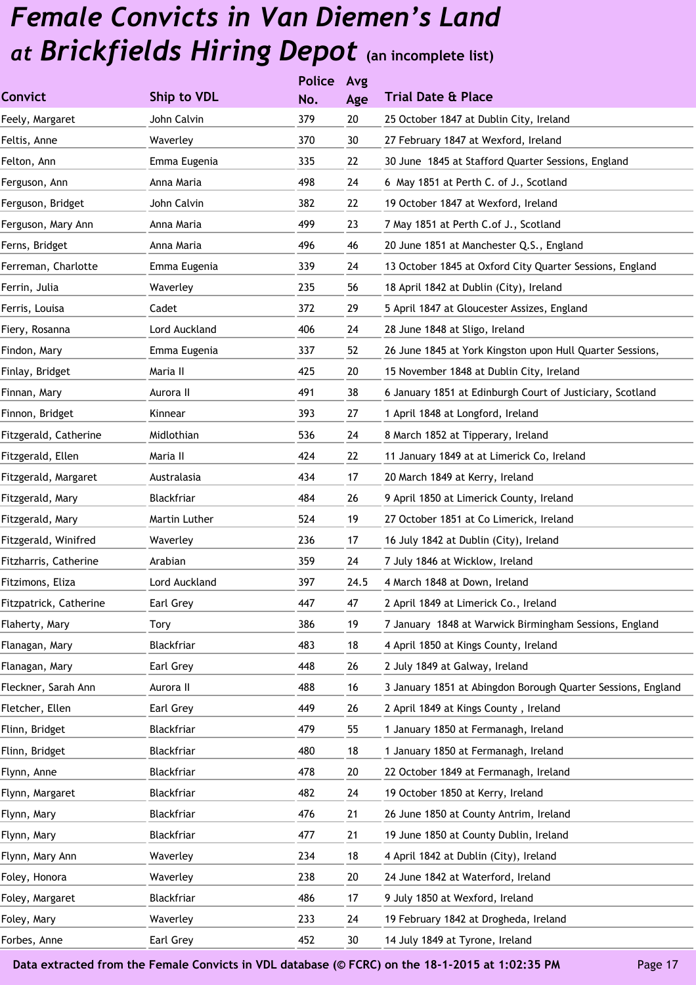|                        |               | <b>Police</b> | Avg  |                                                              |
|------------------------|---------------|---------------|------|--------------------------------------------------------------|
| <b>Convict</b>         | Ship to VDL   | No.           | Age  | <b>Trial Date &amp; Place</b>                                |
| Feely, Margaret        | John Calvin   | 379           | 20   | 25 October 1847 at Dublin City, Ireland                      |
| Feltis, Anne           | Waverley      | 370           | 30   | 27 February 1847 at Wexford, Ireland                         |
| Felton, Ann            | Emma Eugenia  | 335           | 22   | 30 June 1845 at Stafford Quarter Sessions, England           |
| Ferguson, Ann          | Anna Maria    | 498           | 24   | 6 May 1851 at Perth C. of J., Scotland                       |
| Ferguson, Bridget      | John Calvin   | 382           | 22   | 19 October 1847 at Wexford, Ireland                          |
| Ferguson, Mary Ann     | Anna Maria    | 499           | 23   | 7 May 1851 at Perth C.of J., Scotland                        |
| Ferns, Bridget         | Anna Maria    | 496           | 46   | 20 June 1851 at Manchester Q.S., England                     |
| Ferreman, Charlotte    | Emma Eugenia  | 339           | 24   | 13 October 1845 at Oxford City Quarter Sessions, England     |
| Ferrin, Julia          | Waverley      | 235           | 56   | 18 April 1842 at Dublin (City), Ireland                      |
| Ferris, Louisa         | Cadet         | 372           | 29   | 5 April 1847 at Gloucester Assizes, England                  |
| Fiery, Rosanna         | Lord Auckland | 406           | 24   | 28 June 1848 at Sligo, Ireland                               |
| Findon, Mary           | Emma Eugenia  | 337           | 52   | 26 June 1845 at York Kingston upon Hull Quarter Sessions,    |
| Finlay, Bridget        | Maria II      | 425           | 20   | 15 November 1848 at Dublin City, Ireland                     |
| Finnan, Mary           | Aurora II     | 491           | 38   | 6 January 1851 at Edinburgh Court of Justiciary, Scotland    |
| Finnon, Bridget        | Kinnear       | 393           | 27   | 1 April 1848 at Longford, Ireland                            |
| Fitzgerald, Catherine  | Midlothian    | 536           | 24   | 8 March 1852 at Tipperary, Ireland                           |
| Fitzgerald, Ellen      | Maria II      | 424           | 22   | 11 January 1849 at at Limerick Co, Ireland                   |
| Fitzgerald, Margaret   | Australasia   | 434           | 17   | 20 March 1849 at Kerry, Ireland                              |
| Fitzgerald, Mary       | Blackfriar    | 484           | 26   | 9 April 1850 at Limerick County, Ireland                     |
| Fitzgerald, Mary       | Martin Luther | 524           | 19   | 27 October 1851 at Co Limerick, Ireland                      |
| Fitzgerald, Winifred   | Waverley      | 236           | 17   | 16 July 1842 at Dublin (City), Ireland                       |
| Fitzharris, Catherine  | Arabian       | 359           | 24   | 7 July 1846 at Wicklow, Ireland                              |
| Fitzimons, Eliza       | Lord Auckland | 397           | 24.5 | 4 March 1848 at Down, Ireland                                |
| Fitzpatrick, Catherine | Earl Grey     | 447           | 47   | 2 April 1849 at Limerick Co., Ireland                        |
| Flaherty, Mary         | Tory          | 386           | 19   | 7 January 1848 at Warwick Birmingham Sessions, England       |
| Flanagan, Mary         | Blackfriar    | 483           | 18   | 4 April 1850 at Kings County, Ireland                        |
| Flanagan, Mary         | Earl Grey     | 448           | 26   | 2 July 1849 at Galway, Ireland                               |
| Fleckner, Sarah Ann    | Aurora II     | 488           | 16   | 3 January 1851 at Abingdon Borough Quarter Sessions, England |
| Fletcher, Ellen        | Earl Grey     | 449           | 26   | 2 April 1849 at Kings County, Ireland                        |
| Flinn, Bridget         | Blackfriar    | 479           | 55   | 1 January 1850 at Fermanagh, Ireland                         |
| Flinn, Bridget         | Blackfriar    | 480           | 18   | 1 January 1850 at Fermanagh, Ireland                         |
| Flynn, Anne            | Blackfriar    | 478           | 20   | 22 October 1849 at Fermanagh, Ireland                        |
| Flynn, Margaret        | Blackfriar    | 482           | 24   | 19 October 1850 at Kerry, Ireland                            |
| Flynn, Mary            | Blackfriar    | 476           | 21   | 26 June 1850 at County Antrim, Ireland                       |
| Flynn, Mary            | Blackfriar    | 477           | 21   | 19 June 1850 at County Dublin, Ireland                       |
| Flynn, Mary Ann        | Waverley      | 234           | 18   | 4 April 1842 at Dublin (City), Ireland                       |
| Foley, Honora          | Waverley      | 238           | 20   | 24 June 1842 at Waterford, Ireland                           |
| Foley, Margaret        | Blackfriar    | 486           | 17   | 9 July 1850 at Wexford, Ireland                              |
| Foley, Mary            | Waverley      | 233           | 24   | 19 February 1842 at Drogheda, Ireland                        |
| Forbes, Anne           | Earl Grey     | 452           | 30   | 14 July 1849 at Tyrone, Ireland                              |
|                        |               |               |      |                                                              |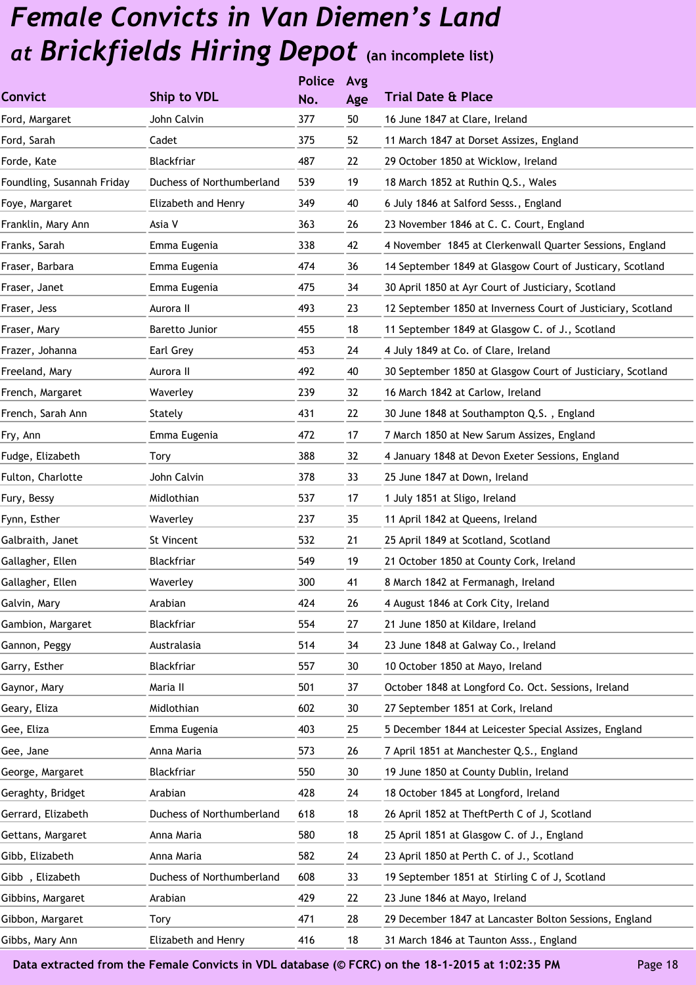|                            |                           | <b>Police</b> | Avg |                                                              |
|----------------------------|---------------------------|---------------|-----|--------------------------------------------------------------|
| Convict                    | Ship to VDL               | No.           | Age | <b>Trial Date &amp; Place</b>                                |
| Ford, Margaret             | John Calvin               | 377           | 50  | 16 June 1847 at Clare, Ireland                               |
| Ford, Sarah                | Cadet                     | 375           | 52  | 11 March 1847 at Dorset Assizes, England                     |
| Forde, Kate                | Blackfriar                | 487           | 22  | 29 October 1850 at Wicklow, Ireland                          |
| Foundling, Susannah Friday | Duchess of Northumberland | 539           | 19  | 18 March 1852 at Ruthin Q.S., Wales                          |
| Foye, Margaret             | Elizabeth and Henry       | 349           | 40  | 6 July 1846 at Salford Sesss., England                       |
| Franklin, Mary Ann         | Asia V                    | 363           | 26  | 23 November 1846 at C. C. Court, England                     |
| Franks, Sarah              | Emma Eugenia              | 338           | 42  | 4 November 1845 at Clerkenwall Quarter Sessions, England     |
| Fraser, Barbara            | Emma Eugenia              | 474           | 36  | 14 September 1849 at Glasgow Court of Justicary, Scotland    |
| Fraser, Janet              | Emma Eugenia              | 475           | 34  | 30 April 1850 at Ayr Court of Justiciary, Scotland           |
| Fraser, Jess               | Aurora II                 | 493           | 23  | 12 September 1850 at Inverness Court of Justiciary, Scotland |
| Fraser, Mary               | Baretto Junior            | 455           | 18  | 11 September 1849 at Glasgow C. of J., Scotland              |
| Frazer, Johanna            | Earl Grey                 | 453           | 24  | 4 July 1849 at Co. of Clare, Ireland                         |
| Freeland, Mary             | Aurora II                 | 492           | 40  | 30 September 1850 at Glasgow Court of Justiciary, Scotland   |
| French, Margaret           | Waverley                  | 239           | 32  | 16 March 1842 at Carlow, Ireland                             |
| French, Sarah Ann          | Stately                   | 431           | 22  | 30 June 1848 at Southampton Q.S., England                    |
| Fry, Ann                   | Emma Eugenia              | 472           | 17  | 7 March 1850 at New Sarum Assizes, England                   |
| Fudge, Elizabeth           | Tory                      | 388           | 32  | 4 January 1848 at Devon Exeter Sessions, England             |
| Fulton, Charlotte          | John Calvin               | 378           | 33  | 25 June 1847 at Down, Ireland                                |
| Fury, Bessy                | Midlothian                | 537           | 17  | 1 July 1851 at Sligo, Ireland                                |
| Fynn, Esther               | Waverley                  | 237           | 35  | 11 April 1842 at Queens, Ireland                             |
| Galbraith, Janet           | St Vincent                | 532           | 21  | 25 April 1849 at Scotland, Scotland                          |
| Gallagher, Ellen           | Blackfriar                | 549           | 19  | 21 October 1850 at County Cork, Ireland                      |
| Gallagher, Ellen           | Waverley                  | 300           | 41  | 8 March 1842 at Fermanagh, Ireland                           |
| Galvin, Mary               | Arabian                   | 424           | 26  | 4 August 1846 at Cork City, Ireland                          |
| Gambion, Margaret          | Blackfriar                | 554           | 27  | 21 June 1850 at Kildare, Ireland                             |
| Gannon, Peggy              | Australasia               | 514           | 34  | 23 June 1848 at Galway Co., Ireland                          |
| Garry, Esther              | Blackfriar                | 557           | 30  | 10 October 1850 at Mayo, Ireland                             |
| Gaynor, Mary               | Maria II                  | 501           | 37  | October 1848 at Longford Co. Oct. Sessions, Ireland          |
| Geary, Eliza               | Midlothian                | 602           | 30  | 27 September 1851 at Cork, Ireland                           |
| Gee, Eliza                 | Emma Eugenia              | 403           | 25  | 5 December 1844 at Leicester Special Assizes, England        |
| Gee, Jane                  | Anna Maria                | 573           | 26  | 7 April 1851 at Manchester Q.S., England                     |
| George, Margaret           | Blackfriar                | 550           | 30  | 19 June 1850 at County Dublin, Ireland                       |
| Geraghty, Bridget          | Arabian                   | 428           | 24  | 18 October 1845 at Longford, Ireland                         |
| Gerrard, Elizabeth         | Duchess of Northumberland | 618           | 18  | 26 April 1852 at TheftPerth C of J, Scotland                 |
| Gettans, Margaret          | Anna Maria                | 580           | 18  | 25 April 1851 at Glasgow C. of J., England                   |
| Gibb, Elizabeth            | Anna Maria                | 582           | 24  | 23 April 1850 at Perth C. of J., Scotland                    |
| Gibb, Elizabeth            | Duchess of Northumberland | 608           | 33  | 19 September 1851 at Stirling C of J, Scotland               |
| Gibbins, Margaret          | Arabian                   | 429           | 22  | 23 June 1846 at Mayo, Ireland                                |
| Gibbon, Margaret           | Tory                      | 471           | 28  | 29 December 1847 at Lancaster Bolton Sessions, England       |
| Gibbs, Mary Ann            | Elizabeth and Henry       | 416           | 18  | 31 March 1846 at Taunton Asss., England                      |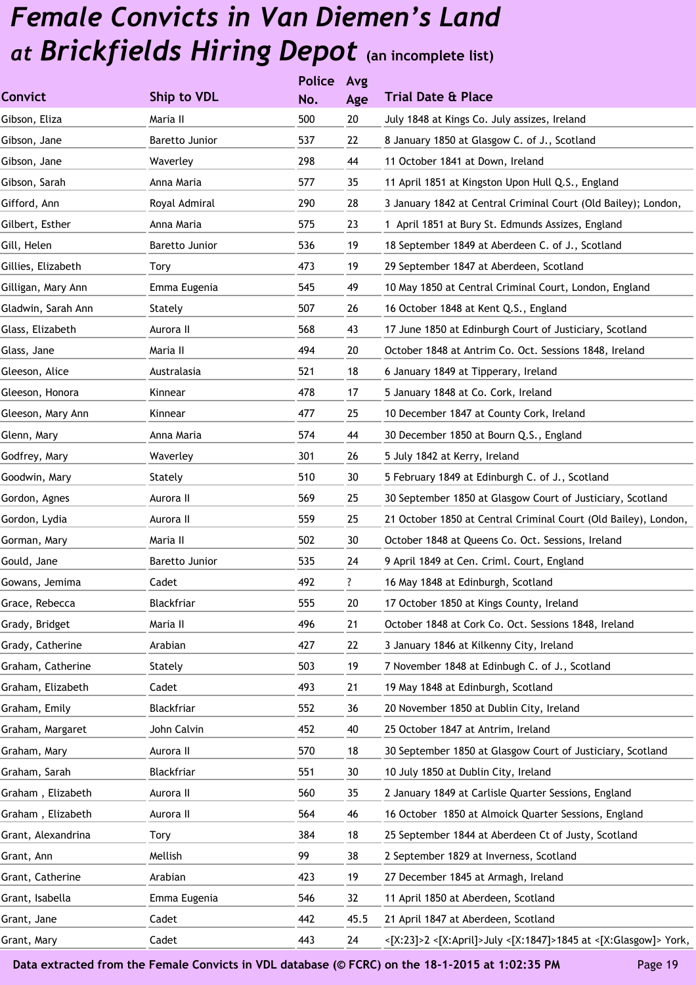|                                    | <b>Police</b> | Avg  |                                                                 |
|------------------------------------|---------------|------|-----------------------------------------------------------------|
| <b>Convict</b><br>Ship to VDL      | No.           | Age  | <b>Trial Date &amp; Place</b>                                   |
| Gibson, Eliza<br>Maria II          | 500           | 20   | July 1848 at Kings Co. July assizes, Ireland                    |
| Gibson, Jane<br>Baretto Junior     | 537           | 22   | 8 January 1850 at Glasgow C. of J., Scotland                    |
| Waverley<br>Gibson, Jane           | 298           | 44   | 11 October 1841 at Down, Ireland                                |
| Gibson, Sarah<br>Anna Maria        | 577           | 35   | 11 April 1851 at Kingston Upon Hull Q.S., England               |
| Gifford, Ann<br>Royal Admiral      | 290           | 28   | 3 January 1842 at Central Criminal Court (Old Bailey); London,  |
| Gilbert, Esther<br>Anna Maria      | 575           | 23   | 1 April 1851 at Bury St. Edmunds Assizes, England               |
| Baretto Junior<br>Gill, Helen      | 536           | 19   | 18 September 1849 at Aberdeen C. of J., Scotland                |
| Gillies, Elizabeth<br>Tory         | 473           | 19   | 29 September 1847 at Aberdeen, Scotland                         |
| Gilligan, Mary Ann<br>Emma Eugenia | 545           | 49   | 10 May 1850 at Central Criminal Court, London, England          |
| Gladwin, Sarah Ann<br>Stately      | 507           | 26   | 16 October 1848 at Kent Q.S., England                           |
| Aurora II<br>Glass, Elizabeth      | 568           | 43   | 17 June 1850 at Edinburgh Court of Justiciary, Scotland         |
| Maria II<br>Glass, Jane            | 494           | 20   | October 1848 at Antrim Co. Oct. Sessions 1848, Ireland          |
| Australasia<br>Gleeson, Alice      | 521           | 18   | 6 January 1849 at Tipperary, Ireland                            |
| Gleeson, Honora<br>Kinnear         | 478           | 17   | 5 January 1848 at Co. Cork, Ireland                             |
| Kinnear<br>Gleeson, Mary Ann       | 477           | 25   | 10 December 1847 at County Cork, Ireland                        |
| Glenn, Mary<br>Anna Maria          | 574           | 44   | 30 December 1850 at Bourn Q.S., England                         |
| Waverley<br>Godfrey, Mary          | 301           | 26   | 5 July 1842 at Kerry, Ireland                                   |
| Goodwin, Mary<br>Stately           | 510           | 30   | 5 February 1849 at Edinburgh C. of J., Scotland                 |
| Aurora II<br>Gordon, Agnes         | 569           | 25   | 30 September 1850 at Glasgow Court of Justiciary, Scotland      |
| Gordon, Lydia<br>Aurora II         | 559           | 25   | 21 October 1850 at Central Criminal Court (Old Bailey), London, |
| Maria II<br>Gorman, Mary           | 502           | 30   | October 1848 at Queens Co. Oct. Sessions, Ireland               |
| Gould, Jane<br>Baretto Junior      | 535           | 24   | 9 April 1849 at Cen. Criml. Court, England                      |
| Gowans, Jemima<br>Cadet            | 492           | ?    | 16 May 1848 at Edinburgh, Scotland                              |
| Grace, Rebecca<br>Blackfriar       | 555           | 20   | 17 October 1850 at Kings County, Ireland                        |
| Grady, Bridget<br>Maria II         | 496           | 21   | October 1848 at Cork Co. Oct. Sessions 1848, Ireland            |
| Grady, Catherine<br>Arabian        | 427           | 22   | 3 January 1846 at Kilkenny City, Ireland                        |
| Graham, Catherine<br>Stately       | 503           | 19   | 7 November 1848 at Edinbugh C. of J., Scotland                  |
| Graham, Elizabeth<br>Cadet         | 493           | 21   | 19 May 1848 at Edinburgh, Scotland                              |
| Graham, Emily<br>Blackfriar        | 552           | 36   | 20 November 1850 at Dublin City, Ireland                        |
| John Calvin<br>Graham, Margaret    | 452           | 40   | 25 October 1847 at Antrim, Ireland                              |
| Aurora II<br>Graham, Mary          | 570           | 18   | 30 September 1850 at Glasgow Court of Justiciary, Scotland      |
| Graham, Sarah<br>Blackfriar        | 551           | 30   | 10 July 1850 at Dublin City, Ireland                            |
| Graham, Elizabeth<br>Aurora II     | 560           | 35   | 2 January 1849 at Carlisle Quarter Sessions, England            |
| Graham, Elizabeth<br>Aurora II     | 564           | 46   | 16 October 1850 at Almoick Quarter Sessions, England            |
| Grant, Alexandrina<br>Tory         | 384           | 18   | 25 September 1844 at Aberdeen Ct of Justy, Scotland             |
| Mellish<br>Grant, Ann              | 99            | 38   | 2 September 1829 at Inverness, Scotland                         |
| Grant, Catherine<br>Arabian        | 423           | 19   | 27 December 1845 at Armagh, Ireland                             |
| Emma Eugenia<br>Grant, Isabella    | 546           | 32   | 11 April 1850 at Aberdeen, Scotland                             |
| Cadet<br>Grant, Jane               | 442           | 45.5 | 21 April 1847 at Aberdeen, Scotland                             |
| Cadet<br>Grant, Mary               | 443           | 24   | <[X:23]>2 <[X:April]>July <[X:1847]>1845 at <[X:Glasgow]> York, |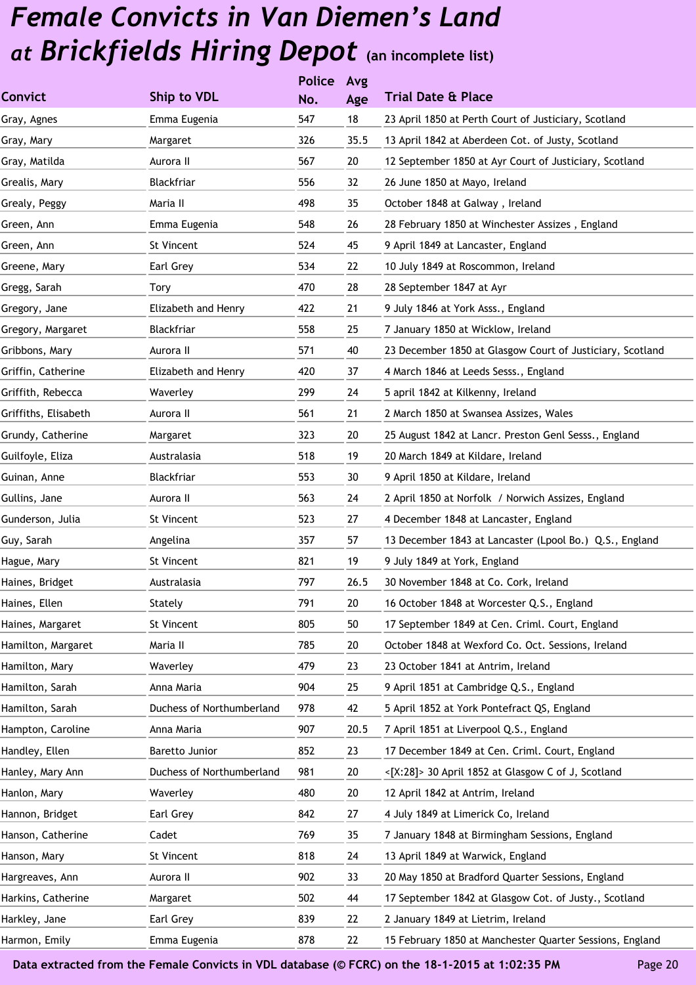|                      |                           | <b>Police</b> | Avg  |                                                           |
|----------------------|---------------------------|---------------|------|-----------------------------------------------------------|
| <b>Convict</b>       | Ship to VDL               | No.           | Age  | <b>Trial Date &amp; Place</b>                             |
| Gray, Agnes          | Emma Eugenia              | 547           | 18   | 23 April 1850 at Perth Court of Justiciary, Scotland      |
| Gray, Mary           | Margaret                  | 326           | 35.5 | 13 April 1842 at Aberdeen Cot. of Justy, Scotland         |
| Gray, Matilda        | Aurora II                 | 567           | 20   | 12 September 1850 at Ayr Court of Justiciary, Scotland    |
| Grealis, Mary        | Blackfriar                | 556           | 32   | 26 June 1850 at Mayo, Ireland                             |
| Grealy, Peggy        | Maria II                  | 498           | 35   | October 1848 at Galway, Ireland                           |
| Green, Ann           | Emma Eugenia              | 548           | 26   | 28 February 1850 at Winchester Assizes, England           |
| Green, Ann           | <b>St Vincent</b>         | 524           | 45   | 9 April 1849 at Lancaster, England                        |
| Greene, Mary         | Earl Grey                 | 534           | 22   | 10 July 1849 at Roscommon, Ireland                        |
| Gregg, Sarah         | Tory                      | 470           | 28   | 28 September 1847 at Ayr                                  |
| Gregory, Jane        | Elizabeth and Henry       | 422           | 21   | 9 July 1846 at York Asss., England                        |
| Gregory, Margaret    | Blackfriar                | 558           | 25   | 7 January 1850 at Wicklow, Ireland                        |
| Gribbons, Mary       | Aurora II                 | 571           | 40   | 23 December 1850 at Glasgow Court of Justiciary, Scotland |
| Griffin, Catherine   | Elizabeth and Henry       | 420           | 37   | 4 March 1846 at Leeds Sesss., England                     |
| Griffith, Rebecca    | Waverley                  | 299           | 24   | 5 april 1842 at Kilkenny, Ireland                         |
| Griffiths, Elisabeth | Aurora II                 | 561           | 21   | 2 March 1850 at Swansea Assizes, Wales                    |
| Grundy, Catherine    | Margaret                  | 323           | 20   | 25 August 1842 at Lancr. Preston Genl Sesss., England     |
| Guilfoyle, Eliza     | Australasia               | 518           | 19   | 20 March 1849 at Kildare, Ireland                         |
| Guinan, Anne         | Blackfriar                | 553           | 30   | 9 April 1850 at Kildare, Ireland                          |
| Gullins, Jane        | Aurora II                 | 563           | 24   | 2 April 1850 at Norfolk / Norwich Assizes, England        |
| Gunderson, Julia     | St Vincent                | 523           | 27   | 4 December 1848 at Lancaster, England                     |
| Guy, Sarah           | Angelina                  | 357           | 57   | 13 December 1843 at Lancaster (Lpool Bo.) Q.S., England   |
| Hague, Mary          | St Vincent                | 821           | 19   | 9 July 1849 at York, England                              |
| Haines, Bridget      | Australasia               | 797           | 26.5 | 30 November 1848 at Co. Cork, Ireland                     |
| Haines, Ellen        | Stately                   | 791           | 20   | 16 October 1848 at Worcester Q.S., England                |
| Haines, Margaret     | St Vincent                | 805           | 50   | 17 September 1849 at Cen. Criml. Court, England           |
| Hamilton, Margaret   | Maria II                  | 785           | 20   | October 1848 at Wexford Co. Oct. Sessions, Ireland        |
| Hamilton, Mary       | Waverley                  | 479           | 23   | 23 October 1841 at Antrim, Ireland                        |
| Hamilton, Sarah      | Anna Maria                | 904           | 25   | 9 April 1851 at Cambridge Q.S., England                   |
| Hamilton, Sarah      | Duchess of Northumberland | 978           | 42   | 5 April 1852 at York Pontefract QS, England               |
| Hampton, Caroline    | Anna Maria                | 907           | 20.5 | 7 April 1851 at Liverpool Q.S., England                   |
| Handley, Ellen       | Baretto Junior            | 852           | 23   | 17 December 1849 at Cen. Criml. Court, England            |
| Hanley, Mary Ann     | Duchess of Northumberland | 981           | 20   | <[X:28]> 30 April 1852 at Glasgow C of J, Scotland        |
| Hanlon, Mary         | Waverley                  | 480           | 20   | 12 April 1842 at Antrim, Ireland                          |
| Hannon, Bridget      | Earl Grey                 | 842           | 27   | 4 July 1849 at Limerick Co, Ireland                       |
| Hanson, Catherine    | Cadet                     | 769           | 35   | 7 January 1848 at Birmingham Sessions, England            |
| Hanson, Mary         | St Vincent                | 818           | 24   | 13 April 1849 at Warwick, England                         |
| Hargreaves, Ann      | Aurora II                 | 902           | 33   | 20 May 1850 at Bradford Quarter Sessions, England         |
| Harkins, Catherine   | Margaret                  | 502           | 44   | 17 September 1842 at Glasgow Cot. of Justy., Scotland     |
| Harkley, Jane        | Earl Grey                 | 839           | 22   | 2 January 1849 at Lietrim, Ireland                        |
| Harmon, Emily        | Emma Eugenia              | 878           | 22   | 15 February 1850 at Manchester Quarter Sessions, England  |
|                      |                           |               |      |                                                           |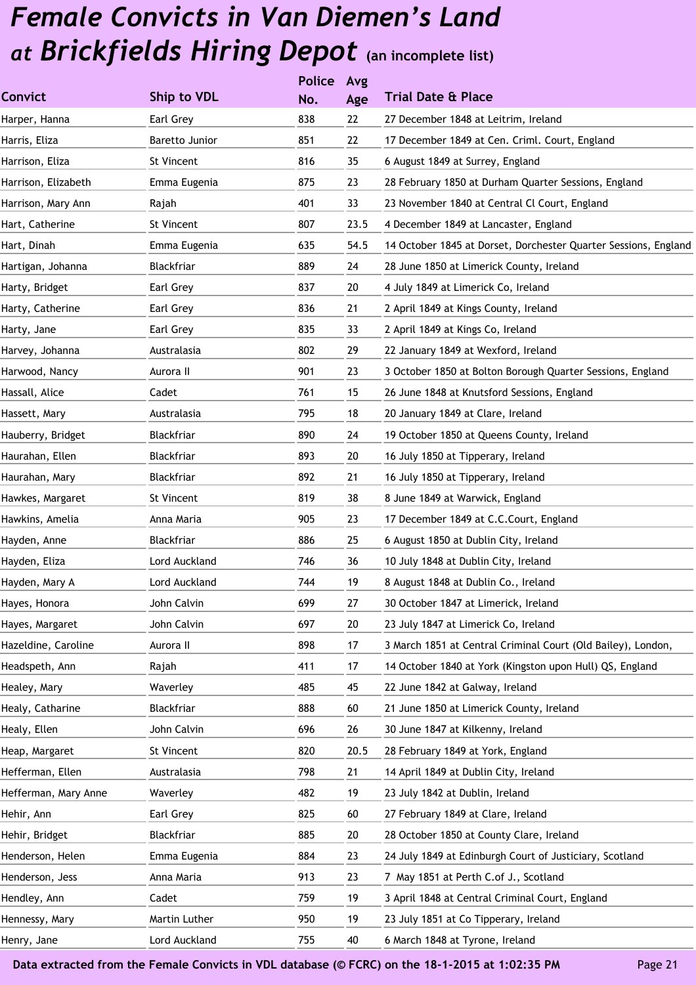|                      |                | <b>Police</b> | Avg  |                                                                 |
|----------------------|----------------|---------------|------|-----------------------------------------------------------------|
| <b>Convict</b>       | Ship to VDL    | No.           | Age  | <b>Trial Date &amp; Place</b>                                   |
| Harper, Hanna        | Earl Grey      | 838           | 22   | 27 December 1848 at Leitrim, Ireland                            |
| Harris, Eliza        | Baretto Junior | 851           | 22   | 17 December 1849 at Cen. Criml. Court, England                  |
| Harrison, Eliza      | St Vincent     | 816           | 35   | 6 August 1849 at Surrey, England                                |
| Harrison, Elizabeth  | Emma Eugenia   | 875           | 23   | 28 February 1850 at Durham Quarter Sessions, England            |
| Harrison, Mary Ann   | Rajah          | 401           | 33   | 23 November 1840 at Central Cl Court, England                   |
| Hart, Catherine      | St Vincent     | 807           | 23.5 | 4 December 1849 at Lancaster, England                           |
| Hart, Dinah          | Emma Eugenia   | 635           | 54.5 | 14 October 1845 at Dorset, Dorchester Quarter Sessions, England |
| Hartigan, Johanna    | Blackfriar     | 889           | 24   | 28 June 1850 at Limerick County, Ireland                        |
| Harty, Bridget       | Earl Grey      | 837           | 20   | 4 July 1849 at Limerick Co, Ireland                             |
| Harty, Catherine     | Earl Grey      | 836           | 21   | 2 April 1849 at Kings County, Ireland                           |
| Harty, Jane          | Earl Grey      | 835           | 33   | 2 April 1849 at Kings Co, Ireland                               |
| Harvey, Johanna      | Australasia    | 802           | 29   | 22 January 1849 at Wexford, Ireland                             |
| Harwood, Nancy       | Aurora II      | 901           | 23   | 3 October 1850 at Bolton Borough Quarter Sessions, England      |
| Hassall, Alice       | Cadet          | 761           | 15   | 26 June 1848 at Knutsford Sessions, England                     |
| Hassett, Mary        | Australasia    | 795           | 18   | 20 January 1849 at Clare, Ireland                               |
| Hauberry, Bridget    | Blackfriar     | 890           | 24   | 19 October 1850 at Queens County, Ireland                       |
| Haurahan, Ellen      | Blackfriar     | 893           | 20   | 16 July 1850 at Tipperary, Ireland                              |
| Haurahan, Mary       | Blackfriar     | 892           | 21   | 16 July 1850 at Tipperary, Ireland                              |
| Hawkes, Margaret     | St Vincent     | 819           | 38   | 8 June 1849 at Warwick, England                                 |
| Hawkins, Amelia      | Anna Maria     | 905           | 23   | 17 December 1849 at C.C.Court, England                          |
| Hayden, Anne         | Blackfriar     | 886           | 25   | 6 August 1850 at Dublin City, Ireland                           |
| Hayden, Eliza        | Lord Auckland  | 746           | 36   | 10 July 1848 at Dublin City, Ireland                            |
| Hayden, Mary A       | Lord Auckland  | 744           | 19   | 8 August 1848 at Dublin Co., Ireland                            |
| Hayes, Honora        | John Calvin    | 699           | 27   | 30 October 1847 at Limerick, Ireland                            |
| Hayes, Margaret      | John Calvin    | 697           | 20   | 23 July 1847 at Limerick Co, Ireland                            |
| Hazeldine, Caroline  | Aurora II      | 898           | 17   | 3 March 1851 at Central Criminal Court (Old Bailey), London,    |
| Headspeth, Ann       | Rajah          | 411           | 17   | 14 October 1840 at York (Kingston upon Hull) QS, England        |
| Healey, Mary         | Waverley       | 485           | 45   | 22 June 1842 at Galway, Ireland                                 |
| Healy, Catharine     | Blackfriar     | 888           | 60   | 21 June 1850 at Limerick County, Ireland                        |
| Healy, Ellen         | John Calvin    | 696           | 26   | 30 June 1847 at Kilkenny, Ireland                               |
| Heap, Margaret       | St Vincent     | 820           | 20.5 | 28 February 1849 at York, England                               |
| Hefferman, Ellen     | Australasia    | 798           | 21   | 14 April 1849 at Dublin City, Ireland                           |
| Hefferman, Mary Anne | Waverley       | 482           | 19   | 23 July 1842 at Dublin, Ireland                                 |
| Hehir, Ann           | Earl Grey      | 825           | 60   | 27 February 1849 at Clare, Ireland                              |
| Hehir, Bridget       | Blackfriar     | 885           | 20   | 28 October 1850 at County Clare, Ireland                        |
| Henderson, Helen     | Emma Eugenia   | 884           | 23   | 24 July 1849 at Edinburgh Court of Justiciary, Scotland         |
| Henderson, Jess      | Anna Maria     | 913           | 23   | 7 May 1851 at Perth C.of J., Scotland                           |
| Hendley, Ann         | Cadet          | 759           | 19   | 3 April 1848 at Central Criminal Court, England                 |
| Hennessy, Mary       | Martin Luther  | 950           | 19   | 23 July 1851 at Co Tipperary, Ireland                           |
| Henry, Jane          | Lord Auckland  | 755           | 40   | 6 March 1848 at Tyrone, Ireland                                 |
|                      |                |               |      |                                                                 |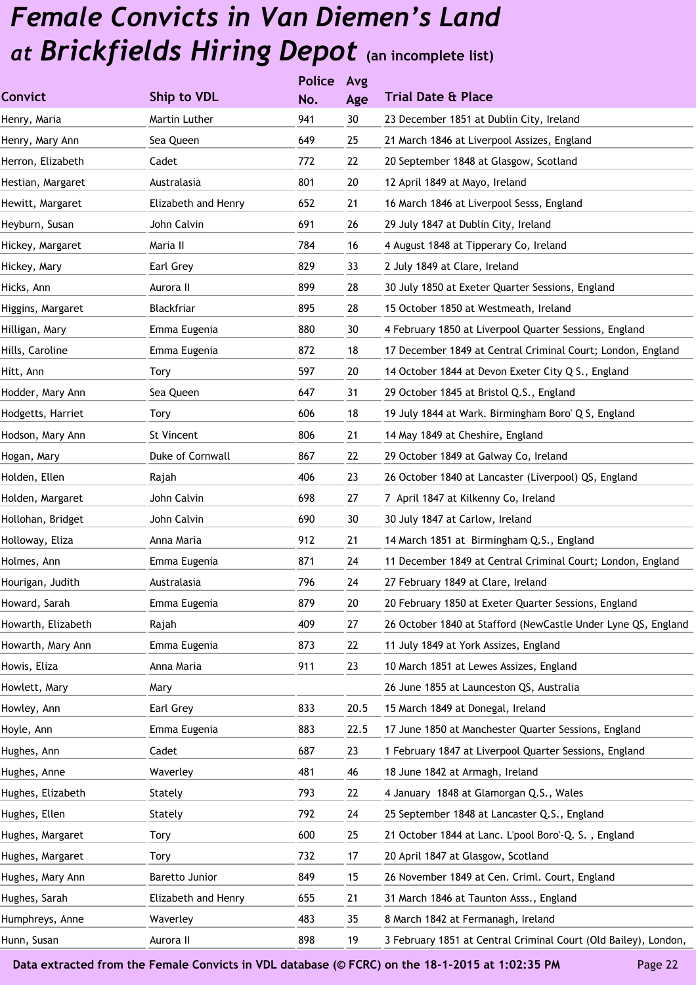|                    |                     | <b>Police</b> | Avg    |                                                                 |
|--------------------|---------------------|---------------|--------|-----------------------------------------------------------------|
| <b>Convict</b>     | Ship to VDL         | No.           | Age    | <b>Trial Date &amp; Place</b>                                   |
| Henry, Maria       | Martin Luther       | 941           | 30     | 23 December 1851 at Dublin City, Ireland                        |
| Henry, Mary Ann    | Sea Queen           | 649           | 25     | 21 March 1846 at Liverpool Assizes, England                     |
| Herron, Elizabeth  | Cadet               | 772           | 22     | 20 September 1848 at Glasgow, Scotland                          |
| Hestian, Margaret  | Australasia         | 801           | 20     | 12 April 1849 at Mayo, Ireland                                  |
| Hewitt, Margaret   | Elizabeth and Henry | 652           | 21     | 16 March 1846 at Liverpool Sesss, England                       |
| Heyburn, Susan     | John Calvin         | 691           | 26     | 29 July 1847 at Dublin City, Ireland                            |
| Hickey, Margaret   | Maria II            | 784           | 16     | 4 August 1848 at Tipperary Co, Ireland                          |
| Hickey, Mary       | Earl Grey           | 829           | 33     | 2 July 1849 at Clare, Ireland                                   |
| Hicks, Ann         | Aurora II           | 899           | 28     | 30 July 1850 at Exeter Quarter Sessions, England                |
| Higgins, Margaret  | Blackfriar          | 895           | 28     | 15 October 1850 at Westmeath, Ireland                           |
| Hilligan, Mary     | Emma Eugenia        | 880           | 30     | 4 February 1850 at Liverpool Quarter Sessions, England          |
| Hills, Caroline    | Emma Eugenia        | 872           | 18     | 17 December 1849 at Central Criminal Court; London, England     |
| Hitt, Ann          | Tory                | 597           | 20     | 14 October 1844 at Devon Exeter City Q S., England              |
| Hodder, Mary Ann   | Sea Queen           | 647           | 31     | 29 October 1845 at Bristol Q.S., England                        |
| Hodgetts, Harriet  | Tory                | 606           | 18     | 19 July 1844 at Wark. Birmingham Boro' Q S, England             |
| Hodson, Mary Ann   | St Vincent          | 806           | 21     | 14 May 1849 at Cheshire, England                                |
| Hogan, Mary        | Duke of Cornwall    | 867           | 22     | 29 October 1849 at Galway Co, Ireland                           |
| Holden, Ellen      | Rajah               | 406           | 23     | 26 October 1840 at Lancaster (Liverpool) QS, England            |
| Holden, Margaret   | John Calvin         | 698           | 27     | 7 April 1847 at Kilkenny Co, Ireland                            |
| Hollohan, Bridget  | John Calvin         | 690           | 30     | 30 July 1847 at Carlow, Ireland                                 |
| Holloway, Eliza    | Anna Maria          | 912           | 21     | 14 March 1851 at Birmingham Q.S., England                       |
| Holmes, Ann        | Emma Eugenia        | 871           | 24     | 11 December 1849 at Central Criminal Court; London, England     |
| Hourigan, Judith   | Australasia         | 796           | 24     | 27 February 1849 at Clare, Ireland                              |
| Howard, Sarah      | Emma Eugenia        | 879           | $20\,$ | 20 February 1850 at Exeter Quarter Sessions, England            |
| Howarth, Elizabeth | Rajah               | 409           | 27     | 26 October 1840 at Stafford (NewCastle Under Lyne QS, England   |
| Howarth, Mary Ann  | Emma Eugenia        | 873           | 22     | 11 July 1849 at York Assizes, England                           |
| Howis, Eliza       | Anna Maria          | 911           | 23     | 10 March 1851 at Lewes Assizes, England                         |
| Howlett, Mary      | Mary                |               |        | 26 June 1855 at Launceston QS, Australia                        |
| Howley, Ann        | Earl Grey           | 833           | 20.5   | 15 March 1849 at Donegal, Ireland                               |
| Hoyle, Ann         | Emma Eugenia        | 883           | 22.5   | 17 June 1850 at Manchester Quarter Sessions, England            |
| Hughes, Ann        | Cadet               | 687           | 23     | 1 February 1847 at Liverpool Quarter Sessions, England          |
| Hughes, Anne       | Waverley            | 481           | 46     | 18 June 1842 at Armagh, Ireland                                 |
| Hughes, Elizabeth  | Stately             | 793           | 22     | 4 January 1848 at Glamorgan Q.S., Wales                         |
| Hughes, Ellen      | Stately             | 792           | 24     | 25 September 1848 at Lancaster Q.S., England                    |
| Hughes, Margaret   | Tory                | 600           | 25     | 21 October 1844 at Lanc. L'pool Boro'-Q. S., England            |
| Hughes, Margaret   | Tory                | 732           | 17     | 20 April 1847 at Glasgow, Scotland                              |
| Hughes, Mary Ann   | Baretto Junior      | 849           | 15     | 26 November 1849 at Cen. Criml. Court, England                  |
| Hughes, Sarah      | Elizabeth and Henry | 655           | 21     | 31 March 1846 at Taunton Asss., England                         |
| Humphreys, Anne    | Waverley            | 483           | 35     | 8 March 1842 at Fermanagh, Ireland                              |
| Hunn, Susan        | Aurora II           | 898           | 19     | 3 February 1851 at Central Criminal Court (Old Bailey), London, |
|                    |                     |               |        |                                                                 |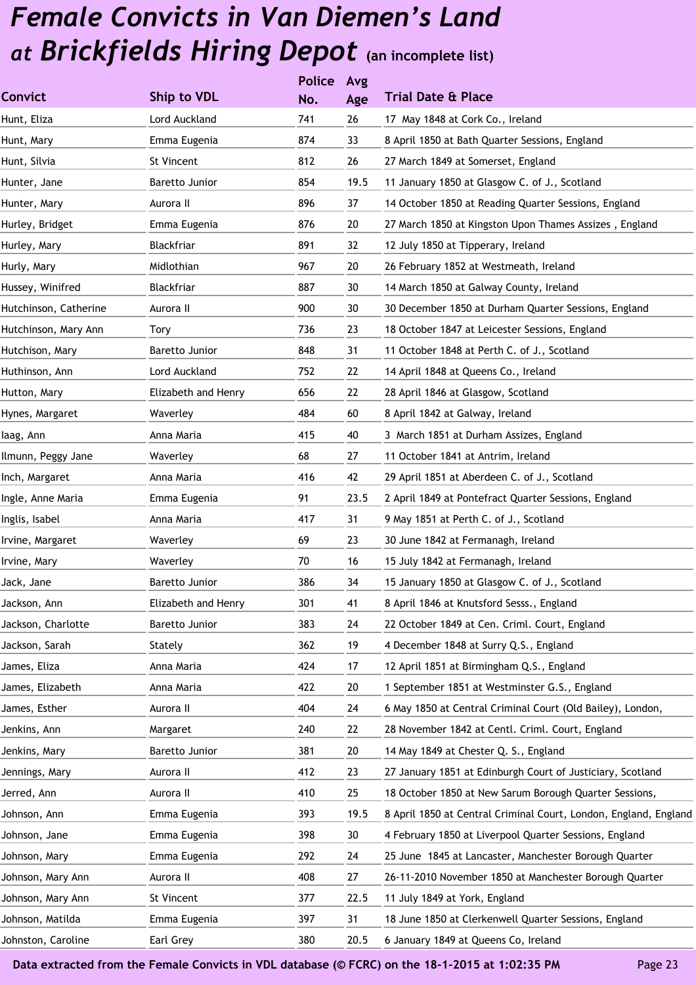|                       |                     | <b>Police</b> | Avg  |                                                                  |
|-----------------------|---------------------|---------------|------|------------------------------------------------------------------|
| <b>Convict</b>        | Ship to VDL         | No.           | Age  | <b>Trial Date &amp; Place</b>                                    |
| Hunt, Eliza           | Lord Auckland       | 741           | 26   | 17 May 1848 at Cork Co., Ireland                                 |
| Hunt, Mary            | Emma Eugenia        | 874           | 33   | 8 April 1850 at Bath Quarter Sessions, England                   |
| Hunt, Silvia          | St Vincent          | 812           | 26   | 27 March 1849 at Somerset, England                               |
| Hunter, Jane          | Baretto Junior      | 854           | 19.5 | 11 January 1850 at Glasgow C. of J., Scotland                    |
| Hunter, Mary          | Aurora II           | 896           | 37   | 14 October 1850 at Reading Quarter Sessions, England             |
| Hurley, Bridget       | Emma Eugenia        | 876           | 20   | 27 March 1850 at Kingston Upon Thames Assizes, England           |
| Hurley, Mary          | Blackfriar          | 891           | 32   | 12 July 1850 at Tipperary, Ireland                               |
| Hurly, Mary           | Midlothian          | 967           | 20   | 26 February 1852 at Westmeath, Ireland                           |
| Hussey, Winifred      | Blackfriar          | 887           | 30   | 14 March 1850 at Galway County, Ireland                          |
| Hutchinson, Catherine | Aurora II           | 900           | 30   | 30 December 1850 at Durham Quarter Sessions, England             |
| Hutchinson, Mary Ann  | Tory                | 736           | 23   | 18 October 1847 at Leicester Sessions, England                   |
| Hutchison, Mary       | Baretto Junior      | 848           | 31   | 11 October 1848 at Perth C. of J., Scotland                      |
| Huthinson, Ann        | Lord Auckland       | 752           | 22   | 14 April 1848 at Queens Co., Ireland                             |
| Hutton, Mary          | Elizabeth and Henry | 656           | 22   | 28 April 1846 at Glasgow, Scotland                               |
| Hynes, Margaret       | Waverley            | 484           | 60   | 8 April 1842 at Galway, Ireland                                  |
| laag, Ann             | Anna Maria          | 415           | 40   | 3 March 1851 at Durham Assizes, England                          |
| Ilmunn, Peggy Jane    | Waverley            | 68            | 27   | 11 October 1841 at Antrim, Ireland                               |
| Inch, Margaret        | Anna Maria          | 416           | 42   | 29 April 1851 at Aberdeen C. of J., Scotland                     |
| Ingle, Anne Maria     | Emma Eugenia        | 91            | 23.5 | 2 April 1849 at Pontefract Quarter Sessions, England             |
| Inglis, Isabel        | Anna Maria          | 417           | 31   | 9 May 1851 at Perth C. of J., Scotland                           |
| Irvine, Margaret      | Waverley            | 69            | 23   | 30 June 1842 at Fermanagh, Ireland                               |
| Irvine, Mary          | Waverley            | 70            | 16   | 15 July 1842 at Fermanagh, Ireland                               |
| Jack, Jane            | Baretto Junior      | 386           | 34   | 15 January 1850 at Glasgow C. of J., Scotland                    |
| Jackson, Ann          | Elizabeth and Henry | 301           | 41   | 8 April 1846 at Knutsford Sesss., England                        |
| Jackson, Charlotte    | Baretto Junior      | 383           | 24   | 22 October 1849 at Cen. Criml. Court, England                    |
| Jackson, Sarah        | Stately             | 362           | 19   | 4 December 1848 at Surry Q.S., England                           |
| James, Eliza          | Anna Maria          | 424           | 17   | 12 April 1851 at Birmingham Q.S., England                        |
| James, Elizabeth      | Anna Maria          | 422           | 20   | 1 September 1851 at Westminster G.S., England                    |
| James, Esther         | Aurora II           | 404           | 24   | 6 May 1850 at Central Criminal Court (Old Bailey), London,       |
| Jenkins, Ann          | Margaret            | 240           | 22   | 28 November 1842 at Centl. Criml. Court, England                 |
| Jenkins, Mary         | Baretto Junior      | 381           | 20   | 14 May 1849 at Chester Q. S., England                            |
| Jennings, Mary        | Aurora II           | 412           | 23   | 27 January 1851 at Edinburgh Court of Justiciary, Scotland       |
| Jerred, Ann           | Aurora II           | 410           | 25   | 18 October 1850 at New Sarum Borough Quarter Sessions,           |
| Johnson, Ann          | Emma Eugenia        | 393           | 19.5 | 8 April 1850 at Central Criminal Court, London, England, England |
| Johnson, Jane         | Emma Eugenia        | 398           | 30   | 4 February 1850 at Liverpool Quarter Sessions, England           |
| Johnson, Mary         | Emma Eugenia        | 292           | 24   | 25 June 1845 at Lancaster, Manchester Borough Quarter            |
| Johnson, Mary Ann     | Aurora II           | 408           | 27   | 26-11-2010 November 1850 at Manchester Borough Quarter           |
| Johnson, Mary Ann     | St Vincent          | 377           | 22.5 | 11 July 1849 at York, England                                    |
| Johnson, Matilda      | Emma Eugenia        | 397           | 31   | 18 June 1850 at Clerkenwell Quarter Sessions, England            |
| Johnston, Caroline    | Earl Grey           | 380           | 20.5 | 6 January 1849 at Queens Co, Ireland                             |
|                       |                     |               |      |                                                                  |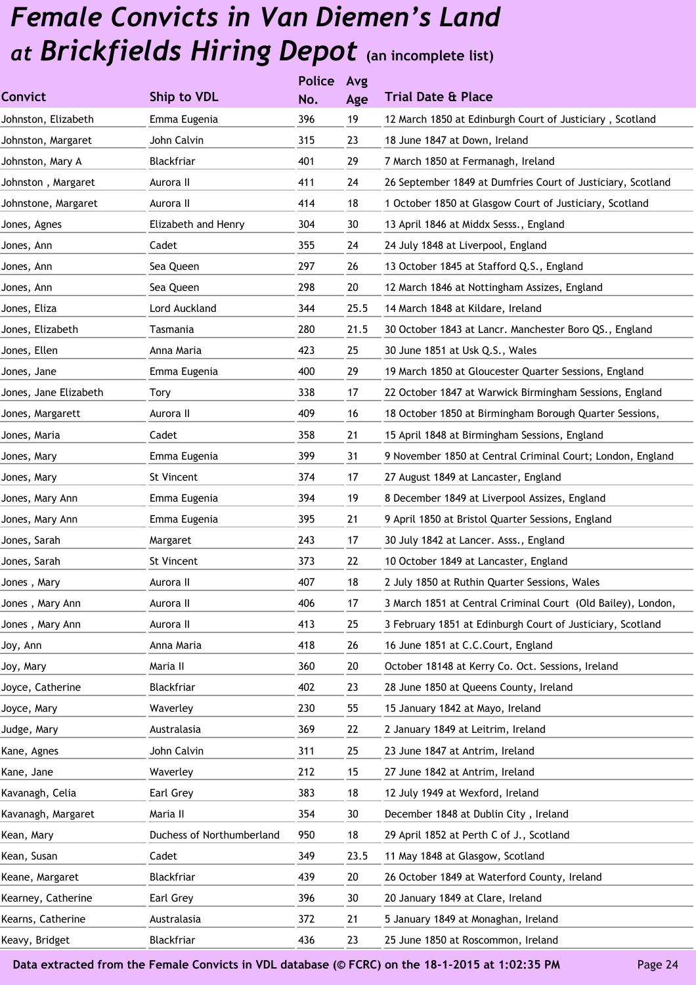|                       |                           | <b>Police</b> | Avg  |                                                              |
|-----------------------|---------------------------|---------------|------|--------------------------------------------------------------|
| <b>Convict</b>        | <b>Ship to VDL</b>        | No.           | Age  | <b>Trial Date &amp; Place</b>                                |
| Johnston, Elizabeth   | Emma Eugenia              | 396           | 19   | 12 March 1850 at Edinburgh Court of Justiciary, Scotland     |
| Johnston, Margaret    | John Calvin               | 315           | 23   | 18 June 1847 at Down, Ireland                                |
| Johnston, Mary A      | Blackfriar                | 401           | 29   | 7 March 1850 at Fermanagh, Ireland                           |
| Johnston, Margaret    | Aurora II                 | 411           | 24   | 26 September 1849 at Dumfries Court of Justiciary, Scotland  |
| Johnstone, Margaret   | Aurora II                 | 414           | 18   | 1 October 1850 at Glasgow Court of Justiciary, Scotland      |
| Jones, Agnes          | Elizabeth and Henry       | 304           | 30   | 13 April 1846 at Middx Sesss., England                       |
| Jones, Ann            | Cadet                     | 355           | 24   | 24 July 1848 at Liverpool, England                           |
| Jones, Ann            | Sea Queen                 | 297           | 26   | 13 October 1845 at Stafford Q.S., England                    |
| Jones, Ann            | Sea Queen                 | 298           | 20   | 12 March 1846 at Nottingham Assizes, England                 |
| Jones, Eliza          | Lord Auckland             | 344           | 25.5 | 14 March 1848 at Kildare, Ireland                            |
| Jones, Elizabeth      | Tasmania                  | 280           | 21.5 | 30 October 1843 at Lancr. Manchester Boro QS., England       |
| Jones, Ellen          | Anna Maria                | 423           | 25   | 30 June 1851 at Usk Q.S., Wales                              |
| Jones, Jane           | Emma Eugenia              | 400           | 29   | 19 March 1850 at Gloucester Quarter Sessions, England        |
| Jones, Jane Elizabeth | Tory                      | 338           | 17   | 22 October 1847 at Warwick Birmingham Sessions, England      |
| Jones, Margarett      | Aurora II                 | 409           | 16   | 18 October 1850 at Birmingham Borough Quarter Sessions,      |
| Jones, Maria          | Cadet                     | 358           | 21   | 15 April 1848 at Birmingham Sessions, England                |
| Jones, Mary           | Emma Eugenia              | 399           | 31   | 9 November 1850 at Central Criminal Court; London, England   |
| Jones, Mary           | St Vincent                | 374           | 17   | 27 August 1849 at Lancaster, England                         |
| Jones, Mary Ann       | Emma Eugenia              | 394           | 19   | 8 December 1849 at Liverpool Assizes, England                |
| Jones, Mary Ann       | Emma Eugenia              | 395           | 21   | 9 April 1850 at Bristol Quarter Sessions, England            |
| Jones, Sarah          | Margaret                  | 243           | 17   | 30 July 1842 at Lancer. Asss., England                       |
| Jones, Sarah          | St Vincent                | 373           | 22   | 10 October 1849 at Lancaster, England                        |
| Jones, Mary           | Aurora II                 | 407           | 18   | 2 July 1850 at Ruthin Quarter Sessions, Wales                |
| Jones , Mary Ann      | Aurora II                 | 406           | 17   | 3 March 1851 at Central Criminal Court (Old Bailey), London, |
| Jones, Mary Ann       | Aurora II                 | 413           | 25   | 3 February 1851 at Edinburgh Court of Justiciary, Scotland   |
| Joy, Ann              | Anna Maria                | 418           | 26   | 16 June 1851 at C.C.Court, England                           |
| Joy, Mary             | Maria II                  | 360           | 20   | October 18148 at Kerry Co. Oct. Sessions, Ireland            |
| Joyce, Catherine      | Blackfriar                | 402           | 23   | 28 June 1850 at Queens County, Ireland                       |
| Joyce, Mary           | Waverley                  | 230           | 55   | 15 January 1842 at Mayo, Ireland                             |
| Judge, Mary           | Australasia               | 369           | 22   | 2 January 1849 at Leitrim, Ireland                           |
| Kane, Agnes           | John Calvin               | 311           | 25   | 23 June 1847 at Antrim, Ireland                              |
| Kane, Jane            | Waverley                  | 212           | 15   | 27 June 1842 at Antrim, Ireland                              |
| Kavanagh, Celia       | Earl Grey                 | 383           | 18   | 12 July 1949 at Wexford, Ireland                             |
| Kavanagh, Margaret    | Maria II                  | 354           | 30   | December 1848 at Dublin City, Ireland                        |
| Kean, Mary            | Duchess of Northumberland | 950           | 18   | 29 April 1852 at Perth C of J., Scotland                     |
| Kean, Susan           | Cadet                     | 349           | 23.5 | 11 May 1848 at Glasgow, Scotland                             |
| Keane, Margaret       | Blackfriar                | 439           | 20   | 26 October 1849 at Waterford County, Ireland                 |
| Kearney, Catherine    | Earl Grey                 | 396           | 30   | 20 January 1849 at Clare, Ireland                            |
| Kearns, Catherine     | Australasia               | 372           | 21   | 5 January 1849 at Monaghan, Ireland                          |
| Keavy, Bridget        | Blackfriar                | 436           | 23   | 25 June 1850 at Roscommon, Ireland                           |
|                       |                           |               |      |                                                              |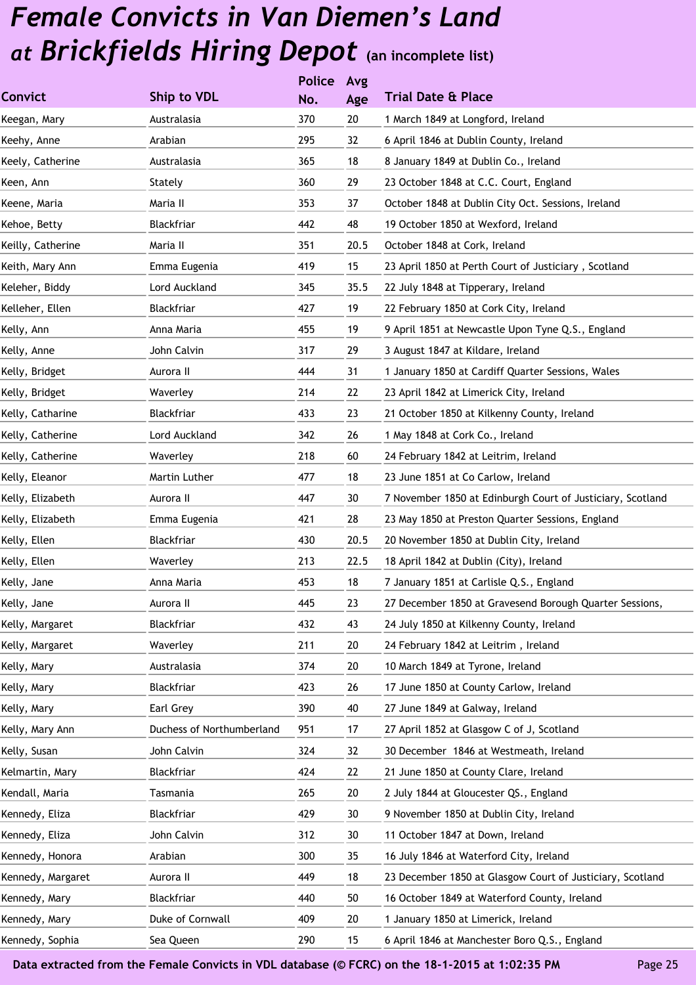| Ship to VDL               | No. | Age           | <b>Trial Date &amp; Place</b>                              |
|---------------------------|-----|---------------|------------------------------------------------------------|
| Australasia               | 370 | 20            | 1 March 1849 at Longford, Ireland                          |
| Arabian                   | 295 | 32            | 6 April 1846 at Dublin County, Ireland                     |
| Australasia               | 365 | 18            | 8 January 1849 at Dublin Co., Ireland                      |
| Stately                   | 360 | 29            | 23 October 1848 at C.C. Court, England                     |
| Maria II                  | 353 | 37            | October 1848 at Dublin City Oct. Sessions, Ireland         |
| Blackfriar                | 442 | 48            | 19 October 1850 at Wexford, Ireland                        |
| Maria II                  | 351 | 20.5          | October 1848 at Cork, Ireland                              |
| Emma Eugenia              | 419 | 15            | 23 April 1850 at Perth Court of Justiciary, Scotland       |
| Lord Auckland             | 345 | 35.5          | 22 July 1848 at Tipperary, Ireland                         |
| Blackfriar                | 427 | 19            | 22 February 1850 at Cork City, Ireland                     |
| Anna Maria                | 455 | 19            | 9 April 1851 at Newcastle Upon Tyne Q.S., England          |
| John Calvin               | 317 | 29            | 3 August 1847 at Kildare, Ireland                          |
| Aurora II                 | 444 | 31            | 1 January 1850 at Cardiff Quarter Sessions, Wales          |
| Waverley                  | 214 | 22            | 23 April 1842 at Limerick City, Ireland                    |
| Blackfriar                | 433 | 23            | 21 October 1850 at Kilkenny County, Ireland                |
| Lord Auckland             | 342 | 26            | 1 May 1848 at Cork Co., Ireland                            |
| Waverley                  | 218 | 60            | 24 February 1842 at Leitrim, Ireland                       |
| Martin Luther             | 477 | 18            | 23 June 1851 at Co Carlow, Ireland                         |
| Aurora II                 | 447 | 30            | 7 November 1850 at Edinburgh Court of Justiciary, Scotland |
| Emma Eugenia              | 421 | 28            | 23 May 1850 at Preston Quarter Sessions, England           |
| Blackfriar                | 430 | 20.5          | 20 November 1850 at Dublin City, Ireland                   |
| Waverley                  | 213 | 22.5          | 18 April 1842 at Dublin (City), Ireland                    |
| Anna Maria                | 453 | 18            | 7 January 1851 at Carlisle Q.S., England                   |
| Aurora II                 | 445 | 23            | 27 December 1850 at Gravesend Borough Quarter Sessions,    |
| Blackfriar                | 432 | 43            | 24 July 1850 at Kilkenny County, Ireland                   |
| Waverley                  | 211 | 20            | 24 February 1842 at Leitrim, Ireland                       |
| Australasia               | 374 | 20            | 10 March 1849 at Tyrone, Ireland                           |
| Blackfriar                | 423 | 26            | 17 June 1850 at County Carlow, Ireland                     |
| Earl Grey                 | 390 | 40            | 27 June 1849 at Galway, Ireland                            |
| Duchess of Northumberland | 951 | 17            | 27 April 1852 at Glasgow C of J, Scotland                  |
| John Calvin               | 324 | 32            | 30 December 1846 at Westmeath, Ireland                     |
| Blackfriar                | 424 | 22            | 21 June 1850 at County Clare, Ireland                      |
| Tasmania                  | 265 | 20            | 2 July 1844 at Gloucester QS., England                     |
| Blackfriar                | 429 | 30            | 9 November 1850 at Dublin City, Ireland                    |
| John Calvin               | 312 | 30            | 11 October 1847 at Down, Ireland                           |
| Arabian                   | 300 | 35            | 16 July 1846 at Waterford City, Ireland                    |
| Aurora II                 | 449 | 18            | 23 December 1850 at Glasgow Court of Justiciary, Scotland  |
| Blackfriar                | 440 | 50            | 16 October 1849 at Waterford County, Ireland               |
| Duke of Cornwall          | 409 | 20            | 1 January 1850 at Limerick, Ireland                        |
| Sea Queen                 | 290 | 15            | 6 April 1846 at Manchester Boro Q.S., England              |
|                           |     | <b>Police</b> | Avg                                                        |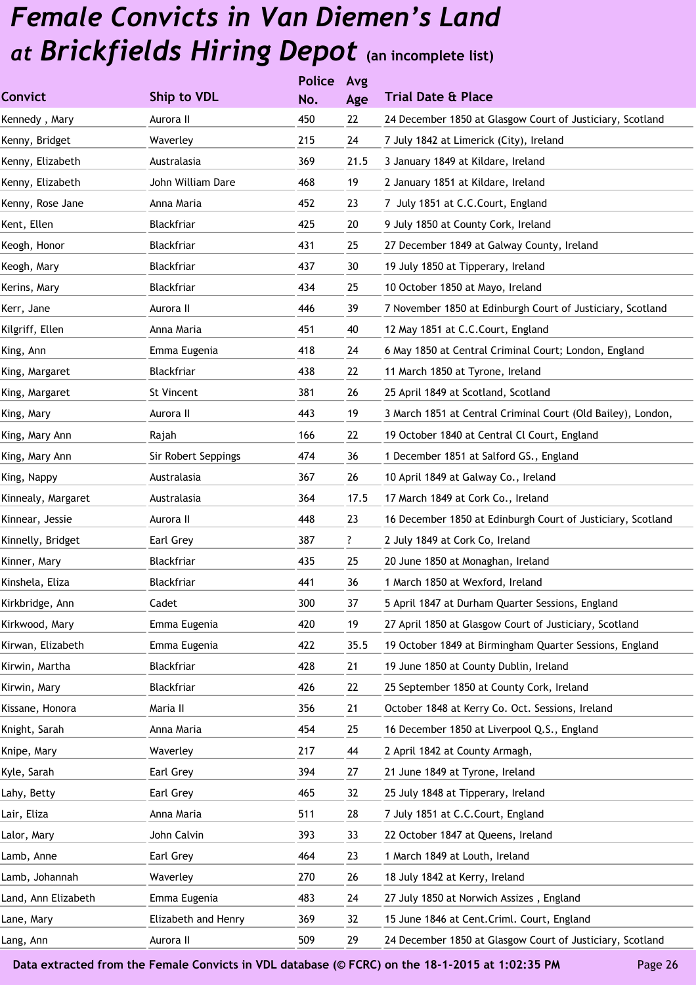|                     |                     | <b>Police</b> | Avg  |                                                              |
|---------------------|---------------------|---------------|------|--------------------------------------------------------------|
| Convict             | <b>Ship to VDL</b>  | No.           | Age  | <b>Trial Date &amp; Place</b>                                |
| Kennedy, Mary       | Aurora II           | 450           | 22   | 24 December 1850 at Glasgow Court of Justiciary, Scotland    |
| Kenny, Bridget      | Waverley            | 215           | 24   | 7 July 1842 at Limerick (City), Ireland                      |
| Kenny, Elizabeth    | Australasia         | 369           | 21.5 | 3 January 1849 at Kildare, Ireland                           |
| Kenny, Elizabeth    | John William Dare   | 468           | 19   | 2 January 1851 at Kildare, Ireland                           |
| Kenny, Rose Jane    | Anna Maria          | 452           | 23   | 7 July 1851 at C.C.Court, England                            |
| Kent, Ellen         | <b>Blackfriar</b>   | 425           | 20   | 9 July 1850 at County Cork, Ireland                          |
| Keogh, Honor        | Blackfriar          | 431           | 25   | 27 December 1849 at Galway County, Ireland                   |
| Keogh, Mary         | Blackfriar          | 437           | 30   | 19 July 1850 at Tipperary, Ireland                           |
| Kerins, Mary        | Blackfriar          | 434           | 25   | 10 October 1850 at Mayo, Ireland                             |
| Kerr, Jane          | Aurora II           | 446           | 39   | 7 November 1850 at Edinburgh Court of Justiciary, Scotland   |
| Kilgriff, Ellen     | Anna Maria          | 451           | 40   | 12 May 1851 at C.C.Court, England                            |
| King, Ann           | Emma Eugenia        | 418           | 24   | 6 May 1850 at Central Criminal Court; London, England        |
| King, Margaret      | Blackfriar          | 438           | 22   | 11 March 1850 at Tyrone, Ireland                             |
| King, Margaret      | St Vincent          | 381           | 26   | 25 April 1849 at Scotland, Scotland                          |
| King, Mary          | Aurora II           | 443           | 19   | 3 March 1851 at Central Criminal Court (Old Bailey), London, |
| King, Mary Ann      | Rajah               | 166           | 22   | 19 October 1840 at Central Cl Court, England                 |
| King, Mary Ann      | Sir Robert Seppings | 474           | 36   | 1 December 1851 at Salford GS., England                      |
| King, Nappy         | Australasia         | 367           | 26   | 10 April 1849 at Galway Co., Ireland                         |
| Kinnealy, Margaret  | Australasia         | 364           | 17.5 | 17 March 1849 at Cork Co., Ireland                           |
| Kinnear, Jessie     | Aurora II           | 448           | 23   | 16 December 1850 at Edinburgh Court of Justiciary, Scotland  |
| Kinnelly, Bridget   | Earl Grey           | 387           | ?    | 2 July 1849 at Cork Co, Ireland                              |
| Kinner, Mary        | Blackfriar          | 435           | 25   | 20 June 1850 at Monaghan, Ireland                            |
| Kinshela, Eliza     | Blackfriar          | 441           | 36   | 1 March 1850 at Wexford, Ireland                             |
| Kirkbridge, Ann     | Cadet               | 300           | 37   | 5 April 1847 at Durham Quarter Sessions, England             |
| Kirkwood, Mary      | Emma Eugenia        | 420           | 19   | 27 April 1850 at Glasgow Court of Justiciary, Scotland       |
| Kirwan, Elizabeth   | Emma Eugenia        | 422           | 35.5 | 19 October 1849 at Birmingham Quarter Sessions, England      |
| Kirwin, Martha      | Blackfriar          | 428           | 21   | 19 June 1850 at County Dublin, Ireland                       |
| Kirwin, Mary        | Blackfriar          | 426           | 22   | 25 September 1850 at County Cork, Ireland                    |
| Kissane, Honora     | Maria II            | 356           | 21   | October 1848 at Kerry Co. Oct. Sessions, Ireland             |
| Knight, Sarah       | Anna Maria          | 454           | 25   | 16 December 1850 at Liverpool Q.S., England                  |
| Knipe, Mary         | Waverley            | 217           | 44   | 2 April 1842 at County Armagh,                               |
| Kyle, Sarah         | Earl Grey           | 394           | 27   | 21 June 1849 at Tyrone, Ireland                              |
| Lahy, Betty         | Earl Grey           | 465           | 32   | 25 July 1848 at Tipperary, Ireland                           |
| Lair, Eliza         | Anna Maria          | 511           | 28   | 7 July 1851 at C.C.Court, England                            |
| Lalor, Mary         | John Calvin         | 393           | 33   | 22 October 1847 at Queens, Ireland                           |
| Lamb, Anne          | Earl Grey           | 464           | 23   | 1 March 1849 at Louth, Ireland                               |
| Lamb, Johannah      | Waverley            | 270           | 26   | 18 July 1842 at Kerry, Ireland                               |
| Land, Ann Elizabeth | Emma Eugenia        | 483           | 24   | 27 July 1850 at Norwich Assizes, England                     |
| Lane, Mary          | Elizabeth and Henry | 369           | 32   | 15 June 1846 at Cent. Criml. Court, England                  |
| Lang, Ann           | Aurora II           | 509           | 29   | 24 December 1850 at Glasgow Court of Justiciary, Scotland    |
|                     |                     |               |      |                                                              |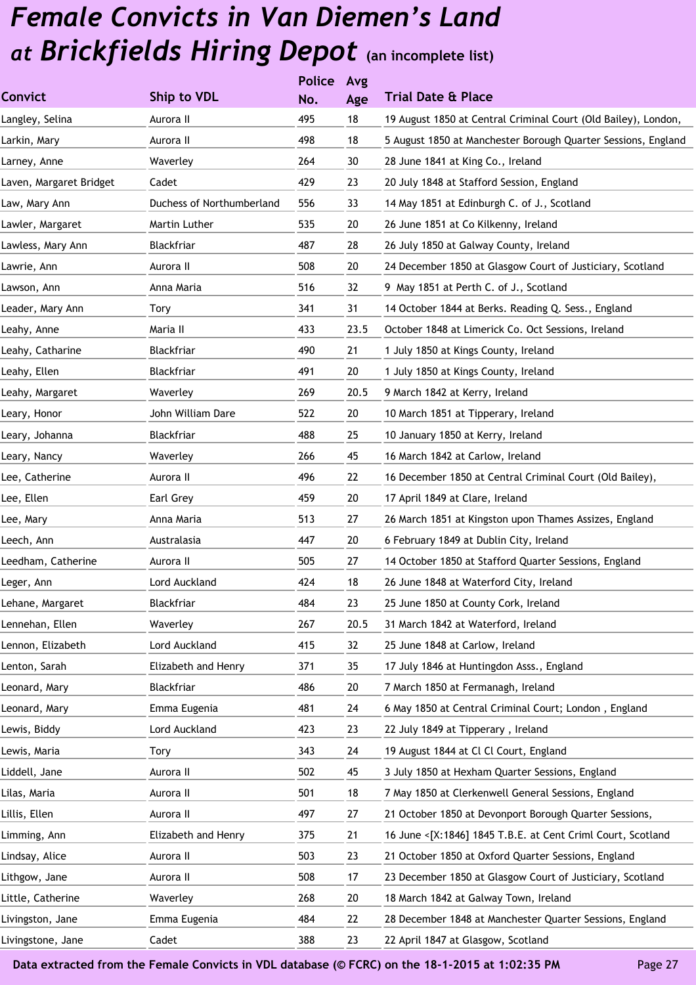|                         |                           | <b>Police</b> | Avg  |                                                                |
|-------------------------|---------------------------|---------------|------|----------------------------------------------------------------|
| <b>Convict</b>          | Ship to VDL               | No.           | Age  | <b>Trial Date &amp; Place</b>                                  |
| Langley, Selina         | Aurora II                 | 495           | 18   | 19 August 1850 at Central Criminal Court (Old Bailey), London, |
| Larkin, Mary            | Aurora II                 | 498           | 18   | 5 August 1850 at Manchester Borough Quarter Sessions, England  |
| Larney, Anne            | Waverley                  | 264           | 30   | 28 June 1841 at King Co., Ireland                              |
| Laven, Margaret Bridget | Cadet                     | 429           | 23   | 20 July 1848 at Stafford Session, England                      |
| Law, Mary Ann           | Duchess of Northumberland | 556           | 33   | 14 May 1851 at Edinburgh C. of J., Scotland                    |
| Lawler, Margaret        | Martin Luther             | 535           | 20   | 26 June 1851 at Co Kilkenny, Ireland                           |
| Lawless, Mary Ann       | Blackfriar                | 487           | 28   | 26 July 1850 at Galway County, Ireland                         |
| Lawrie, Ann             | Aurora II                 | 508           | 20   | 24 December 1850 at Glasgow Court of Justiciary, Scotland      |
| Lawson, Ann             | Anna Maria                | 516           | 32   | 9 May 1851 at Perth C. of J., Scotland                         |
| Leader, Mary Ann        | Tory                      | 341           | 31   | 14 October 1844 at Berks. Reading Q. Sess., England            |
| Leahy, Anne             | Maria II                  | 433           | 23.5 | October 1848 at Limerick Co. Oct Sessions, Ireland             |
| Leahy, Catharine        | <b>Blackfriar</b>         | 490           | 21   | 1 July 1850 at Kings County, Ireland                           |
| Leahy, Ellen            | Blackfriar                | 491           | 20   | 1 July 1850 at Kings County, Ireland                           |
| Leahy, Margaret         | Waverley                  | 269           | 20.5 | 9 March 1842 at Kerry, Ireland                                 |
| Leary, Honor            | John William Dare         | 522           | 20   | 10 March 1851 at Tipperary, Ireland                            |
| Leary, Johanna          | Blackfriar                | 488           | 25   | 10 January 1850 at Kerry, Ireland                              |
| Leary, Nancy            | Waverley                  | 266           | 45   | 16 March 1842 at Carlow, Ireland                               |
| Lee, Catherine          | Aurora II                 | 496           | 22   | 16 December 1850 at Central Criminal Court (Old Bailey),       |
| Lee, Ellen              | Earl Grey                 | 459           | 20   | 17 April 1849 at Clare, Ireland                                |
| Lee, Mary               | Anna Maria                | 513           | 27   | 26 March 1851 at Kingston upon Thames Assizes, England         |
| Leech, Ann              | Australasia               | 447           | 20   | 6 February 1849 at Dublin City, Ireland                        |
| Leedham, Catherine      | Aurora II                 | 505           | 27   | 14 October 1850 at Stafford Quarter Sessions, England          |
| Leger, Ann              | Lord Auckland             | 424           | 18   | 26 June 1848 at Waterford City, Ireland                        |
| Lehane, Margaret        | Blackfriar                | 484           | 23   | 25 June 1850 at County Cork, Ireland                           |
| Lennehan, Ellen         | Waverley                  | 267           | 20.5 | 31 March 1842 at Waterford, Ireland                            |
| Lennon, Elizabeth       | Lord Auckland             | 415           | 32   | 25 June 1848 at Carlow, Ireland                                |
| Lenton, Sarah           | Elizabeth and Henry       | 371           | 35   | 17 July 1846 at Huntingdon Asss., England                      |
| Leonard, Mary           | Blackfriar                | 486           | 20   | 7 March 1850 at Fermanagh, Ireland                             |
| Leonard, Mary           | Emma Eugenia              | 481           | 24   | 6 May 1850 at Central Criminal Court; London, England          |
| Lewis, Biddy            | Lord Auckland             | 423           | 23   | 22 July 1849 at Tipperary, Ireland                             |
| Lewis, Maria            | Tory                      | 343           | 24   | 19 August 1844 at Cl Cl Court, England                         |
| Liddell, Jane           | Aurora II                 | 502           | 45   | 3 July 1850 at Hexham Quarter Sessions, England                |
| Lilas, Maria            | Aurora II                 | 501           | 18   | 7 May 1850 at Clerkenwell General Sessions, England            |
| Lillis, Ellen           | Aurora II                 | 497           | 27   | 21 October 1850 at Devonport Borough Quarter Sessions,         |
| Limming, Ann            | Elizabeth and Henry       | 375           | 21   | 16 June <[X:1846] 1845 T.B.E. at Cent Criml Court, Scotland    |
| Lindsay, Alice          | Aurora II                 | 503           | 23   | 21 October 1850 at Oxford Quarter Sessions, England            |
| Lithgow, Jane           | Aurora II                 | 508           | 17   | 23 December 1850 at Glasgow Court of Justiciary, Scotland      |
| Little, Catherine       | Waverley                  | 268           | 20   | 18 March 1842 at Galway Town, Ireland                          |
| Livingston, Jane        | Emma Eugenia              | 484           | 22   | 28 December 1848 at Manchester Quarter Sessions, England       |
| Livingstone, Jane       | Cadet                     | 388           | 23   | 22 April 1847 at Glasgow, Scotland                             |
|                         |                           |               |      |                                                                |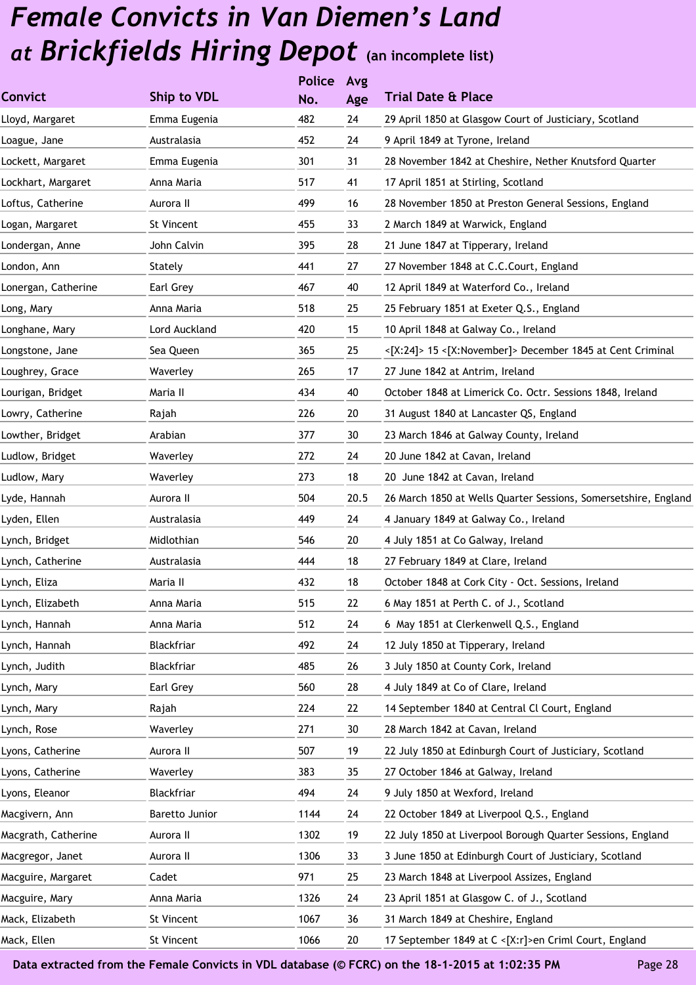|                     |                | <b>Police</b> | Avg  |                                                                 |
|---------------------|----------------|---------------|------|-----------------------------------------------------------------|
| <b>Convict</b>      | Ship to VDL    | No.           | Age  | <b>Trial Date &amp; Place</b>                                   |
| Lloyd, Margaret     | Emma Eugenia   | 482           | 24   | 29 April 1850 at Glasgow Court of Justiciary, Scotland          |
| Loague, Jane        | Australasia    | 452           | 24   | 9 April 1849 at Tyrone, Ireland                                 |
| Lockett, Margaret   | Emma Eugenia   | 301           | 31   | 28 November 1842 at Cheshire, Nether Knutsford Quarter          |
| Lockhart, Margaret  | Anna Maria     | 517           | 41   | 17 April 1851 at Stirling, Scotland                             |
| Loftus, Catherine   | Aurora II      | 499           | 16   | 28 November 1850 at Preston General Sessions, England           |
| Logan, Margaret     | St Vincent     | 455           | 33   | 2 March 1849 at Warwick, England                                |
| Londergan, Anne     | John Calvin    | 395           | 28   | 21 June 1847 at Tipperary, Ireland                              |
| London, Ann         | Stately        | 441           | 27   | 27 November 1848 at C.C.Court, England                          |
| Lonergan, Catherine | Earl Grey      | 467           | 40   | 12 April 1849 at Waterford Co., Ireland                         |
| Long, Mary          | Anna Maria     | 518           | 25   | 25 February 1851 at Exeter Q.S., England                        |
| Longhane, Mary      | Lord Auckland  | 420           | 15   | 10 April 1848 at Galway Co., Ireland                            |
| Longstone, Jane     | Sea Queen      | 365           | 25   | <[X:24]> 15 <[X:November]> December 1845 at Cent Criminal       |
| Loughrey, Grace     | Waverley       | 265           | 17   | 27 June 1842 at Antrim, Ireland                                 |
| Lourigan, Bridget   | Maria II       | 434           | 40   | October 1848 at Limerick Co. Octr. Sessions 1848, Ireland       |
| Lowry, Catherine    | Rajah          | 226           | 20   | 31 August 1840 at Lancaster QS, England                         |
| Lowther, Bridget    | Arabian        | 377           | 30   | 23 March 1846 at Galway County, Ireland                         |
| Ludlow, Bridget     | Waverley       | 272           | 24   | 20 June 1842 at Cavan, Ireland                                  |
| Ludlow, Mary        | Waverley       | 273           | 18   | 20 June 1842 at Cavan, Ireland                                  |
| Lyde, Hannah        | Aurora II      | 504           | 20.5 | 26 March 1850 at Wells Quarter Sessions, Somersetshire, England |
| Lyden, Ellen        | Australasia    | 449           | 24   | 4 January 1849 at Galway Co., Ireland                           |
| Lynch, Bridget      | Midlothian     | 546           | 20   | 4 July 1851 at Co Galway, Ireland                               |
| Lynch, Catherine    | Australasia    | 444           | 18   | 27 February 1849 at Clare, Ireland                              |
| Lynch, Eliza        | Maria II       | 432           | 18   | October 1848 at Cork City - Oct. Sessions, Ireland              |
| Lynch, Elizabeth    | Anna Maria     | 515           | 22   | 6 May 1851 at Perth C. of J., Scotland                          |
| Lynch, Hannah       | Anna Maria     | 512           | 24   | 6 May 1851 at Clerkenwell Q.S., England                         |
| Lynch, Hannah       | Blackfriar     | 492           | 24   | 12 July 1850 at Tipperary, Ireland                              |
| Lynch, Judith       | Blackfriar     | 485           | 26   | 3 July 1850 at County Cork, Ireland                             |
| Lynch, Mary         | Earl Grey      | 560           | 28   | 4 July 1849 at Co of Clare, Ireland                             |
| Lynch, Mary         | Rajah          | 224           | 22   | 14 September 1840 at Central Cl Court, England                  |
| Lynch, Rose         | Waverley       | 271           | 30   | 28 March 1842 at Cavan, Ireland                                 |
| Lyons, Catherine    | Aurora II      | 507           | 19   | 22 July 1850 at Edinburgh Court of Justiciary, Scotland         |
| Lyons, Catherine    | Waverley       | 383           | 35   | 27 October 1846 at Galway, Ireland                              |
| Lyons, Eleanor      | Blackfriar     | 494           | 24   | 9 July 1850 at Wexford, Ireland                                 |
| Macgivern, Ann      | Baretto Junior | 1144          | 24   | 22 October 1849 at Liverpool Q.S., England                      |
| Macgrath, Catherine | Aurora II      | 1302          | 19   | 22 July 1850 at Liverpool Borough Quarter Sessions, England     |
| Macgregor, Janet    | Aurora II      | 1306          | 33   | 3 June 1850 at Edinburgh Court of Justiciary, Scotland          |
| Macguire, Margaret  | Cadet          | 971           | 25   | 23 March 1848 at Liverpool Assizes, England                     |
| Macguire, Mary      | Anna Maria     | 1326          | 24   | 23 April 1851 at Glasgow C. of J., Scotland                     |
| Mack, Elizabeth     | St Vincent     | 1067          | 36   | 31 March 1849 at Cheshire, England                              |
| Mack, Ellen         | St Vincent     | 1066          | 20   | 17 September 1849 at C <[X:r]>en Criml Court, England           |
|                     |                |               |      |                                                                 |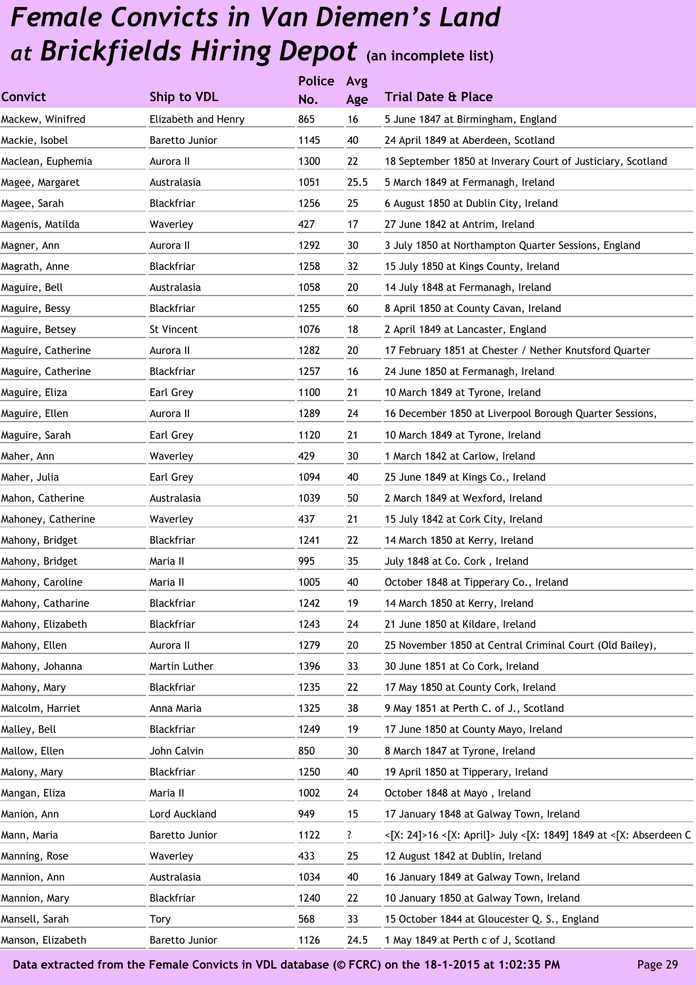|                    |                     | <b>Police</b> | Avg  |                                                                   |
|--------------------|---------------------|---------------|------|-------------------------------------------------------------------|
| <b>Convict</b>     | Ship to VDL         | No.           | Age  | <b>Trial Date &amp; Place</b>                                     |
| Mackew, Winifred   | Elizabeth and Henry | 865           | 16   | 5 June 1847 at Birmingham, England                                |
| Mackie, Isobel     | Baretto Junior      | 1145          | 40   | 24 April 1849 at Aberdeen, Scotland                               |
| Maclean, Euphemia  | Aurora II           | 1300          | 22   | 18 September 1850 at Inverary Court of Justiciary, Scotland       |
| Magee, Margaret    | Australasia         | 1051          | 25.5 | 5 March 1849 at Fermanagh, Ireland                                |
| Magee, Sarah       | Blackfriar          | 1256          | 25   | 6 August 1850 at Dublin City, Ireland                             |
| Magenis, Matilda   | Waverley            | 427           | 17   | 27 June 1842 at Antrim, Ireland                                   |
| Magner, Ann        | Aurora II           | 1292          | 30   | 3 July 1850 at Northampton Quarter Sessions, England              |
| Magrath, Anne      | Blackfriar          | 1258          | 32   | 15 July 1850 at Kings County, Ireland                             |
| Maguire, Bell      | Australasia         | 1058          | 20   | 14 July 1848 at Fermanagh, Ireland                                |
| Maguire, Bessy     | Blackfriar          | 1255          | 60   | 8 April 1850 at County Cavan, Ireland                             |
| Maguire, Betsey    | St Vincent          | 1076          | 18   | 2 April 1849 at Lancaster, England                                |
| Maguire, Catherine | Aurora II           | 1282          | 20   | 17 February 1851 at Chester / Nether Knutsford Quarter            |
| Maguire, Catherine | Blackfriar          | 1257          | 16   | 24 June 1850 at Fermanagh, Ireland                                |
| Maguire, Eliza     | Earl Grey           | 1100          | 21   | 10 March 1849 at Tyrone, Ireland                                  |
| Maguire, Ellen     | Aurora II           | 1289          | 24   | 16 December 1850 at Liverpool Borough Quarter Sessions,           |
| Maguire, Sarah     | Earl Grey           | 1120          | 21   | 10 March 1849 at Tyrone, Ireland                                  |
| Maher, Ann         | Waverley            | 429           | 30   | 1 March 1842 at Carlow, Ireland                                   |
| Maher, Julia       | Earl Grey           | 1094          | 40   | 25 June 1849 at Kings Co., Ireland                                |
| Mahon, Catherine   | Australasia         | 1039          | 50   | 2 March 1849 at Wexford, Ireland                                  |
| Mahoney, Catherine | Waverley            | 437           | 21   | 15 July 1842 at Cork City, Ireland                                |
| Mahony, Bridget    | Blackfriar          | 1241          | 22   | 14 March 1850 at Kerry, Ireland                                   |
| Mahony, Bridget    | Maria II            | 995           | 35   | July 1848 at Co. Cork, Ireland                                    |
| Mahony, Caroline   | Maria II            | 1005          | 40   | October 1848 at Tipperary Co., Ireland                            |
| Mahony, Catharine  | Blackfriar          | 1242          | 19   | 14 March 1850 at Kerry, Ireland                                   |
| Mahony, Elizabeth  | Blackfriar          | 1243          | 24   | 21 June 1850 at Kildare, Ireland                                  |
| Mahony, Ellen      | Aurora II           | 1279          | 20   | 25 November 1850 at Central Criminal Court (Old Bailey),          |
| Mahony, Johanna    | Martin Luther       | 1396          | 33   | 30 June 1851 at Co Cork, Ireland                                  |
| Mahony, Mary       | Blackfriar          | 1235          | 22   | 17 May 1850 at County Cork, Ireland                               |
| Malcolm, Harriet   | Anna Maria          | 1325          | 38   | 9 May 1851 at Perth C. of J., Scotland                            |
| Malley, Bell       | Blackfriar          | 1249          | 19   | 17 June 1850 at County Mayo, Ireland                              |
| Mallow, Ellen      | John Calvin         | 850           | 30   | 8 March 1847 at Tyrone, Ireland                                   |
| Malony, Mary       | Blackfriar          | 1250          | 40   | 19 April 1850 at Tipperary, Ireland                               |
| Mangan, Eliza      | Maria II            | 1002          | 24   | October 1848 at Mayo, Ireland                                     |
| Manion, Ann        | Lord Auckland       | 949           | 15   | 17 January 1848 at Galway Town, Ireland                           |
| Mann, Maria        | Baretto Junior      | 1122          | ?    | <[X: 24]>16 <[X: April]> July <[X: 1849] 1849 at <[X: Abserdeen C |
| Manning, Rose      | Waverley            | 433           | 25   | 12 August 1842 at Dublin, Ireland                                 |
| Mannion, Ann       | Australasia         | 1034          | 40   | 16 January 1849 at Galway Town, Ireland                           |
| Mannion, Mary      | Blackfriar          | 1240          | 22   | 10 January 1850 at Galway Town, Ireland                           |
| Mansell, Sarah     | Tory                | 568           | 33   | 15 October 1844 at Gloucester Q. S., England                      |
| Manson, Elizabeth  | Baretto Junior      | 1126          | 24.5 | 1 May 1849 at Perth c of J, Scotland                              |
|                    |                     |               |      |                                                                   |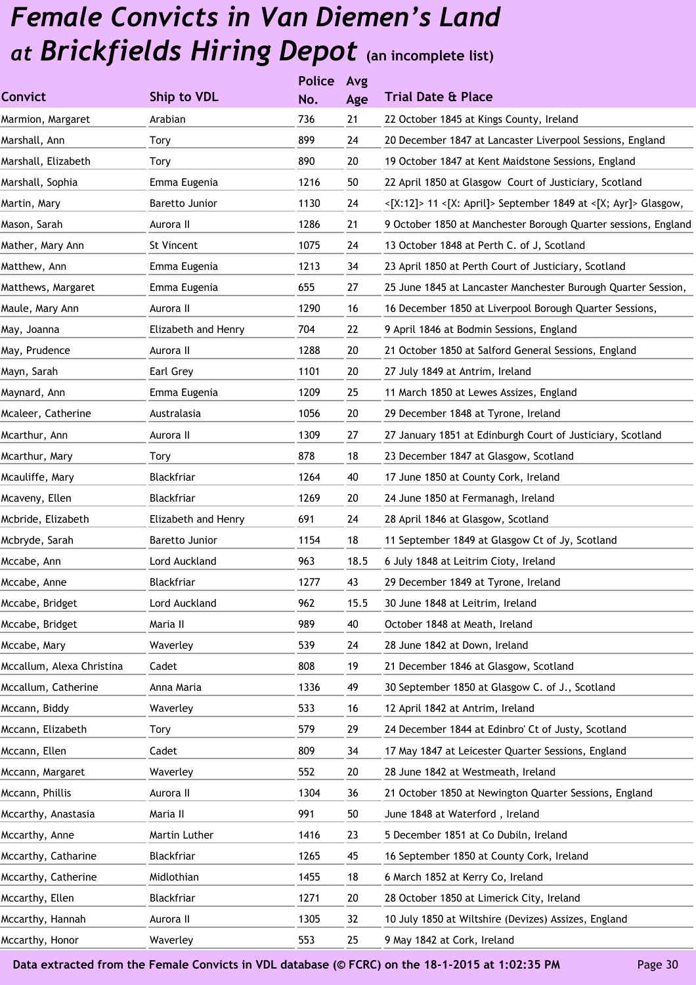|                     | <b>Police</b> | Avg  |                                                                |
|---------------------|---------------|------|----------------------------------------------------------------|
| Ship to VDL         | No.           | Age  | <b>Trial Date &amp; Place</b>                                  |
| Arabian             | 736           | 21   | 22 October 1845 at Kings County, Ireland                       |
| Tory                | 899           | 24   | 20 December 1847 at Lancaster Liverpool Sessions, England      |
| Tory                | 890           | 20   | 19 October 1847 at Kent Maidstone Sessions, England            |
| Emma Eugenia        | 1216          | 50   | 22 April 1850 at Glasgow Court of Justiciary, Scotland         |
| Baretto Junior      | 1130          | 24   | <[X:12]> 11 <[X: April]> September 1849 at <[X; Ayr]> Glasgow, |
| Aurora II           | 1286          | 21   | 9 October 1850 at Manchester Borough Quarter sessions, England |
| St Vincent          | 1075          | 24   | 13 October 1848 at Perth C. of J, Scotland                     |
| Emma Eugenia        | 1213          | 34   | 23 April 1850 at Perth Court of Justiciary, Scotland           |
| Emma Eugenia        | 655           | 27   | 25 June 1845 at Lancaster Manchester Burough Quarter Session,  |
| Aurora II           | 1290          | 16   | 16 December 1850 at Liverpool Borough Quarter Sessions,        |
| Elizabeth and Henry | 704           | 22   | 9 April 1846 at Bodmin Sessions, England                       |
| Aurora II           | 1288          | 20   | 21 October 1850 at Salford General Sessions, England           |
| Earl Grey           | 1101          | 20   | 27 July 1849 at Antrim, Ireland                                |
| Emma Eugenia        | 1209          | 25   | 11 March 1850 at Lewes Assizes, England                        |
| Australasia         | 1056          | 20   | 29 December 1848 at Tyrone, Ireland                            |
| Aurora II           | 1309          | 27   | 27 January 1851 at Edinburgh Court of Justiciary, Scotland     |
| Tory                | 878           | 18   | 23 December 1847 at Glasgow, Scotland                          |
| Blackfriar          | 1264          | 40   | 17 June 1850 at County Cork, Ireland                           |
| Blackfriar          | 1269          | 20   | 24 June 1850 at Fermanagh, Ireland                             |
| Elizabeth and Henry | 691           | 24   | 28 April 1846 at Glasgow, Scotland                             |
| Baretto Junior      | 1154          | 18   | 11 September 1849 at Glasgow Ct of Jy, Scotland                |
| Lord Auckland       | 963           | 18.5 | 6 July 1848 at Leitrim Cioty, Ireland                          |
| Blackfriar          | 1277          | 43   | 29 December 1849 at Tyrone, Ireland                            |
| Lord Auckland       | 962           | 15.5 | 30 June 1848 at Leitrim, Ireland                               |
| Maria II            | 989           | 40   | October 1848 at Meath, Ireland                                 |
| Waverley            | 539           | 24   | 28 June 1842 at Down, Ireland                                  |
| Cadet               | 808           | 19   | 21 December 1846 at Glasgow, Scotland                          |
| Anna Maria          | 1336          | 49   | 30 September 1850 at Glasgow C. of J., Scotland                |
| Waverley            | 533           | 16   | 12 April 1842 at Antrim, Ireland                               |
| Tory                | 579           | 29   | 24 December 1844 at Edinbro' Ct of Justy, Scotland             |
| Cadet               | 809           | 34   | 17 May 1847 at Leicester Quarter Sessions, England             |
| Waverley            | 552           | 20   | 28 June 1842 at Westmeath, Ireland                             |
| Aurora II           | 1304          | 36   | 21 October 1850 at Newington Quarter Sessions, England         |
| Maria II            | 991           | 50   | June 1848 at Waterford, Ireland                                |
| Martin Luther       | 1416          | 23   | 5 December 1851 at Co Dubiln, Ireland                          |
| Blackfriar          | 1265          | 45   | 16 September 1850 at County Cork, Ireland                      |
| Midlothian          | 1455          | 18   | 6 March 1852 at Kerry Co, Ireland                              |
| Blackfriar          | 1271          | 20   | 28 October 1850 at Limerick City, Ireland                      |
| Aurora II           | 1305          | 32   | 10 July 1850 at Wiltshire (Devizes) Assizes, England           |
| Waverley            | 553           | 25   | 9 May 1842 at Cork, Ireland                                    |
|                     |               |      |                                                                |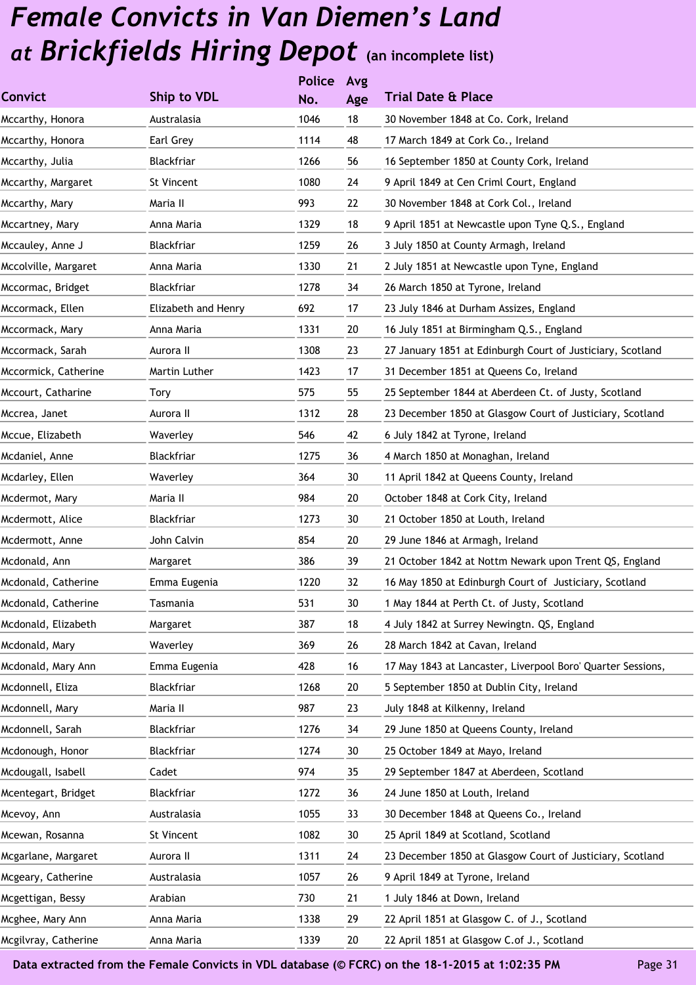|                      |                     | <b>Police</b> | Avg    |                                                             |
|----------------------|---------------------|---------------|--------|-------------------------------------------------------------|
| <b>Convict</b>       | <b>Ship to VDL</b>  | No.           | Age    | <b>Trial Date &amp; Place</b>                               |
| Mccarthy, Honora     | Australasia         | 1046          | 18     | 30 November 1848 at Co. Cork, Ireland                       |
| Mccarthy, Honora     | Earl Grey           | 1114          | 48     | 17 March 1849 at Cork Co., Ireland                          |
| Mccarthy, Julia      | Blackfriar          | 1266          | 56     | 16 September 1850 at County Cork, Ireland                   |
| Mccarthy, Margaret   | St Vincent          | 1080          | 24     | 9 April 1849 at Cen Criml Court, England                    |
| Mccarthy, Mary       | Maria II            | 993           | 22     | 30 November 1848 at Cork Col., Ireland                      |
| Mccartney, Mary      | Anna Maria          | 1329          | 18     | 9 April 1851 at Newcastle upon Tyne Q.S., England           |
| Mccauley, Anne J     | Blackfriar          | 1259          | 26     | 3 July 1850 at County Armagh, Ireland                       |
| Mccolville, Margaret | Anna Maria          | 1330          | 21     | 2 July 1851 at Newcastle upon Tyne, England                 |
| Mccormac, Bridget    | Blackfriar          | 1278          | 34     | 26 March 1850 at Tyrone, Ireland                            |
| Mccormack, Ellen     | Elizabeth and Henry | 692           | 17     | 23 July 1846 at Durham Assizes, England                     |
| Mccormack, Mary      | Anna Maria          | 1331          | 20     | 16 July 1851 at Birmingham Q.S., England                    |
| Mccormack, Sarah     | Aurora II           | 1308          | 23     | 27 January 1851 at Edinburgh Court of Justiciary, Scotland  |
| Mccormick, Catherine | Martin Luther       | 1423          | 17     | 31 December 1851 at Queens Co, Ireland                      |
| Mccourt, Catharine   | <b>Tory</b>         | 575           | 55     | 25 September 1844 at Aberdeen Ct. of Justy, Scotland        |
| Mccrea, Janet        | Aurora II           | 1312          | 28     | 23 December 1850 at Glasgow Court of Justiciary, Scotland   |
| Mccue, Elizabeth     | Waverley            | 546           | 42     | 6 July 1842 at Tyrone, Ireland                              |
| Mcdaniel, Anne       | Blackfriar          | 1275          | 36     | 4 March 1850 at Monaghan, Ireland                           |
| Mcdarley, Ellen      | Waverley            | 364           | 30     | 11 April 1842 at Queens County, Ireland                     |
| Mcdermot, Mary       | Maria II            | 984           | 20     | October 1848 at Cork City, Ireland                          |
| Mcdermott, Alice     | Blackfriar          | 1273          | 30     | 21 October 1850 at Louth, Ireland                           |
| Mcdermott, Anne      | John Calvin         | 854           | 20     | 29 June 1846 at Armagh, Ireland                             |
| Mcdonald, Ann        | Margaret            | 386           | 39     | 21 October 1842 at Nottm Newark upon Trent QS, England      |
| Mcdonald, Catherine  | Emma Eugenia        | 1220          | 32     | 16 May 1850 at Edinburgh Court of Justiciary, Scotland      |
| Mcdonald, Catherine  | Tasmania            | 531           | $30\,$ | 1 May 1844 at Perth Ct. of Justy, Scotland                  |
| Mcdonald, Elizabeth  | Margaret            | 387           | 18     | 4 July 1842 at Surrey Newingtn. QS, England                 |
| Mcdonald, Mary       | Waverley            | 369           | 26     | 28 March 1842 at Cavan, Ireland                             |
| Mcdonald, Mary Ann   | Emma Eugenia        | 428           | 16     | 17 May 1843 at Lancaster, Liverpool Boro' Quarter Sessions, |
| Mcdonnell, Eliza     | Blackfriar          | 1268          | 20     | 5 September 1850 at Dublin City, Ireland                    |
| Mcdonnell, Mary      | Maria II            | 987           | 23     | July 1848 at Kilkenny, Ireland                              |
| Mcdonnell, Sarah     | Blackfriar          | 1276          | 34     | 29 June 1850 at Queens County, Ireland                      |
| Mcdonough, Honor     | Blackfriar          | 1274          | 30     | 25 October 1849 at Mayo, Ireland                            |
| Mcdougall, Isabell   | Cadet               | 974           | 35     | 29 September 1847 at Aberdeen, Scotland                     |
| Mcentegart, Bridget  | Blackfriar          | 1272          | 36     | 24 June 1850 at Louth, Ireland                              |
| Mcevoy, Ann          | Australasia         | 1055          | 33     | 30 December 1848 at Queens Co., Ireland                     |
| Mcewan, Rosanna      | St Vincent          | 1082          | 30     | 25 April 1849 at Scotland, Scotland                         |
| Mcgarlane, Margaret  | Aurora II           | 1311          | 24     | 23 December 1850 at Glasgow Court of Justiciary, Scotland   |
| Mcgeary, Catherine   | Australasia         | 1057          | 26     | 9 April 1849 at Tyrone, Ireland                             |
| Mcgettigan, Bessy    | Arabian             | 730           | 21     | 1 July 1846 at Down, Ireland                                |
| Mcghee, Mary Ann     | Anna Maria          | 1338          | 29     | 22 April 1851 at Glasgow C. of J., Scotland                 |
| Mcgilvray, Catherine | Anna Maria          | 1339          | 20     | 22 April 1851 at Glasgow C.of J., Scotland                  |
|                      |                     |               |        |                                                             |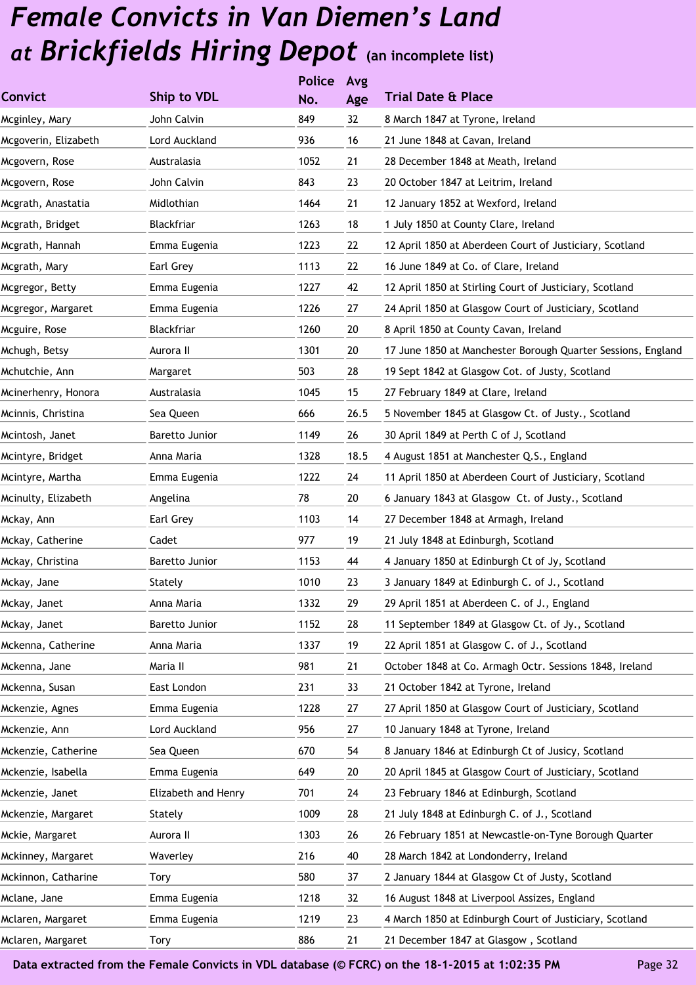|                      |                     | <b>Police</b> | Avg  |                                                              |
|----------------------|---------------------|---------------|------|--------------------------------------------------------------|
| <b>Convict</b>       | Ship to VDL         | No.           | Age  | <b>Trial Date &amp; Place</b>                                |
| Mcginley, Mary       | John Calvin         | 849           | 32   | 8 March 1847 at Tyrone, Ireland                              |
| Mcgoverin, Elizabeth | Lord Auckland       | 936           | 16   | 21 June 1848 at Cavan, Ireland                               |
| Mcgovern, Rose       | Australasia         | 1052          | 21   | 28 December 1848 at Meath, Ireland                           |
| Mcgovern, Rose       | John Calvin         | 843           | 23   | 20 October 1847 at Leitrim, Ireland                          |
| Mcgrath, Anastatia   | Midlothian          | 1464          | 21   | 12 January 1852 at Wexford, Ireland                          |
| Mcgrath, Bridget     | Blackfriar          | 1263          | 18   | 1 July 1850 at County Clare, Ireland                         |
| Mcgrath, Hannah      | Emma Eugenia        | 1223          | 22   | 12 April 1850 at Aberdeen Court of Justiciary, Scotland      |
| Mcgrath, Mary        | Earl Grey           | 1113          | 22   | 16 June 1849 at Co. of Clare, Ireland                        |
| Mcgregor, Betty      | Emma Eugenia        | 1227          | 42   | 12 April 1850 at Stirling Court of Justiciary, Scotland      |
| Mcgregor, Margaret   | Emma Eugenia        | 1226          | 27   | 24 April 1850 at Glasgow Court of Justiciary, Scotland       |
| Mcguire, Rose        | Blackfriar          | 1260          | 20   | 8 April 1850 at County Cavan, Ireland                        |
| Mchugh, Betsy        | Aurora II           | 1301          | 20   | 17 June 1850 at Manchester Borough Quarter Sessions, England |
| Mchutchie, Ann       | Margaret            | 503           | 28   | 19 Sept 1842 at Glasgow Cot. of Justy, Scotland              |
| Mcinerhenry, Honora  | Australasia         | 1045          | 15   | 27 February 1849 at Clare, Ireland                           |
| Mcinnis, Christina   | Sea Queen           | 666           | 26.5 | 5 November 1845 at Glasgow Ct. of Justy., Scotland           |
| Mcintosh, Janet      | Baretto Junior      | 1149          | 26   | 30 April 1849 at Perth C of J, Scotland                      |
| Mcintyre, Bridget    | Anna Maria          | 1328          | 18.5 | 4 August 1851 at Manchester Q.S., England                    |
| Mcintyre, Martha     | Emma Eugenia        | 1222          | 24   | 11 April 1850 at Aberdeen Court of Justiciary, Scotland      |
| Mcinulty, Elizabeth  | Angelina            | 78            | 20   | 6 January 1843 at Glasgow Ct. of Justy., Scotland            |
| Mckay, Ann           | Earl Grey           | 1103          | 14   | 27 December 1848 at Armagh, Ireland                          |
| Mckay, Catherine     | Cadet               | 977           | 19   | 21 July 1848 at Edinburgh, Scotland                          |
| Mckay, Christina     | Baretto Junior      | 1153          | 44   | 4 January 1850 at Edinburgh Ct of Jy, Scotland               |
| Mckay, Jane          | Stately             | 1010          | 23   | 3 January 1849 at Edinburgh C. of J., Scotland               |
| Mckay, Janet         | Anna Maria          | 1332          | 29   | 29 April 1851 at Aberdeen C. of J., England                  |
| Mckay, Janet         | Baretto Junior      | 1152          | 28   | 11 September 1849 at Glasgow Ct. of Jy., Scotland            |
| Mckenna, Catherine   | Anna Maria          | 1337          | 19   | 22 April 1851 at Glasgow C. of J., Scotland                  |
| Mckenna, Jane        | Maria II            | 981           | 21   | October 1848 at Co. Armagh Octr. Sessions 1848, Ireland      |
| Mckenna, Susan       | East London         | 231           | 33   | 21 October 1842 at Tyrone, Ireland                           |
| Mckenzie, Agnes      | Emma Eugenia        | 1228          | 27   | 27 April 1850 at Glasgow Court of Justiciary, Scotland       |
| Mckenzie, Ann        | Lord Auckland       | 956           | 27   | 10 January 1848 at Tyrone, Ireland                           |
| Mckenzie, Catherine  | Sea Queen           | 670           | 54   | 8 January 1846 at Edinburgh Ct of Jusicy, Scotland           |
| Mckenzie, Isabella   | Emma Eugenia        | 649           | 20   | 20 April 1845 at Glasgow Court of Justiciary, Scotland       |
| Mckenzie, Janet      | Elizabeth and Henry | 701           | 24   | 23 February 1846 at Edinburgh, Scotland                      |
| Mckenzie, Margaret   | Stately             | 1009          | 28   | 21 July 1848 at Edinburgh C. of J., Scotland                 |
| Mckie, Margaret      | Aurora II           | 1303          | 26   | 26 February 1851 at Newcastle-on-Tyne Borough Quarter        |
| Mckinney, Margaret   | Waverley            | 216           | 40   | 28 March 1842 at Londonderry, Ireland                        |
| Mckinnon, Catharine  | Tory                | 580           | 37   | 2 January 1844 at Glasgow Ct of Justy, Scotland              |
| Mclane, Jane         | Emma Eugenia        | 1218          | 32   | 16 August 1848 at Liverpool Assizes, England                 |
| Mclaren, Margaret    | Emma Eugenia        | 1219          | 23   | 4 March 1850 at Edinburgh Court of Justiciary, Scotland      |
| Mclaren, Margaret    | <b>Tory</b>         | 886           | 21   | 21 December 1847 at Glasgow, Scotland                        |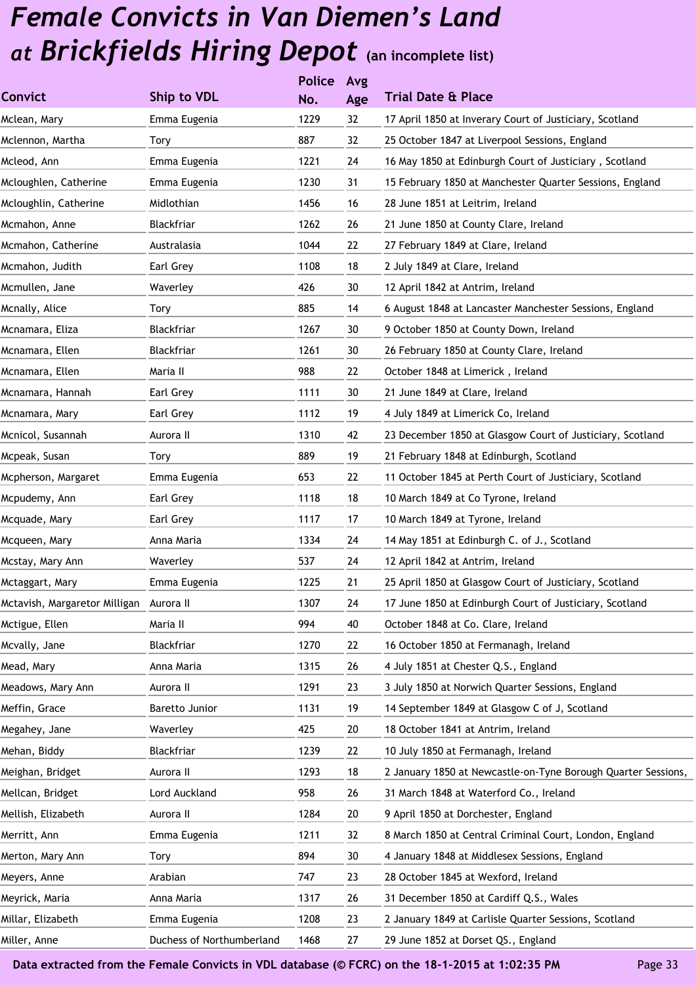|                                         |                           | <b>Police</b> | Avg |                                                               |
|-----------------------------------------|---------------------------|---------------|-----|---------------------------------------------------------------|
| <b>Convict</b>                          | Ship to VDL               | No.           | Age | <b>Trial Date &amp; Place</b>                                 |
| Mclean, Mary                            | Emma Eugenia              | 1229          | 32  | 17 April 1850 at Inverary Court of Justiciary, Scotland       |
| Mclennon, Martha                        | Tory                      | 887           | 32  | 25 October 1847 at Liverpool Sessions, England                |
| Mcleod, Ann                             | Emma Eugenia              | 1221          | 24  | 16 May 1850 at Edinburgh Court of Justiciary, Scotland        |
| Mcloughlen, Catherine                   | Emma Eugenia              | 1230          | 31  | 15 February 1850 at Manchester Quarter Sessions, England      |
| Mcloughlin, Catherine                   | Midlothian                | 1456          | 16  | 28 June 1851 at Leitrim, Ireland                              |
| Mcmahon, Anne                           | <b>Blackfriar</b>         | 1262          | 26  | 21 June 1850 at County Clare, Ireland                         |
| Mcmahon, Catherine                      | Australasia               | 1044          | 22  | 27 February 1849 at Clare, Ireland                            |
| Mcmahon, Judith                         | Earl Grey                 | 1108          | 18  | 2 July 1849 at Clare, Ireland                                 |
| Mcmullen, Jane                          | Waverley                  | 426           | 30  | 12 April 1842 at Antrim, Ireland                              |
| Mcnally, Alice                          | Tory                      | 885           | 14  | 6 August 1848 at Lancaster Manchester Sessions, England       |
| Mcnamara, Eliza                         | Blackfriar                | 1267          | 30  | 9 October 1850 at County Down, Ireland                        |
| Mcnamara, Ellen                         | Blackfriar                | 1261          | 30  | 26 February 1850 at County Clare, Ireland                     |
| Mcnamara, Ellen                         | Maria II                  | 988           | 22  | October 1848 at Limerick, Ireland                             |
| Mcnamara, Hannah                        | Earl Grey                 | 1111          | 30  | 21 June 1849 at Clare, Ireland                                |
| Mcnamara, Mary                          | Earl Grey                 | 1112          | 19  | 4 July 1849 at Limerick Co, Ireland                           |
| Mcnicol, Susannah                       | Aurora II                 | 1310          | 42  | 23 December 1850 at Glasgow Court of Justiciary, Scotland     |
| Mcpeak, Susan                           | <b>Tory</b>               | 889           | 19  | 21 February 1848 at Edinburgh, Scotland                       |
| Mcpherson, Margaret                     | Emma Eugenia              | 653           | 22  | 11 October 1845 at Perth Court of Justiciary, Scotland        |
| Mcpudemy, Ann                           | Earl Grey                 | 1118          | 18  | 10 March 1849 at Co Tyrone, Ireland                           |
| Mcquade, Mary                           | Earl Grey                 | 1117          | 17  | 10 March 1849 at Tyrone, Ireland                              |
| Mcqueen, Mary                           | Anna Maria                | 1334          | 24  | 14 May 1851 at Edinburgh C. of J., Scotland                   |
| Mcstay, Mary Ann                        | Waverley                  | 537           | 24  | 12 April 1842 at Antrim, Ireland                              |
| Mctaggart, Mary                         | Emma Eugenia              | 1225          | 21  | 25 April 1850 at Glasgow Court of Justiciary, Scotland        |
| Mctavish, Margaretor Milligan Aurora II |                           | 1307          | 24  | 17 June 1850 at Edinburgh Court of Justiciary, Scotland       |
| Mctigue, Ellen                          | Maria II                  | 994           | 40  | October 1848 at Co. Clare, Ireland                            |
| Mcvally, Jane                           | Blackfriar                | 1270          | 22  | 16 October 1850 at Fermanagh, Ireland                         |
| Mead, Mary                              | Anna Maria                | 1315          | 26  | 4 July 1851 at Chester Q.S., England                          |
| Meadows, Mary Ann                       | Aurora II                 | 1291          | 23  | 3 July 1850 at Norwich Quarter Sessions, England              |
| Meffin, Grace                           | Baretto Junior            | 1131          | 19  | 14 September 1849 at Glasgow C of J, Scotland                 |
| Megahey, Jane                           | Waverley                  | 425           | 20  | 18 October 1841 at Antrim, Ireland                            |
| Mehan, Biddy                            | Blackfriar                | 1239          | 22  | 10 July 1850 at Fermanagh, Ireland                            |
| Meighan, Bridget                        | Aurora II                 | 1293          | 18  | 2 January 1850 at Newcastle-on-Tyne Borough Quarter Sessions, |
| Mellcan, Bridget                        | Lord Auckland             | 958           | 26  | 31 March 1848 at Waterford Co., Ireland                       |
| Mellish, Elizabeth                      | Aurora II                 | 1284          | 20  | 9 April 1850 at Dorchester, England                           |
| Merritt, Ann                            | Emma Eugenia              | 1211          | 32  | 8 March 1850 at Central Criminal Court, London, England       |
| Merton, Mary Ann                        | Tory                      | 894           | 30  | 4 January 1848 at Middlesex Sessions, England                 |
| Meyers, Anne                            | Arabian                   | 747           | 23  | 28 October 1845 at Wexford, Ireland                           |
| Meyrick, Maria                          | Anna Maria                | 1317          | 26  | 31 December 1850 at Cardiff Q.S., Wales                       |
| Millar, Elizabeth                       | Emma Eugenia              | 1208          | 23  | 2 January 1849 at Carlisle Quarter Sessions, Scotland         |
| Miller, Anne                            | Duchess of Northumberland | 1468          | 27  | 29 June 1852 at Dorset QS., England                           |
|                                         |                           |               |     |                                                               |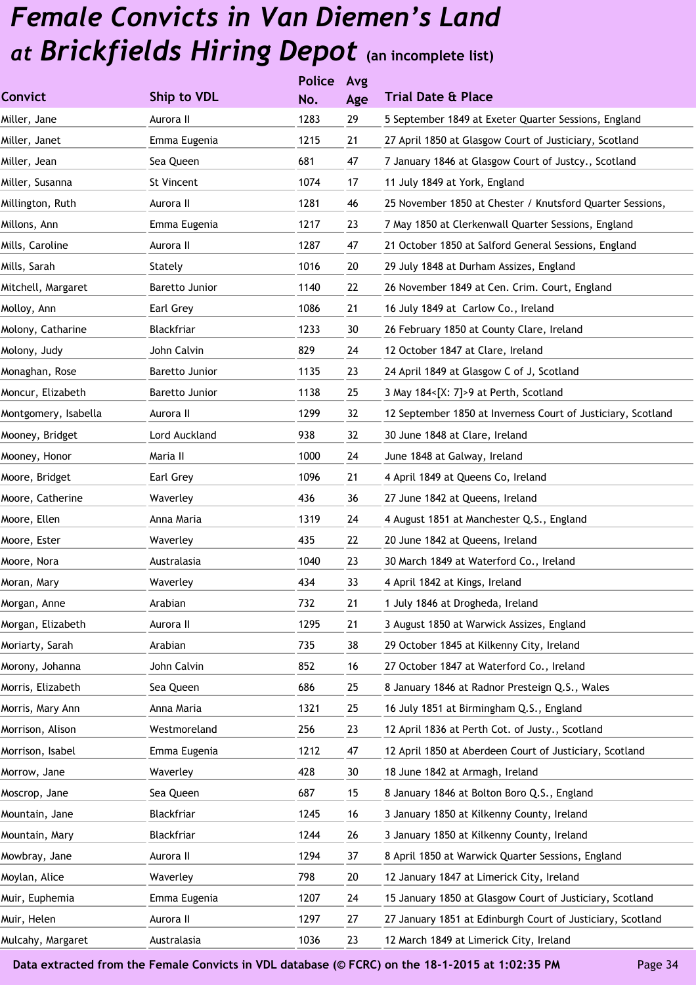|                      |                | <b>Police</b> | Avg |                                                              |
|----------------------|----------------|---------------|-----|--------------------------------------------------------------|
| <b>Convict</b>       | Ship to VDL    | No.           | Age | <b>Trial Date &amp; Place</b>                                |
| Miller, Jane         | Aurora II      | 1283          | 29  | 5 September 1849 at Exeter Quarter Sessions, England         |
| Miller, Janet        | Emma Eugenia   | 1215          | 21  | 27 April 1850 at Glasgow Court of Justiciary, Scotland       |
| Miller, Jean         | Sea Queen      | 681           | 47  | 7 January 1846 at Glasgow Court of Justcy., Scotland         |
| Miller, Susanna      | St Vincent     | 1074          | 17  | 11 July 1849 at York, England                                |
| Millington, Ruth     | Aurora II      | 1281          | 46  | 25 November 1850 at Chester / Knutsford Quarter Sessions,    |
| Millons, Ann         | Emma Eugenia   | 1217          | 23  | 7 May 1850 at Clerkenwall Quarter Sessions, England          |
| Mills, Caroline      | Aurora II      | 1287          | 47  | 21 October 1850 at Salford General Sessions, England         |
| Mills, Sarah         | Stately        | 1016          | 20  | 29 July 1848 at Durham Assizes, England                      |
| Mitchell, Margaret   | Baretto Junior | 1140          | 22  | 26 November 1849 at Cen. Crim. Court, England                |
| Molloy, Ann          | Earl Grey      | 1086          | 21  | 16 July 1849 at Carlow Co., Ireland                          |
| Molony, Catharine    | Blackfriar     | 1233          | 30  | 26 February 1850 at County Clare, Ireland                    |
| Molony, Judy         | John Calvin    | 829           | 24  | 12 October 1847 at Clare, Ireland                            |
| Monaghan, Rose       | Baretto Junior | 1135          | 23  | 24 April 1849 at Glasgow C of J, Scotland                    |
| Moncur, Elizabeth    | Baretto Junior | 1138          | 25  | 3 May 184<[X: 7]>9 at Perth, Scotland                        |
| Montgomery, Isabella | Aurora II      | 1299          | 32  | 12 September 1850 at Inverness Court of Justiciary, Scotland |
| Mooney, Bridget      | Lord Auckland  | 938           | 32  | 30 June 1848 at Clare, Ireland                               |
| Mooney, Honor        | Maria II       | 1000          | 24  | June 1848 at Galway, Ireland                                 |
| Moore, Bridget       | Earl Grey      | 1096          | 21  | 4 April 1849 at Queens Co, Ireland                           |
| Moore, Catherine     | Waverley       | 436           | 36  | 27 June 1842 at Queens, Ireland                              |
| Moore, Ellen         | Anna Maria     | 1319          | 24  | 4 August 1851 at Manchester Q.S., England                    |
| Moore, Ester         | Waverley       | 435           | 22  | 20 June 1842 at Queens, Ireland                              |
| Moore, Nora          | Australasia    | 1040          | 23  | 30 March 1849 at Waterford Co., Ireland                      |
| Moran, Mary          | Waverley       | 434           | 33  | 4 April 1842 at Kings, Ireland                               |
| Morgan, Anne         | Arabian        | 732           | 21  | 1 July 1846 at Drogheda, Ireland                             |
| Morgan, Elizabeth    | Aurora II      | 1295          | 21  | 3 August 1850 at Warwick Assizes, England                    |
| Moriarty, Sarah      | Arabian        | 735           | 38  | 29 October 1845 at Kilkenny City, Ireland                    |
| Morony, Johanna      | John Calvin    | 852           | 16  | 27 October 1847 at Waterford Co., Ireland                    |
| Morris, Elizabeth    | Sea Queen      | 686           | 25  | 8 January 1846 at Radnor Presteign Q.S., Wales               |
| Morris, Mary Ann     | Anna Maria     | 1321          | 25  | 16 July 1851 at Birmingham Q.S., England                     |
| Morrison, Alison     | Westmoreland   | 256           | 23  | 12 April 1836 at Perth Cot. of Justy., Scotland              |
| Morrison, Isabel     | Emma Eugenia   | 1212          | 47  | 12 April 1850 at Aberdeen Court of Justiciary, Scotland      |
| Morrow, Jane         | Waverley       | 428           | 30  | 18 June 1842 at Armagh, Ireland                              |
| Moscrop, Jane        | Sea Queen      | 687           | 15  | 8 January 1846 at Bolton Boro Q.S., England                  |
| Mountain, Jane       | Blackfriar     | 1245          | 16  | 3 January 1850 at Kilkenny County, Ireland                   |
| Mountain, Mary       | Blackfriar     | 1244          | 26  | 3 January 1850 at Kilkenny County, Ireland                   |
| Mowbray, Jane        | Aurora II      | 1294          | 37  | 8 April 1850 at Warwick Quarter Sessions, England            |
| Moylan, Alice        | Waverley       | 798           | 20  | 12 January 1847 at Limerick City, Ireland                    |
| Muir, Euphemia       | Emma Eugenia   | 1207          | 24  | 15 January 1850 at Glasgow Court of Justiciary, Scotland     |
| Muir, Helen          | Aurora II      | 1297          | 27  | 27 January 1851 at Edinburgh Court of Justiciary, Scotland   |
| Mulcahy, Margaret    | Australasia    | 1036          | 23  | 12 March 1849 at Limerick City, Ireland                      |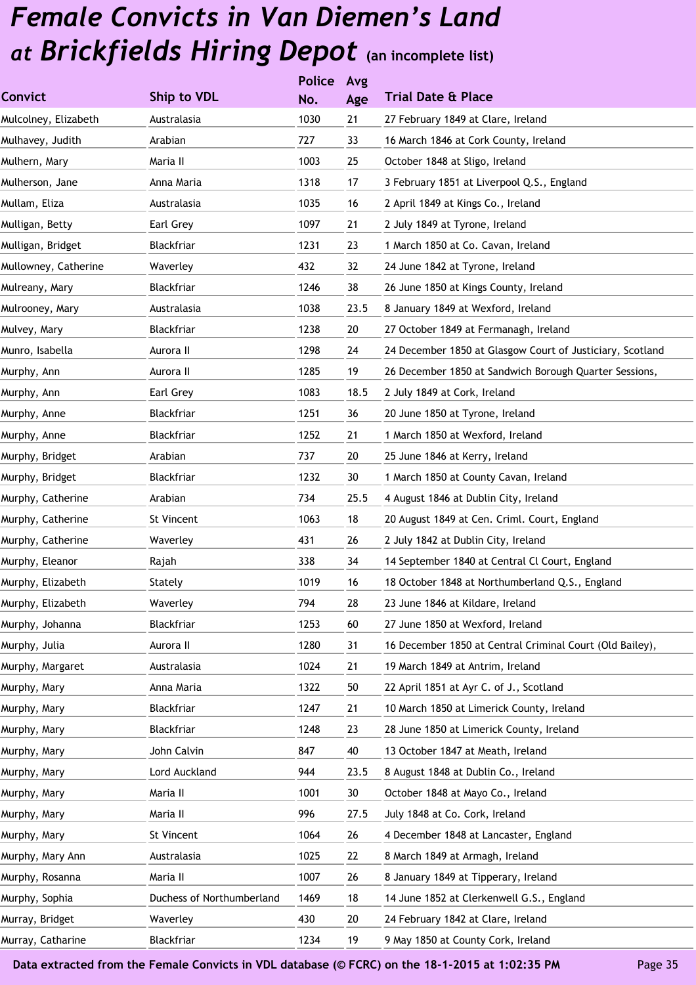|                      |                           | <b>Police</b> | Avg  |                                                           |
|----------------------|---------------------------|---------------|------|-----------------------------------------------------------|
| <b>Convict</b>       | Ship to VDL               | No.           | Age  | <b>Trial Date &amp; Place</b>                             |
| Mulcolney, Elizabeth | Australasia               | 1030          | 21   | 27 February 1849 at Clare, Ireland                        |
| Mulhavey, Judith     | Arabian                   | 727           | 33   | 16 March 1846 at Cork County, Ireland                     |
| Mulhern, Mary        | Maria II                  | 1003          | 25   | October 1848 at Sligo, Ireland                            |
| Mulherson, Jane      | Anna Maria                | 1318          | 17   | 3 February 1851 at Liverpool Q.S., England                |
| Mullam, Eliza        | Australasia               | 1035          | 16   | 2 April 1849 at Kings Co., Ireland                        |
| Mulligan, Betty      | Earl Grey                 | 1097          | 21   | 2 July 1849 at Tyrone, Ireland                            |
| Mulligan, Bridget    | Blackfriar                | 1231          | 23   | 1 March 1850 at Co. Cavan, Ireland                        |
| Mullowney, Catherine | Waverley                  | 432           | 32   | 24 June 1842 at Tyrone, Ireland                           |
| Mulreany, Mary       | Blackfriar                | 1246          | 38   | 26 June 1850 at Kings County, Ireland                     |
| Mulrooney, Mary      | Australasia               | 1038          | 23.5 | 8 January 1849 at Wexford, Ireland                        |
| Mulvey, Mary         | Blackfriar                | 1238          | 20   | 27 October 1849 at Fermanagh, Ireland                     |
| Munro, Isabella      | Aurora II                 | 1298          | 24   | 24 December 1850 at Glasgow Court of Justiciary, Scotland |
| Murphy, Ann          | Aurora II                 | 1285          | 19   | 26 December 1850 at Sandwich Borough Quarter Sessions,    |
| Murphy, Ann          | Earl Grey                 | 1083          | 18.5 | 2 July 1849 at Cork, Ireland                              |
| Murphy, Anne         | Blackfriar                | 1251          | 36   | 20 June 1850 at Tyrone, Ireland                           |
| Murphy, Anne         | Blackfriar                | 1252          | 21   | 1 March 1850 at Wexford, Ireland                          |
| Murphy, Bridget      | Arabian                   | 737           | 20   | 25 June 1846 at Kerry, Ireland                            |
| Murphy, Bridget      | Blackfriar                | 1232          | 30   | 1 March 1850 at County Cavan, Ireland                     |
| Murphy, Catherine    | Arabian                   | 734           | 25.5 | 4 August 1846 at Dublin City, Ireland                     |
| Murphy, Catherine    | St Vincent                | 1063          | 18   | 20 August 1849 at Cen. Criml. Court, England              |
| Murphy, Catherine    | Waverley                  | 431           | 26   | 2 July 1842 at Dublin City, Ireland                       |
| Murphy, Eleanor      | Rajah                     | 338           | 34   | 14 September 1840 at Central Cl Court, England            |
| Murphy, Elizabeth    | Stately                   | 1019          | 16   | 18 October 1848 at Northumberland Q.S., England           |
| Murphy, Elizabeth    | Waverley                  | 794           | 28   | 23 June 1846 at Kildare, Ireland                          |
| Murphy, Johanna      | Blackfriar                | 1253          | 60   | 27 June 1850 at Wexford, Ireland                          |
| Murphy, Julia        | Aurora II                 | 1280          | 31   | 16 December 1850 at Central Criminal Court (Old Bailey),  |
| Murphy, Margaret     | Australasia               | 1024          | 21   | 19 March 1849 at Antrim, Ireland                          |
| Murphy, Mary         | Anna Maria                | 1322          | 50   | 22 April 1851 at Ayr C. of J., Scotland                   |
| Murphy, Mary         | Blackfriar                | 1247          | 21   | 10 March 1850 at Limerick County, Ireland                 |
| Murphy, Mary         | Blackfriar                | 1248          | 23   | 28 June 1850 at Limerick County, Ireland                  |
| Murphy, Mary         | John Calvin               | 847           | 40   | 13 October 1847 at Meath, Ireland                         |
| Murphy, Mary         | Lord Auckland             | 944           | 23.5 | 8 August 1848 at Dublin Co., Ireland                      |
| Murphy, Mary         | Maria II                  | 1001          | 30   | October 1848 at Mayo Co., Ireland                         |
| Murphy, Mary         | Maria II                  | 996           | 27.5 | July 1848 at Co. Cork, Ireland                            |
| Murphy, Mary         | St Vincent                | 1064          | 26   | 4 December 1848 at Lancaster, England                     |
| Murphy, Mary Ann     | Australasia               | 1025          | 22   | 8 March 1849 at Armagh, Ireland                           |
| Murphy, Rosanna      | Maria II                  | 1007          | 26   | 8 January 1849 at Tipperary, Ireland                      |
| Murphy, Sophia       | Duchess of Northumberland | 1469          | 18   | 14 June 1852 at Clerkenwell G.S., England                 |
| Murray, Bridget      | Waverley                  | 430           | 20   | 24 February 1842 at Clare, Ireland                        |
| Murray, Catharine    | Blackfriar                | 1234          | 19   | 9 May 1850 at County Cork, Ireland                        |
|                      |                           |               |      |                                                           |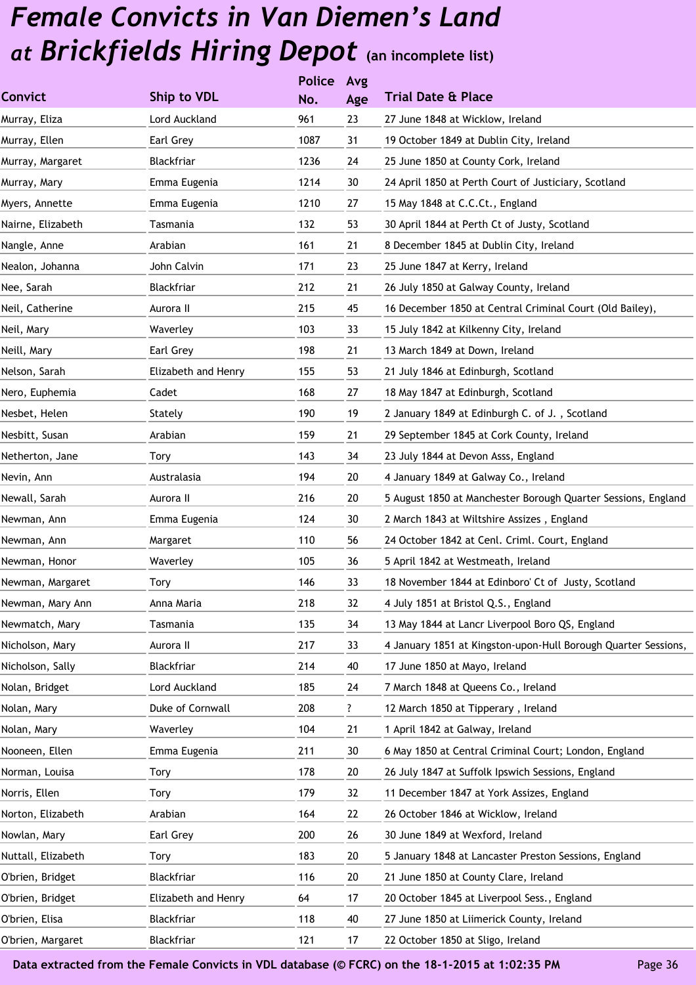|                    |                     | <b>Police</b> | Avg |                                                                |
|--------------------|---------------------|---------------|-----|----------------------------------------------------------------|
| <b>Convict</b>     | Ship to VDL         | No.           | Age | <b>Trial Date &amp; Place</b>                                  |
| Murray, Eliza      | Lord Auckland       | 961           | 23  | 27 June 1848 at Wicklow, Ireland                               |
| Murray, Ellen      | Earl Grey           | 1087          | 31  | 19 October 1849 at Dublin City, Ireland                        |
| Murray, Margaret   | Blackfriar          | 1236          | 24  | 25 June 1850 at County Cork, Ireland                           |
| Murray, Mary       | Emma Eugenia        | 1214          | 30  | 24 April 1850 at Perth Court of Justiciary, Scotland           |
| Myers, Annette     | Emma Eugenia        | 1210          | 27  | 15 May 1848 at C.C.Ct., England                                |
| Nairne, Elizabeth  | Tasmania            | 132           | 53  | 30 April 1844 at Perth Ct of Justy, Scotland                   |
| Nangle, Anne       | Arabian             | 161           | 21  | 8 December 1845 at Dublin City, Ireland                        |
| Nealon, Johanna    | John Calvin         | 171           | 23  | 25 June 1847 at Kerry, Ireland                                 |
| Nee, Sarah         | Blackfriar          | 212           | 21  | 26 July 1850 at Galway County, Ireland                         |
| Neil, Catherine    | Aurora II           | 215           | 45  | 16 December 1850 at Central Criminal Court (Old Bailey),       |
| Neil, Mary         | Waverley            | 103           | 33  | 15 July 1842 at Kilkenny City, Ireland                         |
| Neill, Mary        | Earl Grey           | 198           | 21  | 13 March 1849 at Down, Ireland                                 |
| Nelson, Sarah      | Elizabeth and Henry | 155           | 53  | 21 July 1846 at Edinburgh, Scotland                            |
| Nero, Euphemia     | Cadet               | 168           | 27  | 18 May 1847 at Edinburgh, Scotland                             |
| Nesbet, Helen      | Stately             | 190           | 19  | 2 January 1849 at Edinburgh C. of J., Scotland                 |
| Nesbitt, Susan     | Arabian             | 159           | 21  | 29 September 1845 at Cork County, Ireland                      |
| Netherton, Jane    | Tory                | 143           | 34  | 23 July 1844 at Devon Asss, England                            |
| Nevin, Ann         | Australasia         | 194           | 20  | 4 January 1849 at Galway Co., Ireland                          |
| Newall, Sarah      | Aurora II           | 216           | 20  | 5 August 1850 at Manchester Borough Quarter Sessions, England  |
| Newman, Ann        | Emma Eugenia        | 124           | 30  | 2 March 1843 at Wiltshire Assizes, England                     |
| Newman, Ann        | Margaret            | 110           | 56  | 24 October 1842 at Cenl. Criml. Court, England                 |
| Newman, Honor      | Waverley            | 105           | 36  | 5 April 1842 at Westmeath, Ireland                             |
| Newman, Margaret   | Tory                | 146           | 33  | 18 November 1844 at Edinboro' Ct of Justy, Scotland            |
| Newman, Mary Ann   | Anna Maria          | 218           | 32  | 4 July 1851 at Bristol Q.S., England                           |
| Newmatch, Mary     | Tasmania            | 135           | 34  | 13 May 1844 at Lancr Liverpool Boro QS, England                |
| Nicholson, Mary    | Aurora II           | 217           | 33  | 4 January 1851 at Kingston-upon-Hull Borough Quarter Sessions, |
| Nicholson, Sally   | Blackfriar          | 214           | 40  | 17 June 1850 at Mayo, Ireland                                  |
| Nolan, Bridget     | Lord Auckland       | 185           | 24  | 7 March 1848 at Queens Co., Ireland                            |
| Nolan, Mary        | Duke of Cornwall    | 208           | ?   | 12 March 1850 at Tipperary, Ireland                            |
| Nolan, Mary        | Waverley            | 104           | 21  | 1 April 1842 at Galway, Ireland                                |
| Nooneen, Ellen     | Emma Eugenia        | 211           | 30  | 6 May 1850 at Central Criminal Court; London, England          |
| Norman, Louisa     | Tory                | 178           | 20  | 26 July 1847 at Suffolk Ipswich Sessions, England              |
| Norris, Ellen      | Tory                | 179           | 32  | 11 December 1847 at York Assizes, England                      |
| Norton, Elizabeth  | Arabian             | 164           | 22  | 26 October 1846 at Wicklow, Ireland                            |
| Nowlan, Mary       | Earl Grey           | 200           | 26  | 30 June 1849 at Wexford, Ireland                               |
| Nuttall, Elizabeth | Tory                | 183           | 20  | 5 January 1848 at Lancaster Preston Sessions, England          |
| O'brien, Bridget   | Blackfriar          | 116           | 20  | 21 June 1850 at County Clare, Ireland                          |
| O'brien, Bridget   | Elizabeth and Henry | 64            | 17  | 20 October 1845 at Liverpool Sess., England                    |
| O'brien, Elisa     | Blackfriar          | 118           | 40  | 27 June 1850 at Liimerick County, Ireland                      |
| O'brien, Margaret  | Blackfriar          | 121           | 17  | 22 October 1850 at Sligo, Ireland                              |
|                    |                     |               |     |                                                                |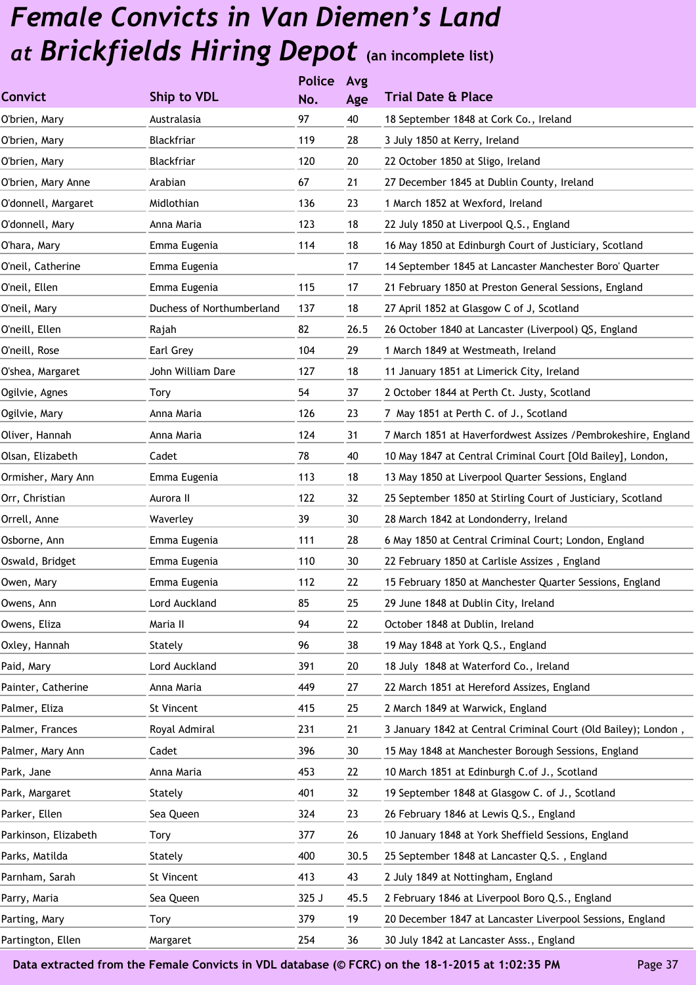|                      |                           | <b>Police</b> | Avg  |                                                                |
|----------------------|---------------------------|---------------|------|----------------------------------------------------------------|
| <b>Convict</b>       | <b>Ship to VDL</b>        | No.           | Age  | <b>Trial Date &amp; Place</b>                                  |
| O'brien, Mary        | Australasia               | 97            | 40   | 18 September 1848 at Cork Co., Ireland                         |
| O'brien, Mary        | Blackfriar                | 119           | 28   | 3 July 1850 at Kerry, Ireland                                  |
| O'brien, Mary        | Blackfriar                | 120           | 20   | 22 October 1850 at Sligo, Ireland                              |
| O'brien, Mary Anne   | Arabian                   | 67            | 21   | 27 December 1845 at Dublin County, Ireland                     |
| O'donnell, Margaret  | Midlothian                | 136           | 23   | 1 March 1852 at Wexford, Ireland                               |
| O'donnell, Mary      | Anna Maria                | 123           | 18   | 22 July 1850 at Liverpool Q.S., England                        |
| O'hara, Mary         | Emma Eugenia              | 114           | 18   | 16 May 1850 at Edinburgh Court of Justiciary, Scotland         |
| O'neil, Catherine    | Emma Eugenia              |               | 17   | 14 September 1845 at Lancaster Manchester Boro' Quarter        |
| O'neil, Ellen        | Emma Eugenia              | 115           | 17   | 21 February 1850 at Preston General Sessions, England          |
| O'neil, Mary         | Duchess of Northumberland | 137           | 18   | 27 April 1852 at Glasgow C of J, Scotland                      |
| O'neill, Ellen       | Rajah                     | 82            | 26.5 | 26 October 1840 at Lancaster (Liverpool) QS, England           |
| O'neill, Rose        | Earl Grey                 | 104           | 29   | 1 March 1849 at Westmeath, Ireland                             |
| O'shea, Margaret     | John William Dare         | 127           | 18   | 11 January 1851 at Limerick City, Ireland                      |
| Ogilvie, Agnes       | Tory                      | 54            | 37   | 2 October 1844 at Perth Ct. Justy, Scotland                    |
| Ogilvie, Mary        | Anna Maria                | 126           | 23   | 7 May 1851 at Perth C. of J., Scotland                         |
| Oliver, Hannah       | Anna Maria                | 124           | 31   | 7 March 1851 at Haverfordwest Assizes / Pembrokeshire, England |
| Olsan, Elizabeth     | Cadet                     | 78            | 40   | 10 May 1847 at Central Criminal Court [Old Bailey], London,    |
| Ormisher, Mary Ann   | Emma Eugenia              | 113           | 18   | 13 May 1850 at Liverpool Quarter Sessions, England             |
| Orr, Christian       | Aurora II                 | 122           | 32   | 25 September 1850 at Stirling Court of Justiciary, Scotland    |
| Orrell, Anne         | Waverley                  | 39            | 30   | 28 March 1842 at Londonderry, Ireland                          |
| Osborne, Ann         | Emma Eugenia              | 111           | 28   | 6 May 1850 at Central Criminal Court; London, England          |
| Oswald, Bridget      | Emma Eugenia              | 110           | 30   | 22 February 1850 at Carlisle Assizes, England                  |
| Owen, Mary           | Emma Eugenia              | 112           | 22   | 15 February 1850 at Manchester Quarter Sessions, England       |
| Owens, Ann           | Lord Auckland             | 85            | 25   | 29 June 1848 at Dublin City, Ireland                           |
| Owens, Eliza         | Maria II                  | 94            | 22   | October 1848 at Dublin, Ireland                                |
| Oxley, Hannah        | Stately                   | 96            | 38   | 19 May 1848 at York Q.S., England                              |
| Paid, Mary           | Lord Auckland             | 391           | 20   | 18 July 1848 at Waterford Co., Ireland                         |
| Painter, Catherine   | Anna Maria                | 449           | 27   | 22 March 1851 at Hereford Assizes, England                     |
| Palmer, Eliza        | St Vincent                | 415           | 25   | 2 March 1849 at Warwick, England                               |
| Palmer, Frances      | Royal Admiral             | 231           | 21   | 3 January 1842 at Central Criminal Court (Old Bailey); London, |
| Palmer, Mary Ann     | Cadet                     | 396           | 30   | 15 May 1848 at Manchester Borough Sessions, England            |
| Park, Jane           | Anna Maria                | 453           | 22   | 10 March 1851 at Edinburgh C.of J., Scotland                   |
| Park, Margaret       | Stately                   | 401           | 32   | 19 September 1848 at Glasgow C. of J., Scotland                |
| Parker, Ellen        | Sea Queen                 | 324           | 23   | 26 February 1846 at Lewis Q.S., England                        |
| Parkinson, Elizabeth | Tory                      | 377           | 26   | 10 January 1848 at York Sheffield Sessions, England            |
| Parks, Matilda       | Stately                   | 400           | 30.5 | 25 September 1848 at Lancaster Q.S., England                   |
| Parnham, Sarah       | St Vincent                | 413           | 43   | 2 July 1849 at Nottingham, England                             |
| Parry, Maria         | Sea Queen                 | 325 J         | 45.5 | 2 February 1846 at Liverpool Boro Q.S., England                |
| Parting, Mary        | Tory                      | 379           | 19   | 20 December 1847 at Lancaster Liverpool Sessions, England      |
| Partington, Ellen    | Margaret                  | 254           | 36   | 30 July 1842 at Lancaster Asss., England                       |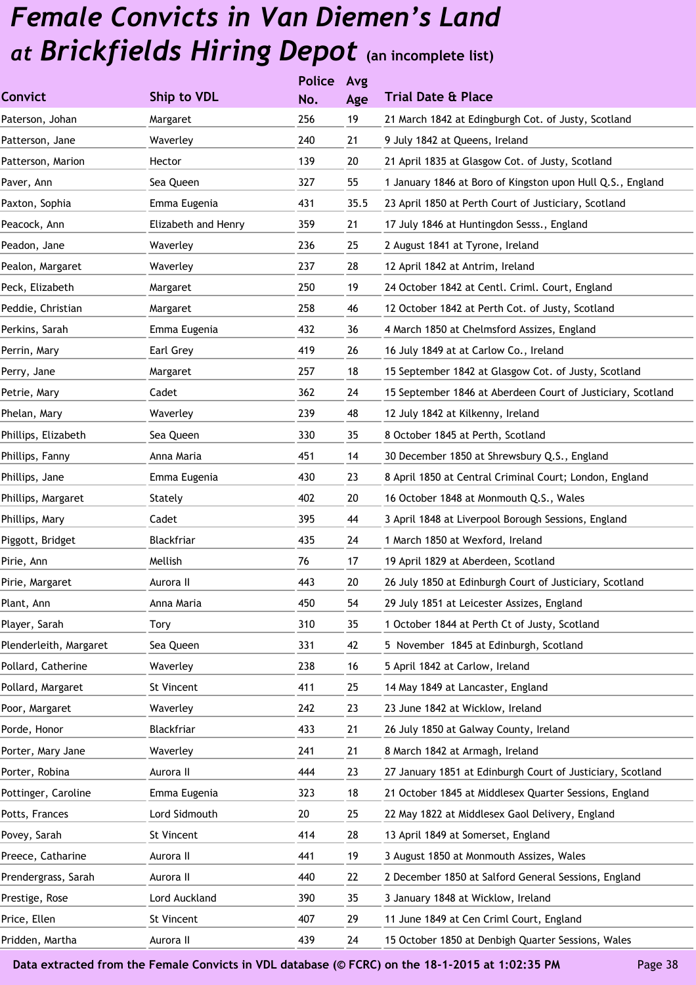| Ship to VDL         | No. | Age           | <b>Trial Date &amp; Place</b>                               |
|---------------------|-----|---------------|-------------------------------------------------------------|
| Margaret            | 256 | 19            | 21 March 1842 at Edingburgh Cot. of Justy, Scotland         |
| Waverley            | 240 | 21            | 9 July 1842 at Queens, Ireland                              |
| Hector              | 139 | 20            | 21 April 1835 at Glasgow Cot. of Justy, Scotland            |
| Sea Queen           | 327 | 55            | 1 January 1846 at Boro of Kingston upon Hull Q.S., England  |
| Emma Eugenia        | 431 | 35.5          | 23 April 1850 at Perth Court of Justiciary, Scotland        |
| Elizabeth and Henry | 359 | 21            | 17 July 1846 at Huntingdon Sesss., England                  |
| Waverley            | 236 | 25            | 2 August 1841 at Tyrone, Ireland                            |
| Waverley            | 237 | 28            | 12 April 1842 at Antrim, Ireland                            |
| Margaret            | 250 | 19            | 24 October 1842 at Centl. Criml. Court, England             |
| Margaret            | 258 | 46            | 12 October 1842 at Perth Cot. of Justy, Scotland            |
| Emma Eugenia        | 432 | 36            | 4 March 1850 at Chelmsford Assizes, England                 |
| Earl Grey           | 419 | 26            | 16 July 1849 at at Carlow Co., Ireland                      |
| Margaret            | 257 | 18            | 15 September 1842 at Glasgow Cot. of Justy, Scotland        |
| Cadet               | 362 | 24            | 15 September 1846 at Aberdeen Court of Justiciary, Scotland |
| Waverley            | 239 | 48            | 12 July 1842 at Kilkenny, Ireland                           |
| Sea Queen           | 330 | 35            | 8 October 1845 at Perth, Scotland                           |
| Anna Maria          | 451 | 14            | 30 December 1850 at Shrewsbury Q.S., England                |
| Emma Eugenia        | 430 | 23            | 8 April 1850 at Central Criminal Court; London, England     |
| Stately             | 402 | 20            | 16 October 1848 at Monmouth Q.S., Wales                     |
| Cadet               | 395 | 44            | 3 April 1848 at Liverpool Borough Sessions, England         |
| Blackfriar          | 435 | 24            | 1 March 1850 at Wexford, Ireland                            |
| Mellish             | 76  | 17            | 19 April 1829 at Aberdeen, Scotland                         |
| Aurora II           | 443 | 20            | 26 July 1850 at Edinburgh Court of Justiciary, Scotland     |
| Anna Maria          | 450 | 54            | 29 July 1851 at Leicester Assizes, England                  |
| Tory                | 310 | 35            | 1 October 1844 at Perth Ct of Justy, Scotland               |
| Sea Queen           | 331 | 42            | 5 November 1845 at Edinburgh, Scotland                      |
| Waverley            | 238 | 16            | 5 April 1842 at Carlow, Ireland                             |
| St Vincent          | 411 | 25            | 14 May 1849 at Lancaster, England                           |
| Waverley            | 242 | 23            | 23 June 1842 at Wicklow, Ireland                            |
| Blackfriar          | 433 | 21            | 26 July 1850 at Galway County, Ireland                      |
| Waverley            | 241 | 21            | 8 March 1842 at Armagh, Ireland                             |
| Aurora II           | 444 | 23            | 27 January 1851 at Edinburgh Court of Justiciary, Scotland  |
| Emma Eugenia        | 323 | 18            | 21 October 1845 at Middlesex Quarter Sessions, England      |
| Lord Sidmouth       | 20  | 25            | 22 May 1822 at Middlesex Gaol Delivery, England             |
| St Vincent          | 414 | 28            | 13 April 1849 at Somerset, England                          |
| Aurora II           | 441 | 19            | 3 August 1850 at Monmouth Assizes, Wales                    |
| Aurora II           | 440 | 22            | 2 December 1850 at Salford General Sessions, England        |
| Lord Auckland       | 390 | 35            | 3 January 1848 at Wicklow, Ireland                          |
| St Vincent          | 407 | 29            | 11 June 1849 at Cen Criml Court, England                    |
| Aurora II           | 439 | 24            | 15 October 1850 at Denbigh Quarter Sessions, Wales          |
|                     |     | <b>Police</b> | Avg                                                         |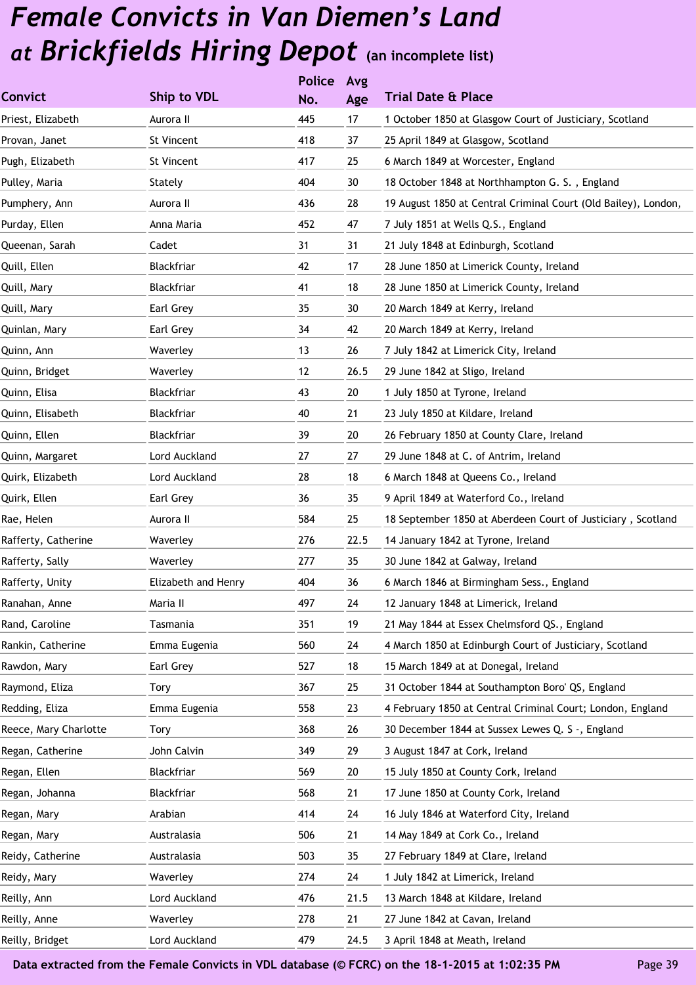|                       |                     | <b>Police</b> | Avg  |                                                                |
|-----------------------|---------------------|---------------|------|----------------------------------------------------------------|
| <b>Convict</b>        | <b>Ship to VDL</b>  | No.           | Age  | <b>Trial Date &amp; Place</b>                                  |
| Priest, Elizabeth     | Aurora II           | 445           | 17   | 1 October 1850 at Glasgow Court of Justiciary, Scotland        |
| Provan, Janet         | St Vincent          | 418           | 37   | 25 April 1849 at Glasgow, Scotland                             |
| Pugh, Elizabeth       | St Vincent          | 417           | 25   | 6 March 1849 at Worcester, England                             |
| Pulley, Maria         | Stately             | 404           | 30   | 18 October 1848 at Northhampton G. S., England                 |
| Pumphery, Ann         | Aurora II           | 436           | 28   | 19 August 1850 at Central Criminal Court (Old Bailey), London, |
| Purday, Ellen         | Anna Maria          | 452           | 47   | 7 July 1851 at Wells Q.S., England                             |
| Queenan, Sarah        | Cadet               | 31            | 31   | 21 July 1848 at Edinburgh, Scotland                            |
| Quill, Ellen          | Blackfriar          | 42            | 17   | 28 June 1850 at Limerick County, Ireland                       |
| Quill, Mary           | Blackfriar          | 41            | 18   | 28 June 1850 at Limerick County, Ireland                       |
| Quill, Mary           | Earl Grey           | 35            | 30   | 20 March 1849 at Kerry, Ireland                                |
| Quinlan, Mary         | Earl Grey           | 34            | 42   | 20 March 1849 at Kerry, Ireland                                |
| Quinn, Ann            | Waverley            | 13            | 26   | 7 July 1842 at Limerick City, Ireland                          |
| Quinn, Bridget        | Waverley            | 12            | 26.5 | 29 June 1842 at Sligo, Ireland                                 |
| Quinn, Elisa          | Blackfriar          | 43            | 20   | 1 July 1850 at Tyrone, Ireland                                 |
| Quinn, Elisabeth      | Blackfriar          | 40            | 21   | 23 July 1850 at Kildare, Ireland                               |
| Quinn, Ellen          | Blackfriar          | 39            | 20   | 26 February 1850 at County Clare, Ireland                      |
| Quinn, Margaret       | Lord Auckland       | 27            | 27   | 29 June 1848 at C. of Antrim, Ireland                          |
| Quirk, Elizabeth      | Lord Auckland       | 28            | 18   | 6 March 1848 at Queens Co., Ireland                            |
| Quirk, Ellen          | Earl Grey           | 36            | 35   | 9 April 1849 at Waterford Co., Ireland                         |
| Rae, Helen            | Aurora II           | 584           | 25   | 18 September 1850 at Aberdeen Court of Justiciary, Scotland    |
| Rafferty, Catherine   | Waverley            | 276           | 22.5 | 14 January 1842 at Tyrone, Ireland                             |
| Rafferty, Sally       | Waverley            | 277           | 35   | 30 June 1842 at Galway, Ireland                                |
| Rafferty, Unity       | Elizabeth and Henry | 404           | 36   | 6 March 1846 at Birmingham Sess., England                      |
| Ranahan, Anne         | Maria II            | 497           | 24   | 12 January 1848 at Limerick, Ireland                           |
| Rand, Caroline        | Tasmania            | 351           | 19   | 21 May 1844 at Essex Chelmsford QS., England                   |
| Rankin, Catherine     | Emma Eugenia        | 560           | 24   | 4 March 1850 at Edinburgh Court of Justiciary, Scotland        |
| Rawdon, Mary          | Earl Grey           | 527           | 18   | 15 March 1849 at at Donegal, Ireland                           |
| Raymond, Eliza        | Tory                | 367           | 25   | 31 October 1844 at Southampton Boro' QS, England               |
| Redding, Eliza        | Emma Eugenia        | 558           | 23   | 4 February 1850 at Central Criminal Court; London, England     |
| Reece, Mary Charlotte | Tory                | 368           | 26   | 30 December 1844 at Sussex Lewes Q. S -, England               |
| Regan, Catherine      | John Calvin         | 349           | 29   | 3 August 1847 at Cork, Ireland                                 |
| Regan, Ellen          | Blackfriar          | 569           | 20   | 15 July 1850 at County Cork, Ireland                           |
| Regan, Johanna        | Blackfriar          | 568           | 21   | 17 June 1850 at County Cork, Ireland                           |
| Regan, Mary           | Arabian             | 414           | 24   | 16 July 1846 at Waterford City, Ireland                        |
| Regan, Mary           | Australasia         | 506           | 21   | 14 May 1849 at Cork Co., Ireland                               |
| Reidy, Catherine      | Australasia         | 503           | 35   | 27 February 1849 at Clare, Ireland                             |
| Reidy, Mary           | Waverley            | 274           | 24   | 1 July 1842 at Limerick, Ireland                               |
| Reilly, Ann           | Lord Auckland       | 476           | 21.5 | 13 March 1848 at Kildare, Ireland                              |
| Reilly, Anne          | Waverley            | 278           | 21   | 27 June 1842 at Cavan, Ireland                                 |
| Reilly, Bridget       | Lord Auckland       | 479           | 24.5 | 3 April 1848 at Meath, Ireland                                 |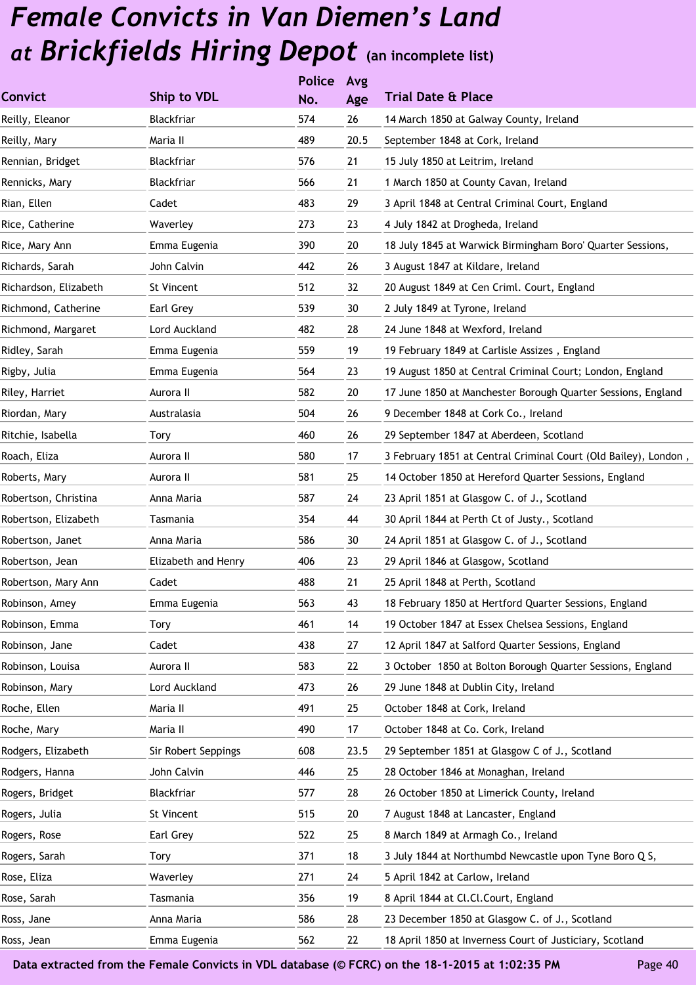|                       |                     | <b>Police</b> | Avg  |                                                                 |
|-----------------------|---------------------|---------------|------|-----------------------------------------------------------------|
| <b>Convict</b>        | Ship to VDL         | No.           | Age  | <b>Trial Date &amp; Place</b>                                   |
| Reilly, Eleanor       | Blackfriar          | 574           | 26   | 14 March 1850 at Galway County, Ireland                         |
| Reilly, Mary          | Maria II            | 489           | 20.5 | September 1848 at Cork, Ireland                                 |
| Rennian, Bridget      | Blackfriar          | 576           | 21   | 15 July 1850 at Leitrim, Ireland                                |
| Rennicks, Mary        | Blackfriar          | 566           | 21   | 1 March 1850 at County Cavan, Ireland                           |
| Rian, Ellen           | Cadet               | 483           | 29   | 3 April 1848 at Central Criminal Court, England                 |
| Rice, Catherine       | Waverley            | 273           | 23   | 4 July 1842 at Drogheda, Ireland                                |
| Rice, Mary Ann        | Emma Eugenia        | 390           | 20   | 18 July 1845 at Warwick Birmingham Boro' Quarter Sessions,      |
| Richards, Sarah       | John Calvin         | 442           | 26   | 3 August 1847 at Kildare, Ireland                               |
| Richardson, Elizabeth | St Vincent          | 512           | 32   | 20 August 1849 at Cen Criml. Court, England                     |
| Richmond, Catherine   | Earl Grey           | 539           | 30   | 2 July 1849 at Tyrone, Ireland                                  |
| Richmond, Margaret    | Lord Auckland       | 482           | 28   | 24 June 1848 at Wexford, Ireland                                |
| Ridley, Sarah         | Emma Eugenia        | 559           | 19   | 19 February 1849 at Carlisle Assizes, England                   |
| Rigby, Julia          | Emma Eugenia        | 564           | 23   | 19 August 1850 at Central Criminal Court; London, England       |
| Riley, Harriet        | Aurora II           | 582           | 20   | 17 June 1850 at Manchester Borough Quarter Sessions, England    |
| Riordan, Mary         | Australasia         | 504           | 26   | 9 December 1848 at Cork Co., Ireland                            |
| Ritchie, Isabella     | Tory                | 460           | 26   | 29 September 1847 at Aberdeen, Scotland                         |
| Roach, Eliza          | Aurora II           | 580           | 17   | 3 February 1851 at Central Criminal Court (Old Bailey), London, |
| Roberts, Mary         | Aurora II           | 581           | 25   | 14 October 1850 at Hereford Quarter Sessions, England           |
| Robertson, Christina  | Anna Maria          | 587           | 24   | 23 April 1851 at Glasgow C. of J., Scotland                     |
| Robertson, Elizabeth  | Tasmania            | 354           | 44   | 30 April 1844 at Perth Ct of Justy., Scotland                   |
| Robertson, Janet      | Anna Maria          | 586           | 30   | 24 April 1851 at Glasgow C. of J., Scotland                     |
| Robertson, Jean       | Elizabeth and Henry | 406           | 23   | 29 April 1846 at Glasgow, Scotland                              |
| Robertson, Mary Ann   | Cadet               | 488           | 21   | 25 April 1848 at Perth, Scotland                                |
| Robinson, Amey        | Emma Eugenia        | 563           | 43   | 18 February 1850 at Hertford Quarter Sessions, England          |
| Robinson, Emma        | Tory                | 461           | 14   | 19 October 1847 at Essex Chelsea Sessions, England              |
| Robinson, Jane        | Cadet               | 438           | 27   | 12 April 1847 at Salford Quarter Sessions, England              |
| Robinson, Louisa      | Aurora II           | 583           | 22   | 3 October 1850 at Bolton Borough Quarter Sessions, England      |
| Robinson, Mary        | Lord Auckland       | 473           | 26   | 29 June 1848 at Dublin City, Ireland                            |
| Roche, Ellen          | Maria II            | 491           | 25   | October 1848 at Cork, Ireland                                   |
| Roche, Mary           | Maria II            | 490           | 17   | October 1848 at Co. Cork, Ireland                               |
| Rodgers, Elizabeth    | Sir Robert Seppings | 608           | 23.5 | 29 September 1851 at Glasgow C of J., Scotland                  |
| Rodgers, Hanna        | John Calvin         | 446           | 25   | 28 October 1846 at Monaghan, Ireland                            |
| Rogers, Bridget       | Blackfriar          | 577           | 28   | 26 October 1850 at Limerick County, Ireland                     |
| Rogers, Julia         | St Vincent          | 515           | 20   | 7 August 1848 at Lancaster, England                             |
| Rogers, Rose          | Earl Grey           | 522           | 25   | 8 March 1849 at Armagh Co., Ireland                             |
| Rogers, Sarah         | Tory                | 371           | 18   | 3 July 1844 at Northumbd Newcastle upon Tyne Boro Q S,          |
| Rose, Eliza           | Waverley            | 271           | 24   | 5 April 1842 at Carlow, Ireland                                 |
| Rose, Sarah           | Tasmania            | 356           | 19   | 8 April 1844 at Cl.Cl.Court, England                            |
| Ross, Jane            | Anna Maria          | 586           | 28   | 23 December 1850 at Glasgow C. of J., Scotland                  |
| Ross, Jean            | Emma Eugenia        | 562           | 22   | 18 April 1850 at Inverness Court of Justiciary, Scotland        |
|                       |                     |               |      |                                                                 |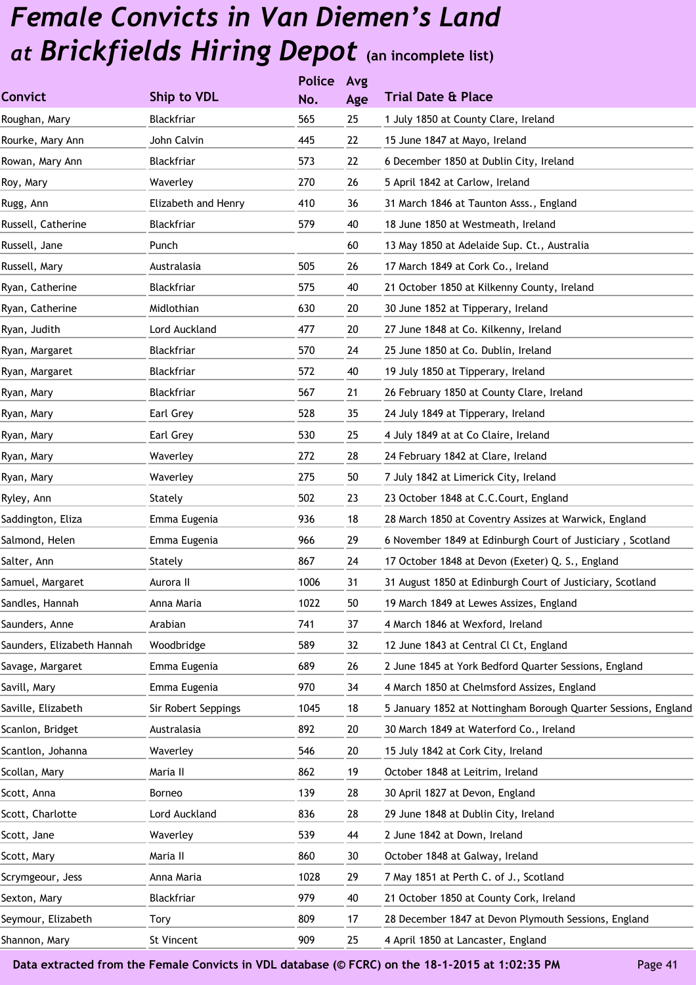|                            |                     | <b>Police</b> | Avg |                                                                |
|----------------------------|---------------------|---------------|-----|----------------------------------------------------------------|
| <b>Convict</b>             | Ship to VDL         | No.           | Age | <b>Trial Date &amp; Place</b>                                  |
| Roughan, Mary              | Blackfriar          | 565           | 25  | 1 July 1850 at County Clare, Ireland                           |
| Rourke, Mary Ann           | John Calvin         | 445           | 22  | 15 June 1847 at Mayo, Ireland                                  |
| Rowan, Mary Ann            | Blackfriar          | 573           | 22  | 6 December 1850 at Dublin City, Ireland                        |
| Roy, Mary                  | Waverley            | 270           | 26  | 5 April 1842 at Carlow, Ireland                                |
| Rugg, Ann                  | Elizabeth and Henry | 410           | 36  | 31 March 1846 at Taunton Asss., England                        |
| Russell, Catherine         | Blackfriar          | 579           | 40  | 18 June 1850 at Westmeath, Ireland                             |
| Russell, Jane              | Punch               |               | 60  | 13 May 1850 at Adelaide Sup. Ct., Australia                    |
| Russell, Mary              | Australasia         | 505           | 26  | 17 March 1849 at Cork Co., Ireland                             |
| Ryan, Catherine            | Blackfriar          | 575           | 40  | 21 October 1850 at Kilkenny County, Ireland                    |
| Ryan, Catherine            | Midlothian          | 630           | 20  | 30 June 1852 at Tipperary, Ireland                             |
| Ryan, Judith               | Lord Auckland       | 477           | 20  | 27 June 1848 at Co. Kilkenny, Ireland                          |
| Ryan, Margaret             | Blackfriar          | 570           | 24  | 25 June 1850 at Co. Dublin, Ireland                            |
| Ryan, Margaret             | Blackfriar          | 572           | 40  | 19 July 1850 at Tipperary, Ireland                             |
| Ryan, Mary                 | Blackfriar          | 567           | 21  | 26 February 1850 at County Clare, Ireland                      |
| Ryan, Mary                 | Earl Grey           | 528           | 35  | 24 July 1849 at Tipperary, Ireland                             |
| Ryan, Mary                 | Earl Grey           | 530           | 25  | 4 July 1849 at at Co Claire, Ireland                           |
| Ryan, Mary                 | Waverley            | 272           | 28  | 24 February 1842 at Clare, Ireland                             |
| Ryan, Mary                 | Waverley            | 275           | 50  | 7 July 1842 at Limerick City, Ireland                          |
| Ryley, Ann                 | Stately             | 502           | 23  | 23 October 1848 at C.C.Court, England                          |
| Saddington, Eliza          | Emma Eugenia        | 936           | 18  | 28 March 1850 at Coventry Assizes at Warwick, England          |
| Salmond, Helen             | Emma Eugenia        | 966           | 29  | 6 November 1849 at Edinburgh Court of Justiciary, Scotland     |
| Salter, Ann                | Stately             | 867           | 24  | 17 October 1848 at Devon (Exeter) Q. S., England               |
| Samuel, Margaret           | Aurora II           | 1006          | 31  | 31 August 1850 at Edinburgh Court of Justiciary, Scotland      |
| Sandles, Hannah            | Anna Maria          | 1022          | 50  | 19 March 1849 at Lewes Assizes, England                        |
| Saunders, Anne             | Arabian             | 741           | 37  | 4 March 1846 at Wexford, Ireland                               |
| Saunders, Elizabeth Hannah | Woodbridge          | 589           | 32  | 12 June 1843 at Central Cl Ct, England                         |
| Savage, Margaret           | Emma Eugenia        | 689           | 26  | 2 June 1845 at York Bedford Quarter Sessions, England          |
| Savill, Mary               | Emma Eugenia        | 970           | 34  | 4 March 1850 at Chelmsford Assizes, England                    |
| Saville, Elizabeth         | Sir Robert Seppings | 1045          | 18  | 5 January 1852 at Nottingham Borough Quarter Sessions, England |
| Scanlon, Bridget           | Australasia         | 892           | 20  | 30 March 1849 at Waterford Co., Ireland                        |
| Scantlon, Johanna          | Waverley            | 546           | 20  | 15 July 1842 at Cork City, Ireland                             |
| Scollan, Mary              | Maria II            | 862           | 19  | October 1848 at Leitrim, Ireland                               |
| Scott, Anna                | Borneo              | 139           | 28  | 30 April 1827 at Devon, England                                |
| Scott, Charlotte           | Lord Auckland       | 836           | 28  | 29 June 1848 at Dublin City, Ireland                           |
| Scott, Jane                | Waverley            | 539           | 44  | 2 June 1842 at Down, Ireland                                   |
| Scott, Mary                | Maria II            | 860           | 30  | October 1848 at Galway, Ireland                                |
| Scrymgeour, Jess           | Anna Maria          | 1028          | 29  | 7 May 1851 at Perth C. of J., Scotland                         |
| Sexton, Mary               | Blackfriar          | 979           | 40  | 21 October 1850 at County Cork, Ireland                        |
| Seymour, Elizabeth         | Tory                | 809           | 17  | 28 December 1847 at Devon Plymouth Sessions, England           |
| Shannon, Mary              | St Vincent          | 909           | 25  | 4 April 1850 at Lancaster, England                             |
|                            |                     |               |     |                                                                |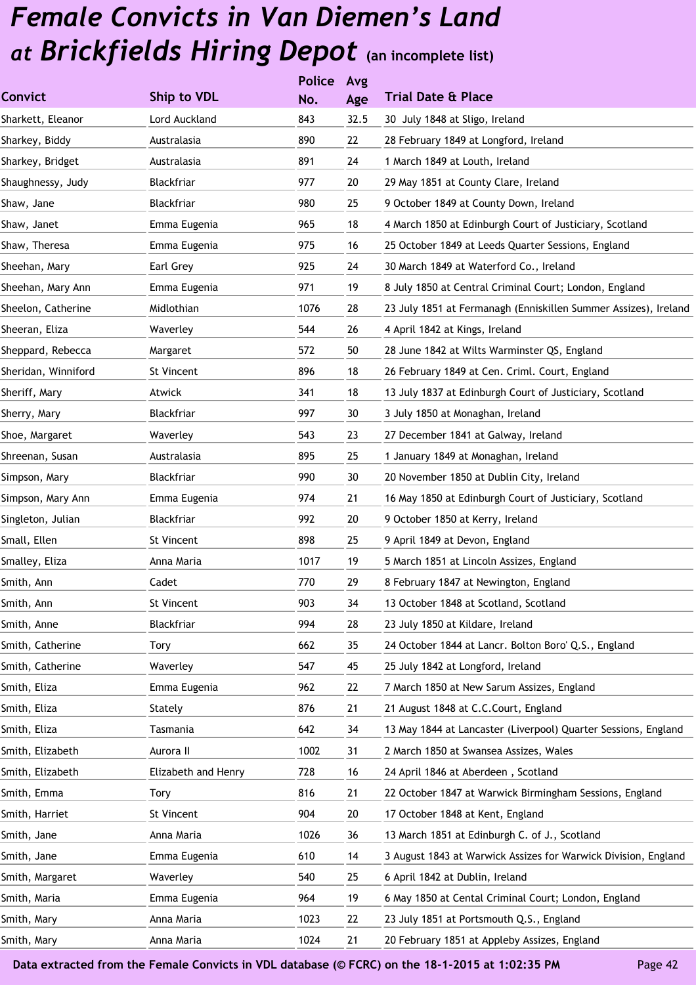|                     |                     | <b>Police</b> | Avg  |                                                                 |
|---------------------|---------------------|---------------|------|-----------------------------------------------------------------|
| <b>Convict</b>      | Ship to VDL         | No.           | Age  | <b>Trial Date &amp; Place</b>                                   |
| Sharkett, Eleanor   | Lord Auckland       | 843           | 32.5 | 30 July 1848 at Sligo, Ireland                                  |
| Sharkey, Biddy      | Australasia         | 890           | 22   | 28 February 1849 at Longford, Ireland                           |
| Sharkey, Bridget    | Australasia         | 891           | 24   | 1 March 1849 at Louth, Ireland                                  |
| Shaughnessy, Judy   | Blackfriar          | 977           | 20   | 29 May 1851 at County Clare, Ireland                            |
| Shaw, Jane          | Blackfriar          | 980           | 25   | 9 October 1849 at County Down, Ireland                          |
| Shaw, Janet         | Emma Eugenia        | 965           | 18   | 4 March 1850 at Edinburgh Court of Justiciary, Scotland         |
| Shaw, Theresa       | Emma Eugenia        | 975           | 16   | 25 October 1849 at Leeds Quarter Sessions, England              |
| Sheehan, Mary       | Earl Grey           | 925           | 24   | 30 March 1849 at Waterford Co., Ireland                         |
| Sheehan, Mary Ann   | Emma Eugenia        | 971           | 19   | 8 July 1850 at Central Criminal Court; London, England          |
| Sheelon, Catherine  | Midlothian          | 1076          | 28   | 23 July 1851 at Fermanagh (Enniskillen Summer Assizes), Ireland |
| Sheeran, Eliza      | Waverley            | 544           | 26   | 4 April 1842 at Kings, Ireland                                  |
| Sheppard, Rebecca   | Margaret            | 572           | 50   | 28 June 1842 at Wilts Warminster QS, England                    |
| Sheridan, Winniford | St Vincent          | 896           | 18   | 26 February 1849 at Cen. Criml. Court, England                  |
| Sheriff, Mary       | Atwick              | 341           | 18   | 13 July 1837 at Edinburgh Court of Justiciary, Scotland         |
| Sherry, Mary        | Blackfriar          | 997           | 30   | 3 July 1850 at Monaghan, Ireland                                |
| Shoe, Margaret      | Waverley            | 543           | 23   | 27 December 1841 at Galway, Ireland                             |
| Shreenan, Susan     | Australasia         | 895           | 25   | 1 January 1849 at Monaghan, Ireland                             |
| Simpson, Mary       | Blackfriar          | 990           | 30   | 20 November 1850 at Dublin City, Ireland                        |
| Simpson, Mary Ann   | Emma Eugenia        | 974           | 21   | 16 May 1850 at Edinburgh Court of Justiciary, Scotland          |
| Singleton, Julian   | Blackfriar          | 992           | 20   | 9 October 1850 at Kerry, Ireland                                |
| Small, Ellen        | St Vincent          | 898           | 25   | 9 April 1849 at Devon, England                                  |
| Smalley, Eliza      | Anna Maria          | 1017          | 19   | 5 March 1851 at Lincoln Assizes, England                        |
| Smith, Ann          | Cadet               | 770           | 29   | 8 February 1847 at Newington, England                           |
| Smith, Ann          | St Vincent          | 903           | 34   | 13 October 1848 at Scotland, Scotland                           |
| Smith, Anne         | Blackfriar          | 994           | 28   | 23 July 1850 at Kildare, Ireland                                |
| Smith, Catherine    | Tory                | 662           | 35   | 24 October 1844 at Lancr. Bolton Boro' Q.S., England            |
| Smith, Catherine    | Waverley            | 547           | 45   | 25 July 1842 at Longford, Ireland                               |
| Smith, Eliza        | Emma Eugenia        | 962           | 22   | 7 March 1850 at New Sarum Assizes, England                      |
| Smith, Eliza        | Stately             | 876           | 21   | 21 August 1848 at C.C.Court, England                            |
| Smith, Eliza        | Tasmania            | 642           | 34   | 13 May 1844 at Lancaster (Liverpool) Quarter Sessions, England  |
| Smith, Elizabeth    | Aurora II           | 1002          | 31   | 2 March 1850 at Swansea Assizes, Wales                          |
| Smith, Elizabeth    | Elizabeth and Henry | 728           | 16   | 24 April 1846 at Aberdeen, Scotland                             |
| Smith, Emma         | Tory                | 816           | 21   | 22 October 1847 at Warwick Birmingham Sessions, England         |
| Smith, Harriet      | St Vincent          | 904           | 20   | 17 October 1848 at Kent, England                                |
| Smith, Jane         | Anna Maria          | 1026          | 36   | 13 March 1851 at Edinburgh C. of J., Scotland                   |
| Smith, Jane         | Emma Eugenia        | 610           | 14   | 3 August 1843 at Warwick Assizes for Warwick Division, England  |
| Smith, Margaret     | Waverley            | 540           | 25   | 6 April 1842 at Dublin, Ireland                                 |
| Smith, Maria        | Emma Eugenia        | 964           | 19   | 6 May 1850 at Cental Criminal Court; London, England            |
| Smith, Mary         | Anna Maria          | 1023          | 22   | 23 July 1851 at Portsmouth Q.S., England                        |
| Smith, Mary         | Anna Maria          | 1024          | 21   | 20 February 1851 at Appleby Assizes, England                    |
|                     |                     |               |      |                                                                 |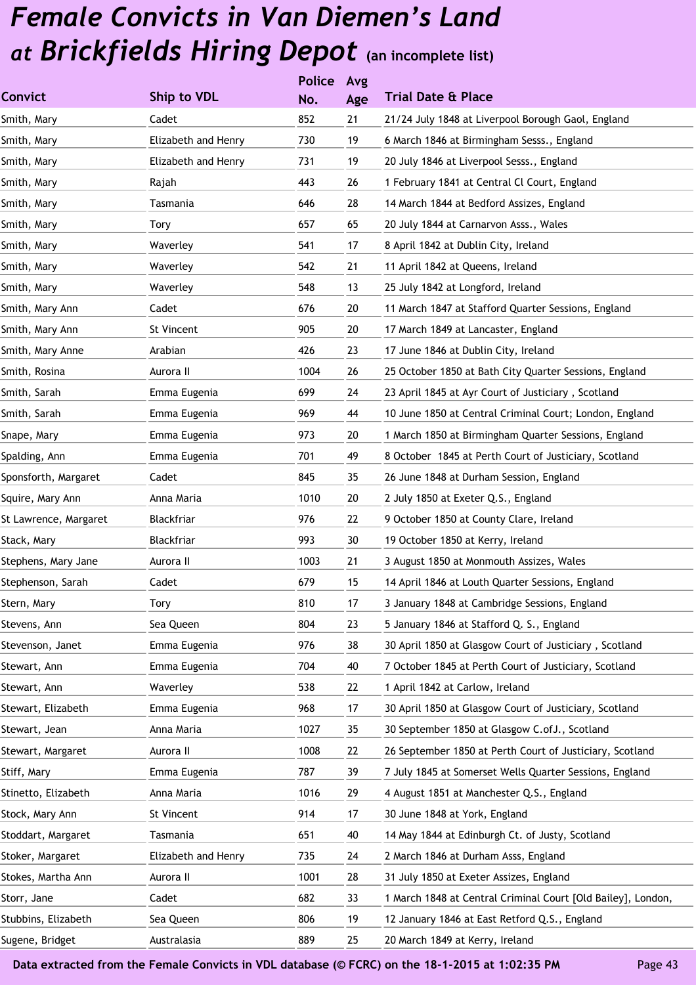|                       |                     | <b>Police</b> | Avg |                                                              |
|-----------------------|---------------------|---------------|-----|--------------------------------------------------------------|
| <b>Convict</b>        | Ship to VDL         | No.           | Age | <b>Trial Date &amp; Place</b>                                |
| Smith, Mary           | Cadet               | 852           | 21  | 21/24 July 1848 at Liverpool Borough Gaol, England           |
| Smith, Mary           | Elizabeth and Henry | 730           | 19  | 6 March 1846 at Birmingham Sesss., England                   |
| Smith, Mary           | Elizabeth and Henry | 731           | 19  | 20 July 1846 at Liverpool Sesss., England                    |
| Smith, Mary           | Rajah               | 443           | 26  | 1 February 1841 at Central Cl Court, England                 |
| Smith, Mary           | Tasmania            | 646           | 28  | 14 March 1844 at Bedford Assizes, England                    |
| Smith, Mary           | <b>Tory</b>         | 657           | 65  | 20 July 1844 at Carnarvon Asss., Wales                       |
| Smith, Mary           | Waverley            | 541           | 17  | 8 April 1842 at Dublin City, Ireland                         |
| Smith, Mary           | Waverley            | 542           | 21  | 11 April 1842 at Queens, Ireland                             |
| Smith, Mary           | Waverley            | 548           | 13  | 25 July 1842 at Longford, Ireland                            |
| Smith, Mary Ann       | Cadet               | 676           | 20  | 11 March 1847 at Stafford Quarter Sessions, England          |
| Smith, Mary Ann       | St Vincent          | 905           | 20  | 17 March 1849 at Lancaster, England                          |
| Smith, Mary Anne      | Arabian             | 426           | 23  | 17 June 1846 at Dublin City, Ireland                         |
| Smith, Rosina         | Aurora II           | 1004          | 26  | 25 October 1850 at Bath City Quarter Sessions, England       |
| Smith, Sarah          | Emma Eugenia        | 699           | 24  | 23 April 1845 at Ayr Court of Justiciary, Scotland           |
| Smith, Sarah          | Emma Eugenia        | 969           | 44  | 10 June 1850 at Central Criminal Court; London, England      |
| Snape, Mary           | Emma Eugenia        | 973           | 20  | 1 March 1850 at Birmingham Quarter Sessions, England         |
| Spalding, Ann         | Emma Eugenia        | 701           | 49  | 8 October 1845 at Perth Court of Justiciary, Scotland        |
| Sponsforth, Margaret  | Cadet               | 845           | 35  | 26 June 1848 at Durham Session, England                      |
| Squire, Mary Ann      | Anna Maria          | 1010          | 20  | 2 July 1850 at Exeter Q.S., England                          |
| St Lawrence, Margaret | Blackfriar          | 976           | 22  | 9 October 1850 at County Clare, Ireland                      |
| Stack, Mary           | Blackfriar          | 993           | 30  | 19 October 1850 at Kerry, Ireland                            |
| Stephens, Mary Jane   | Aurora II           | 1003          | 21  | 3 August 1850 at Monmouth Assizes, Wales                     |
| Stephenson, Sarah     | Cadet               | 679           | 15  | 14 April 1846 at Louth Quarter Sessions, England             |
| Stern, Mary           | Tory                | 810           | 17  | 3 January 1848 at Cambridge Sessions, England                |
| Stevens, Ann          | Sea Queen           | 804           | 23  | 5 January 1846 at Stafford Q. S., England                    |
| Stevenson, Janet      | Emma Eugenia        | 976           | 38  | 30 April 1850 at Glasgow Court of Justiciary, Scotland       |
| Stewart, Ann          | Emma Eugenia        | 704           | 40  | 7 October 1845 at Perth Court of Justiciary, Scotland        |
| Stewart, Ann          | Waverley            | 538           | 22  | 1 April 1842 at Carlow, Ireland                              |
| Stewart, Elizabeth    | Emma Eugenia        | 968           | 17  | 30 April 1850 at Glasgow Court of Justiciary, Scotland       |
| Stewart, Jean         | Anna Maria          | 1027          | 35  | 30 September 1850 at Glasgow C.ofJ., Scotland                |
| Stewart, Margaret     | Aurora II           | 1008          | 22  | 26 September 1850 at Perth Court of Justiciary, Scotland     |
| Stiff, Mary           | Emma Eugenia        | 787           | 39  | 7 July 1845 at Somerset Wells Quarter Sessions, England      |
| Stinetto, Elizabeth   | Anna Maria          | 1016          | 29  | 4 August 1851 at Manchester Q.S., England                    |
| Stock, Mary Ann       | St Vincent          | 914           | 17  | 30 June 1848 at York, England                                |
| Stoddart, Margaret    | Tasmania            | 651           | 40  | 14 May 1844 at Edinburgh Ct. of Justy, Scotland              |
| Stoker, Margaret      | Elizabeth and Henry | 735           | 24  | 2 March 1846 at Durham Asss, England                         |
| Stokes, Martha Ann    | Aurora II           | 1001          | 28  | 31 July 1850 at Exeter Assizes, England                      |
| Storr, Jane           | Cadet               | 682           | 33  | 1 March 1848 at Central Criminal Court [Old Bailey], London, |
| Stubbins, Elizabeth   | Sea Queen           | 806           | 19  | 12 January 1846 at East Retford Q.S., England                |
| Sugene, Bridget       | Australasia         | 889           | 25  | 20 March 1849 at Kerry, Ireland                              |
|                       |                     |               |     |                                                              |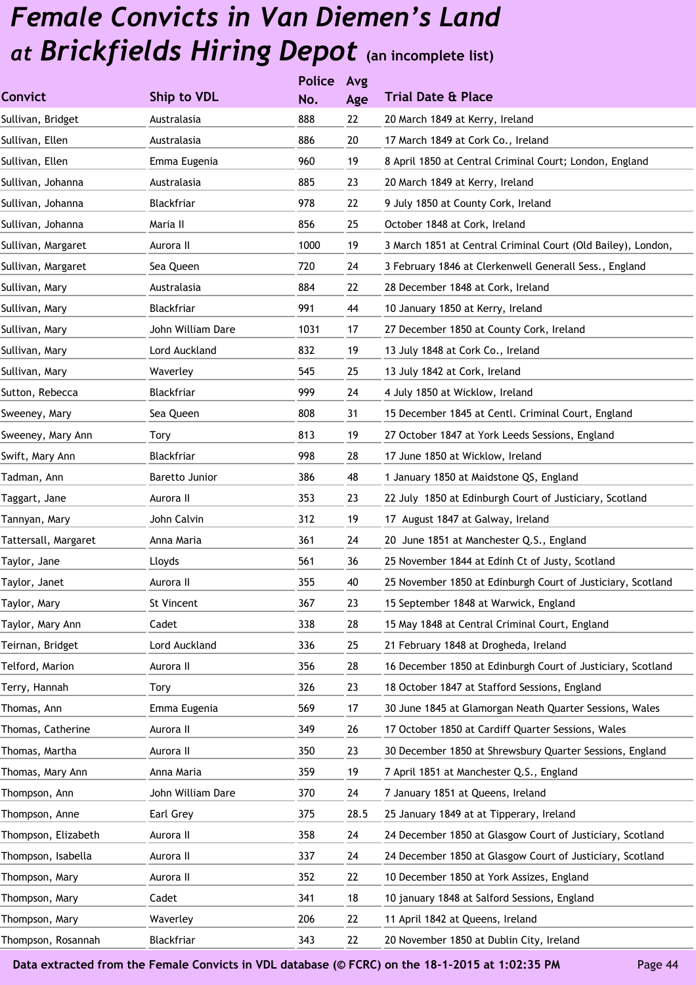|                      |                       | <b>Police</b> | Avg  |                                                              |
|----------------------|-----------------------|---------------|------|--------------------------------------------------------------|
| <b>Convict</b>       | Ship to VDL           | No.           | Age  | <b>Trial Date &amp; Place</b>                                |
| Sullivan, Bridget    | Australasia           | 888           | 22   | 20 March 1849 at Kerry, Ireland                              |
| Sullivan, Ellen      | Australasia           | 886           | 20   | 17 March 1849 at Cork Co., Ireland                           |
| Sullivan, Ellen      | Emma Eugenia          | 960           | 19   | 8 April 1850 at Central Criminal Court; London, England      |
| Sullivan, Johanna    | Australasia           | 885           | 23   | 20 March 1849 at Kerry, Ireland                              |
| Sullivan, Johanna    | Blackfriar            | 978           | 22   | 9 July 1850 at County Cork, Ireland                          |
| Sullivan, Johanna    | Maria II              | 856           | 25   | October 1848 at Cork, Ireland                                |
| Sullivan, Margaret   | Aurora II             | 1000          | 19   | 3 March 1851 at Central Criminal Court (Old Bailey), London, |
| Sullivan, Margaret   | Sea Queen             | 720           | 24   | 3 February 1846 at Clerkenwell Generall Sess., England       |
| Sullivan, Mary       | Australasia           | 884           | 22   | 28 December 1848 at Cork, Ireland                            |
| Sullivan, Mary       | Blackfriar            | 991           | 44   | 10 January 1850 at Kerry, Ireland                            |
| Sullivan, Mary       | John William Dare     | 1031          | 17   | 27 December 1850 at County Cork, Ireland                     |
| Sullivan, Mary       | Lord Auckland         | 832           | 19   | 13 July 1848 at Cork Co., Ireland                            |
| Sullivan, Mary       | Waverley              | 545           | 25   | 13 July 1842 at Cork, Ireland                                |
| Sutton, Rebecca      | Blackfriar            | 999           | 24   | 4 July 1850 at Wicklow, Ireland                              |
| Sweeney, Mary        | Sea Queen             | 808           | 31   | 15 December 1845 at Centl. Criminal Court, England           |
| Sweeney, Mary Ann    | Tory                  | 813           | 19   | 27 October 1847 at York Leeds Sessions, England              |
| Swift, Mary Ann      | Blackfriar            | 998           | 28   | 17 June 1850 at Wicklow, Ireland                             |
| Tadman, Ann          | <b>Baretto Junior</b> | 386           | 48   | 1 January 1850 at Maidstone QS, England                      |
| Taggart, Jane        | Aurora II             | 353           | 23   | 22 July 1850 at Edinburgh Court of Justiciary, Scotland      |
| Tannyan, Mary        | John Calvin           | 312           | 19   | 17 August 1847 at Galway, Ireland                            |
| Tattersall, Margaret | Anna Maria            | 361           | 24   | 20 June 1851 at Manchester Q.S., England                     |
| Taylor, Jane         | Lloyds                | 561           | 36   | 25 November 1844 at Edinh Ct of Justy, Scotland              |
| Taylor, Janet        | Aurora II             | 355           | 40   | 25 November 1850 at Edinburgh Court of Justiciary, Scotland  |
| Taylor, Mary         | St Vincent            | 367           | 23   | 15 September 1848 at Warwick, England                        |
| Taylor, Mary Ann     | Cadet                 | 338           | 28   | 15 May 1848 at Central Criminal Court, England               |
| Teirnan, Bridget     | Lord Auckland         | 336           | 25   | 21 February 1848 at Drogheda, Ireland                        |
| Telford, Marion      | Aurora II             | 356           | 28   | 16 December 1850 at Edinburgh Court of Justiciary, Scotland  |
| Terry, Hannah        | Tory                  | 326           | 23   | 18 October 1847 at Stafford Sessions, England                |
| Thomas, Ann          | Emma Eugenia          | 569           | 17   | 30 June 1845 at Glamorgan Neath Quarter Sessions, Wales      |
| Thomas, Catherine    | Aurora II             | 349           | 26   | 17 October 1850 at Cardiff Quarter Sessions, Wales           |
| Thomas, Martha       | Aurora II             | 350           | 23   | 30 December 1850 at Shrewsbury Quarter Sessions, England     |
| Thomas, Mary Ann     | Anna Maria            | 359           | 19   | 7 April 1851 at Manchester Q.S., England                     |
| Thompson, Ann        | John William Dare     | 370           | 24   | 7 January 1851 at Queens, Ireland                            |
| Thompson, Anne       | Earl Grey             | 375           | 28.5 | 25 January 1849 at at Tipperary, Ireland                     |
| Thompson, Elizabeth  | Aurora II             | 358           | 24   | 24 December 1850 at Glasgow Court of Justiciary, Scotland    |
| Thompson, Isabella   | Aurora II             | 337           | 24   | 24 December 1850 at Glasgow Court of Justiciary, Scotland    |
| Thompson, Mary       | Aurora II             | 352           | 22   | 10 December 1850 at York Assizes, England                    |
| Thompson, Mary       | Cadet                 | 341           | 18   | 10 january 1848 at Salford Sessions, England                 |
| Thompson, Mary       | Waverley              | 206           | 22   | 11 April 1842 at Queens, Ireland                             |
| Thompson, Rosannah   | Blackfriar            | 343           | 22   | 20 November 1850 at Dublin City, Ireland                     |
|                      |                       |               |      |                                                              |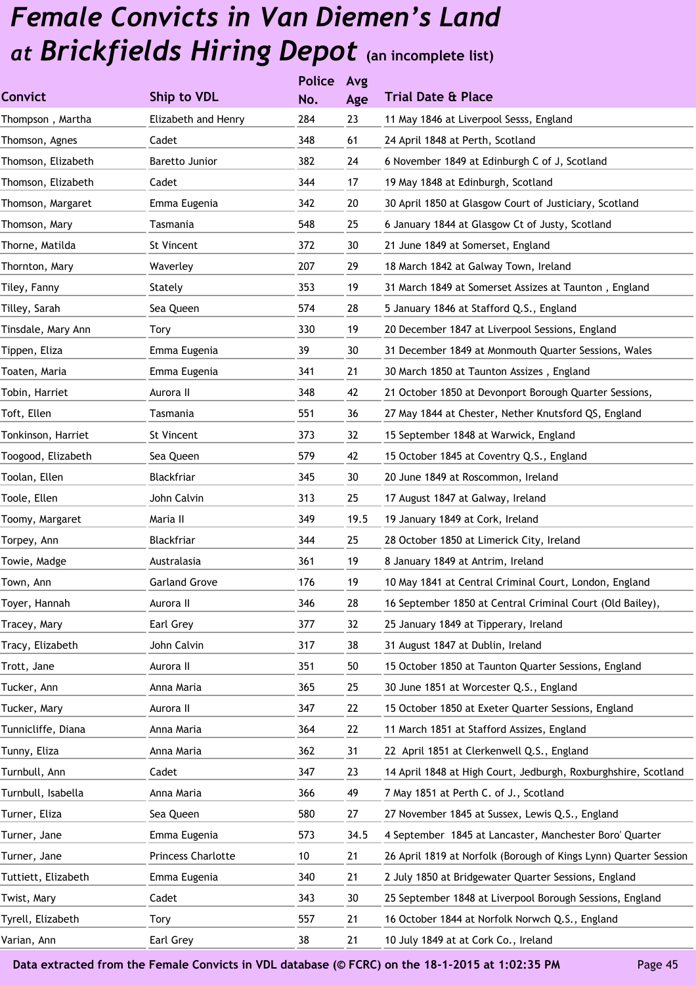| 16 September 1850 at Central Criminal Court (Old Bailey),        |
|------------------------------------------------------------------|
|                                                                  |
|                                                                  |
|                                                                  |
|                                                                  |
|                                                                  |
|                                                                  |
|                                                                  |
| 14 April 1848 at High Court, Jedburgh, Roxburghshire, Scotland   |
|                                                                  |
|                                                                  |
| 4 September 1845 at Lancaster, Manchester Boro' Quarter          |
| 26 April 1819 at Norfolk (Borough of Kings Lynn) Quarter Session |
|                                                                  |
| 25 September 1848 at Liverpool Borough Sessions, England         |
|                                                                  |
|                                                                  |
|                                                                  |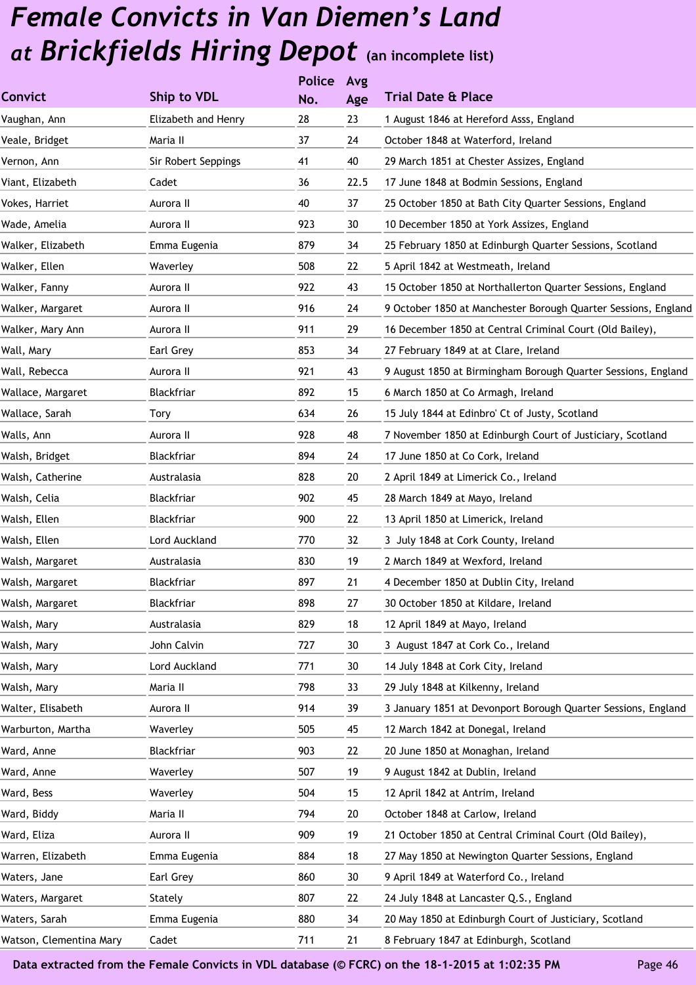|                         |                     | <b>Police</b> | Avg  |                                                                |
|-------------------------|---------------------|---------------|------|----------------------------------------------------------------|
| <b>Convict</b>          | <b>Ship to VDL</b>  | No.           | Age  | <b>Trial Date &amp; Place</b>                                  |
| Vaughan, Ann            | Elizabeth and Henry | 28            | 23   | 1 August 1846 at Hereford Asss, England                        |
| Veale, Bridget          | Maria II            | 37            | 24   | October 1848 at Waterford, Ireland                             |
| Vernon, Ann             | Sir Robert Seppings | 41            | 40   | 29 March 1851 at Chester Assizes, England                      |
| Viant, Elizabeth        | Cadet               | 36            | 22.5 | 17 June 1848 at Bodmin Sessions, England                       |
| Vokes, Harriet          | Aurora II           | 40            | 37   | 25 October 1850 at Bath City Quarter Sessions, England         |
| Wade, Amelia            | Aurora II           | 923           | 30   | 10 December 1850 at York Assizes, England                      |
| Walker, Elizabeth       | Emma Eugenia        | 879           | 34   | 25 February 1850 at Edinburgh Quarter Sessions, Scotland       |
| Walker, Ellen           | Waverley            | 508           | 22   | 5 April 1842 at Westmeath, Ireland                             |
| Walker, Fanny           | Aurora II           | 922           | 43   | 15 October 1850 at Northallerton Quarter Sessions, England     |
| Walker, Margaret        | Aurora II           | 916           | 24   | 9 October 1850 at Manchester Borough Quarter Sessions, England |
| Walker, Mary Ann        | Aurora II           | 911           | 29   | 16 December 1850 at Central Criminal Court (Old Bailey),       |
| Wall, Mary              | Earl Grey           | 853           | 34   | 27 February 1849 at at Clare, Ireland                          |
| Wall, Rebecca           | Aurora II           | 921           | 43   | 9 August 1850 at Birmingham Borough Quarter Sessions, England  |
| Wallace, Margaret       | Blackfriar          | 892           | 15   | 6 March 1850 at Co Armagh, Ireland                             |
| Wallace, Sarah          | Tory                | 634           | 26   | 15 July 1844 at Edinbro' Ct of Justy, Scotland                 |
| Walls, Ann              | Aurora II           | 928           | 48   | 7 November 1850 at Edinburgh Court of Justiciary, Scotland     |
| Walsh, Bridget          | Blackfriar          | 894           | 24   | 17 June 1850 at Co Cork, Ireland                               |
| Walsh, Catherine        | Australasia         | 828           | 20   | 2 April 1849 at Limerick Co., Ireland                          |
| Walsh, Celia            | Blackfriar          | 902           | 45   | 28 March 1849 at Mayo, Ireland                                 |
| Walsh, Ellen            | Blackfriar          | 900           | 22   | 13 April 1850 at Limerick, Ireland                             |
| Walsh, Ellen            | Lord Auckland       | 770           | 32   | 3 July 1848 at Cork County, Ireland                            |
| Walsh, Margaret         | Australasia         | 830           | 19   | 2 March 1849 at Wexford, Ireland                               |
| Walsh, Margaret         | Blackfriar          | 897           | 21   | 4 December 1850 at Dublin City, Ireland                        |
| Walsh, Margaret         | Blackfriar          | 898           | 27   | 30 October 1850 at Kildare, Ireland                            |
| Walsh, Mary             | Australasia         | 829           | 18   | 12 April 1849 at Mayo, Ireland                                 |
| Walsh, Mary             | John Calvin         | 727           | 30   | 3 August 1847 at Cork Co., Ireland                             |
| Walsh, Mary             | Lord Auckland       | 771           | 30   | 14 July 1848 at Cork City, Ireland                             |
| Walsh, Mary             | Maria II            | 798           | 33   | 29 July 1848 at Kilkenny, Ireland                              |
| Walter, Elisabeth       | Aurora II           | 914           | 39   | 3 January 1851 at Devonport Borough Quarter Sessions, England  |
| Warburton, Martha       | Waverley            | 505           | 45   | 12 March 1842 at Donegal, Ireland                              |
| Ward, Anne              | Blackfriar          | 903           | 22   | 20 June 1850 at Monaghan, Ireland                              |
| Ward, Anne              | Waverley            | 507           | 19   | 9 August 1842 at Dublin, Ireland                               |
| Ward, Bess              | Waverley            | 504           | 15   | 12 April 1842 at Antrim, Ireland                               |
| Ward, Biddy             | Maria II            | 794           | 20   | October 1848 at Carlow, Ireland                                |
| Ward, Eliza             | Aurora II           | 909           | 19   | 21 October 1850 at Central Criminal Court (Old Bailey),        |
| Warren, Elizabeth       | Emma Eugenia        | 884           | 18   | 27 May 1850 at Newington Quarter Sessions, England             |
| Waters, Jane            | Earl Grey           | 860           | 30   | 9 April 1849 at Waterford Co., Ireland                         |
| Waters, Margaret        | Stately             | 807           | 22   | 24 July 1848 at Lancaster Q.S., England                        |
| Waters, Sarah           | Emma Eugenia        | 880           | 34   | 20 May 1850 at Edinburgh Court of Justiciary, Scotland         |
| Watson, Clementina Mary | Cadet               | 711           | 21   | 8 February 1847 at Edinburgh, Scotland                         |
|                         |                     |               |      |                                                                |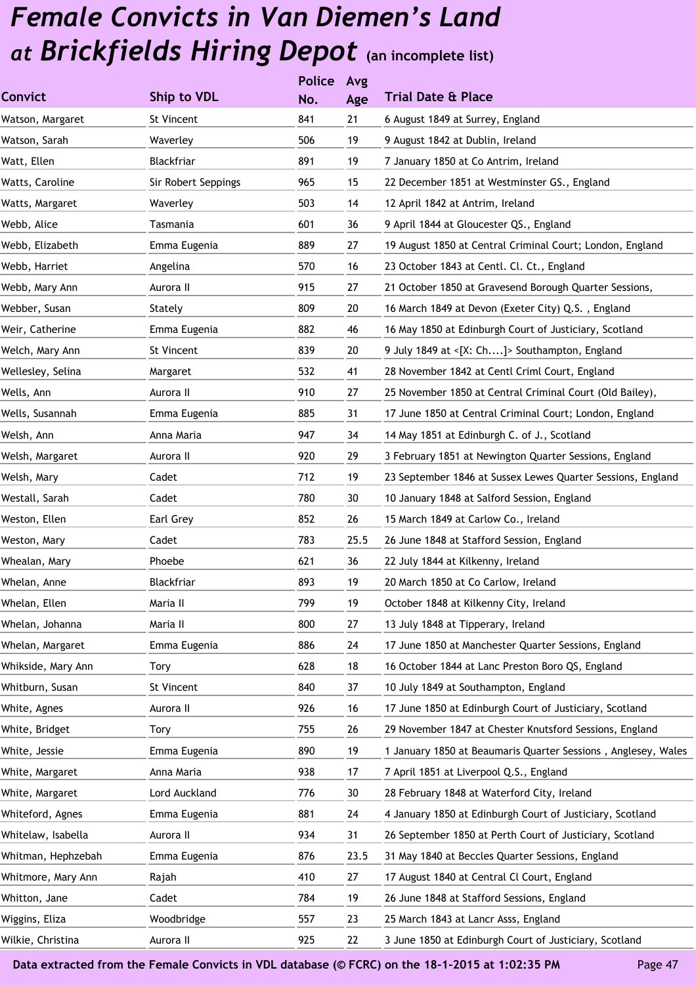|                    |                     | <b>Police</b> | Avg  |                                                               |
|--------------------|---------------------|---------------|------|---------------------------------------------------------------|
| <b>Convict</b>     | <b>Ship to VDL</b>  | No.           | Age  | <b>Trial Date &amp; Place</b>                                 |
| Watson, Margaret   | St Vincent          | 841           | 21   | 6 August 1849 at Surrey, England                              |
| Watson, Sarah      | Waverley            | 506           | 19   | 9 August 1842 at Dublin, Ireland                              |
| Watt, Ellen        | Blackfriar          | 891           | 19   | 7 January 1850 at Co Antrim, Ireland                          |
| Watts, Caroline    | Sir Robert Seppings | 965           | 15   | 22 December 1851 at Westminster GS., England                  |
| Watts, Margaret    | Waverley            | 503           | 14   | 12 April 1842 at Antrim, Ireland                              |
| Webb, Alice        | Tasmania            | 601           | 36   | 9 April 1844 at Gloucester QS., England                       |
| Webb, Elizabeth    | Emma Eugenia        | 889           | 27   | 19 August 1850 at Central Criminal Court; London, England     |
| Webb, Harriet      | Angelina            | 570           | 16   | 23 October 1843 at Centl. Cl. Ct., England                    |
| Webb, Mary Ann     | Aurora II           | 915           | 27   | 21 October 1850 at Gravesend Borough Quarter Sessions,        |
| Webber, Susan      | Stately             | 809           | 20   | 16 March 1849 at Devon (Exeter City) Q.S., England            |
| Weir, Catherine    | Emma Eugenia        | 882           | 46   | 16 May 1850 at Edinburgh Court of Justiciary, Scotland        |
| Welch, Mary Ann    | St Vincent          | 839           | 20   | 9 July 1849 at <[X: Ch]> Southampton, England                 |
| Wellesley, Selina  | Margaret            | 532           | 41   | 28 November 1842 at Centl Criml Court, England                |
| Wells, Ann         | Aurora II           | 910           | 27   | 25 November 1850 at Central Criminal Court (Old Bailey),      |
| Wells, Susannah    | Emma Eugenia        | 885           | 31   | 17 June 1850 at Central Criminal Court; London, England       |
| Welsh, Ann         | Anna Maria          | 947           | 34   | 14 May 1851 at Edinburgh C. of J., Scotland                   |
| Welsh, Margaret    | Aurora II           | 920           | 29   | 3 February 1851 at Newington Quarter Sessions, England        |
| Welsh, Mary        | Cadet               | 712           | 19   | 23 September 1846 at Sussex Lewes Quarter Sessions, England   |
| Westall, Sarah     | Cadet               | 780           | 30   | 10 January 1848 at Salford Session, England                   |
| Weston, Ellen      | Earl Grey           | 852           | 26   | 15 March 1849 at Carlow Co., Ireland                          |
| Weston, Mary       | Cadet               | 783           | 25.5 | 26 June 1848 at Stafford Session, England                     |
| Whealan, Mary      | Phoebe              | 621           | 36   | 22 July 1844 at Kilkenny, Ireland                             |
| Whelan, Anne       | Blackfriar          | 893           | 19   | 20 March 1850 at Co Carlow, Ireland                           |
| Whelan, Ellen      | Maria II            | 799           | 19   | October 1848 at Kilkenny City, Ireland                        |
| Whelan, Johanna    | Maria II            | 800           | 27   | 13 July 1848 at Tipperary, Ireland                            |
| Whelan, Margaret   | Emma Eugenia        | 886           | 24   | 17 June 1850 at Manchester Quarter Sessions, England          |
| Whikside, Mary Ann | Tory                | 628           | 18   | 16 October 1844 at Lanc Preston Boro QS, England              |
| Whitburn, Susan    | St Vincent          | 840           | 37   | 10 July 1849 at Southampton, England                          |
| White, Agnes       | Aurora II           | 926           | 16   | 17 June 1850 at Edinburgh Court of Justiciary, Scotland       |
| White, Bridget     | Tory                | 755           | 26   | 29 November 1847 at Chester Knutsford Sessions, England       |
| White, Jessie      | Emma Eugenia        | 890           | 19   | 1 January 1850 at Beaumaris Quarter Sessions, Anglesey, Wales |
| White, Margaret    | Anna Maria          | 938           | 17   | 7 April 1851 at Liverpool Q.S., England                       |
| White, Margaret    | Lord Auckland       | 776           | 30   | 28 February 1848 at Waterford City, Ireland                   |
| Whiteford, Agnes   | Emma Eugenia        | 881           | 24   | 4 January 1850 at Edinburgh Court of Justiciary, Scotland     |
| Whitelaw, Isabella | Aurora II           | 934           | 31   | 26 September 1850 at Perth Court of Justiciary, Scotland      |
| Whitman, Hephzebah | Emma Eugenia        | 876           | 23.5 | 31 May 1840 at Beccles Quarter Sessions, England              |
| Whitmore, Mary Ann | Rajah               | 410           | 27   | 17 August 1840 at Central Cl Court, England                   |
| Whitton, Jane      | Cadet               | 784           | 19   | 26 June 1848 at Stafford Sessions, England                    |
| Wiggins, Eliza     | Woodbridge          | 557           | 23   | 25 March 1843 at Lancr Asss, England                          |
| Wilkie, Christina  | Aurora II           | 925           | 22   | 3 June 1850 at Edinburgh Court of Justiciary, Scotland        |
|                    |                     |               |      |                                                               |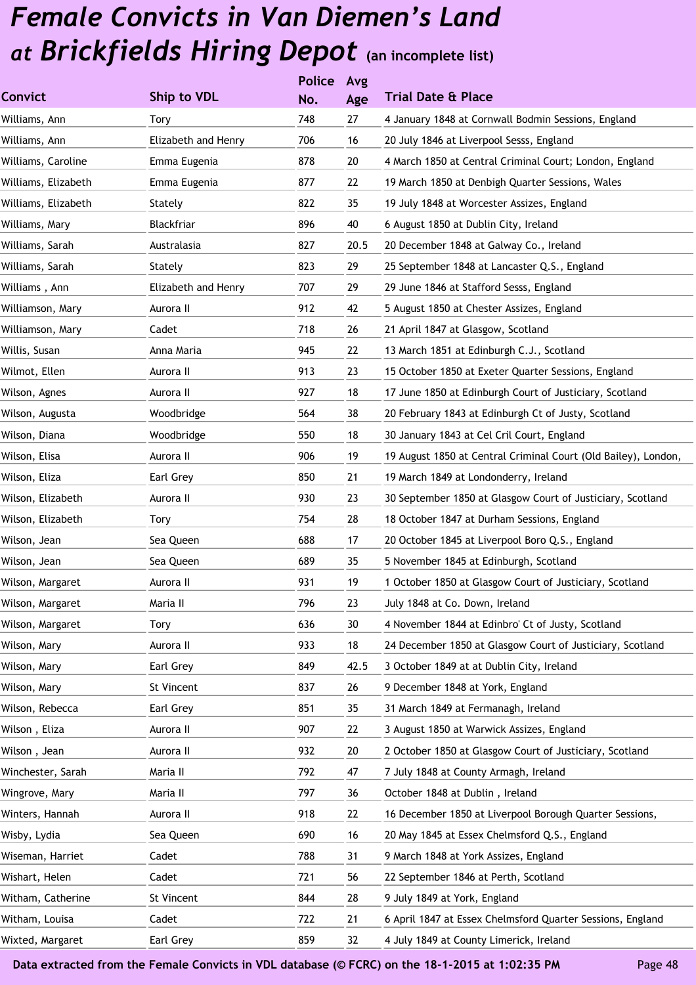|                     |                     | <b>Police</b> | Avg  |                                                                |
|---------------------|---------------------|---------------|------|----------------------------------------------------------------|
| <b>Convict</b>      | Ship to VDL         | No.           | Age  | <b>Trial Date &amp; Place</b>                                  |
| Williams, Ann       | <b>Tory</b>         | 748           | 27   | 4 January 1848 at Cornwall Bodmin Sessions, England            |
| Williams, Ann       | Elizabeth and Henry | 706           | 16   | 20 July 1846 at Liverpool Sesss, England                       |
| Williams, Caroline  | Emma Eugenia        | 878           | 20   | 4 March 1850 at Central Criminal Court; London, England        |
| Williams, Elizabeth | Emma Eugenia        | 877           | 22   | 19 March 1850 at Denbigh Quarter Sessions, Wales               |
| Williams, Elizabeth | Stately             | 822           | 35   | 19 July 1848 at Worcester Assizes, England                     |
| Williams, Mary      | <b>Blackfriar</b>   | 896           | 40   | 6 August 1850 at Dublin City, Ireland                          |
| Williams, Sarah     | Australasia         | 827           | 20.5 | 20 December 1848 at Galway Co., Ireland                        |
| Williams, Sarah     | Stately             | 823           | 29   | 25 September 1848 at Lancaster Q.S., England                   |
| Williams , Ann      | Elizabeth and Henry | 707           | 29   | 29 June 1846 at Stafford Sesss, England                        |
| Williamson, Mary    | Aurora II           | 912           | 42   | 5 August 1850 at Chester Assizes, England                      |
| Williamson, Mary    | Cadet               | 718           | 26   | 21 April 1847 at Glasgow, Scotland                             |
| Willis, Susan       | Anna Maria          | 945           | 22   | 13 March 1851 at Edinburgh C.J., Scotland                      |
| Wilmot, Ellen       | Aurora II           | 913           | 23   | 15 October 1850 at Exeter Quarter Sessions, England            |
| Wilson, Agnes       | Aurora II           | 927           | 18   | 17 June 1850 at Edinburgh Court of Justiciary, Scotland        |
| Wilson, Augusta     | Woodbridge          | 564           | 38   | 20 February 1843 at Edinburgh Ct of Justy, Scotland            |
| Wilson, Diana       | Woodbridge          | 550           | 18   | 30 January 1843 at Cel Cril Court, England                     |
| Wilson, Elisa       | Aurora II           | 906           | 19   | 19 August 1850 at Central Criminal Court (Old Bailey), London, |
| Wilson, Eliza       | Earl Grey           | 850           | 21   | 19 March 1849 at Londonderry, Ireland                          |
| Wilson, Elizabeth   | Aurora II           | 930           | 23   | 30 September 1850 at Glasgow Court of Justiciary, Scotland     |
| Wilson, Elizabeth   | Tory                | 754           | 28   | 18 October 1847 at Durham Sessions, England                    |
| Wilson, Jean        | Sea Queen           | 688           | 17   | 20 October 1845 at Liverpool Boro Q.S., England                |
| Wilson, Jean        | Sea Queen           | 689           | 35   | 5 November 1845 at Edinburgh, Scotland                         |
| Wilson, Margaret    | Aurora II           | 931           | 19   | 1 October 1850 at Glasgow Court of Justiciary, Scotland        |
| Wilson, Margaret    | Maria II            | 796           | 23   | July 1848 at Co. Down, Ireland                                 |
| Wilson, Margaret    | <b>Tory</b>         | 636           | 30   | 4 November 1844 at Edinbro' Ct of Justy, Scotland              |
| Wilson, Mary        | Aurora II           | 933           | 18   | 24 December 1850 at Glasgow Court of Justiciary, Scotland      |
| Wilson, Mary        | Earl Grey           | 849           | 42.5 | 3 October 1849 at at Dublin City, Ireland                      |
| Wilson, Mary        | St Vincent          | 837           | 26   | 9 December 1848 at York, England                               |
| Wilson, Rebecca     | Earl Grey           | 851           | 35   | 31 March 1849 at Fermanagh, Ireland                            |
| Wilson, Eliza       | Aurora II           | 907           | 22   | 3 August 1850 at Warwick Assizes, England                      |
| Wilson, Jean        | Aurora II           | 932           | 20   | 2 October 1850 at Glasgow Court of Justiciary, Scotland        |
| Winchester, Sarah   | Maria II            | 792           | 47   | 7 July 1848 at County Armagh, Ireland                          |
| Wingrove, Mary      | Maria II            | 797           | 36   | October 1848 at Dublin, Ireland                                |
| Winters, Hannah     | Aurora II           | 918           | 22   | 16 December 1850 at Liverpool Borough Quarter Sessions,        |
| Wisby, Lydia        | Sea Queen           | 690           | 16   | 20 May 1845 at Essex Chelmsford Q.S., England                  |
| Wiseman, Harriet    | Cadet               | 788           | 31   | 9 March 1848 at York Assizes, England                          |
| Wishart, Helen      | Cadet               | 721           | 56   | 22 September 1846 at Perth, Scotland                           |
| Witham, Catherine   | St Vincent          | 844           | 28   | 9 July 1849 at York, England                                   |
| Witham, Louisa      | Cadet               | 722           | 21   | 6 April 1847 at Essex Chelmsford Quarter Sessions, England     |
| Wixted, Margaret    | Earl Grey           | 859           | 32   | 4 July 1849 at County Limerick, Ireland                        |
|                     |                     |               |      |                                                                |